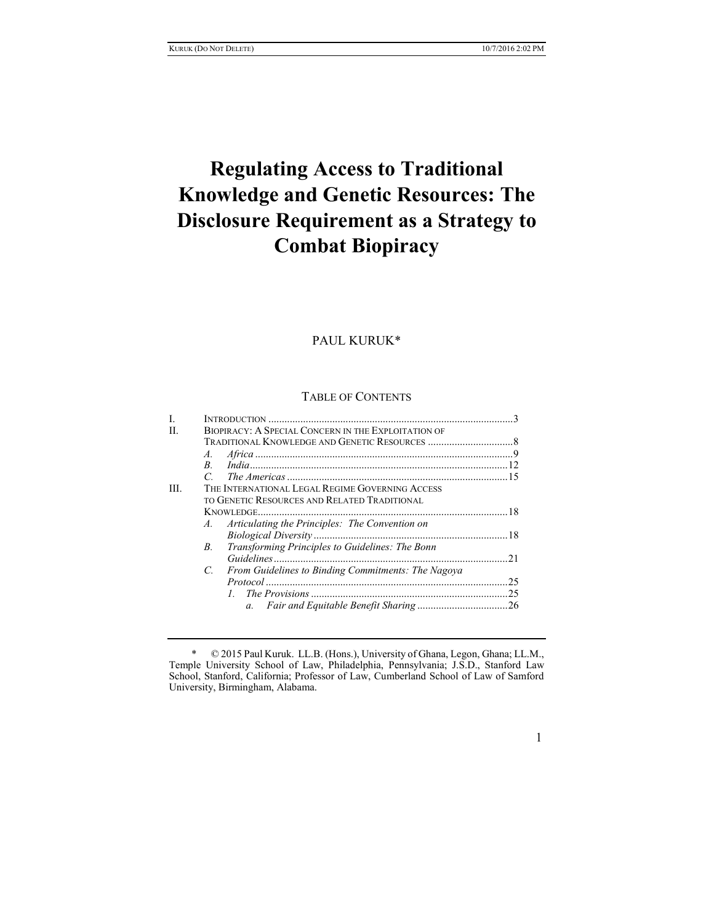# **Regulating Access to Traditional Knowledge and Genetic Resources: The Disclosure Requirement as a Strategy to Combat Biopiracy**

# PAUL KURUK\*

#### TABLE OF CONTENTS

|               | BIOPIRACY: A SPECIAL CONCERN IN THE EXPLOITATION OF |    |
|---------------|-----------------------------------------------------|----|
|               |                                                     |    |
| A.            |                                                     |    |
| R.            |                                                     |    |
| $\mathcal{C}$ |                                                     |    |
|               | THE INTERNATIONAL LEGAL REGIME GOVERNING ACCESS     |    |
|               | TO GENETIC RESOURCES AND RELATED TRADITIONAL        |    |
|               |                                                     |    |
|               | A. Articulating the Principles: The Convention on   |    |
|               |                                                     |    |
| B.            | Transforming Principles to Guidelines: The Bonn     |    |
|               |                                                     | 21 |
| $C_{\cdot}$   | From Guidelines to Binding Commitments: The Nagoya  |    |
|               |                                                     | 25 |
|               |                                                     |    |
|               | $a_{\cdot}$                                         |    |

<sup>\*</sup> © 2015 Paul Kuruk. LL.B. (Hons.), University of Ghana, Legon, Ghana; LL.M., Temple University School of Law, Philadelphia, Pennsylvania; J.S.D., Stanford Law School, Stanford, California; Professor of Law, Cumberland School of Law of Samford University, Birmingham, Alabama.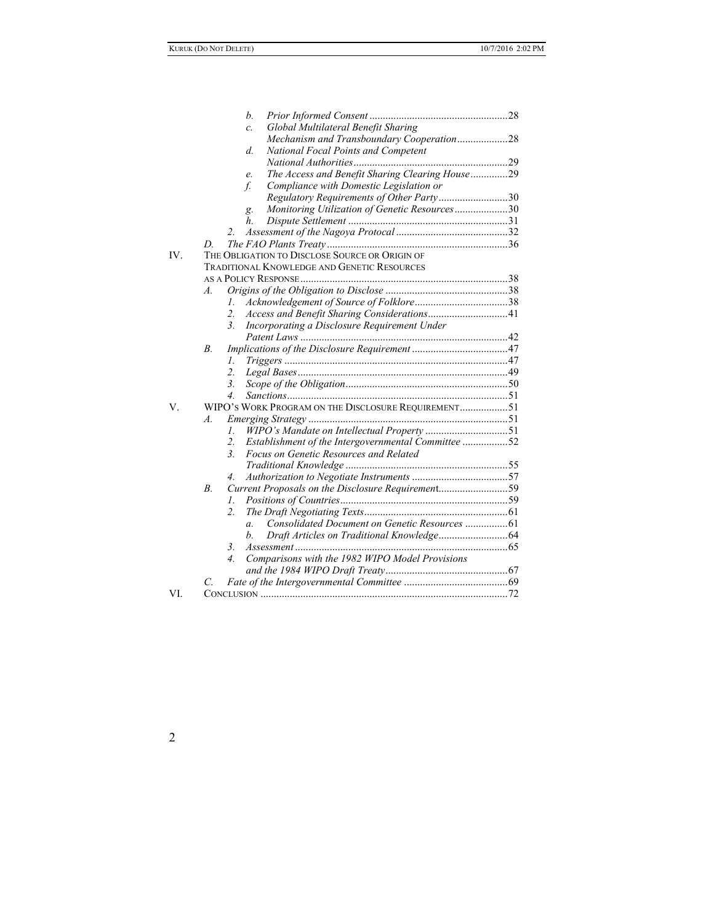|     | b.                                                               |  |
|-----|------------------------------------------------------------------|--|
|     | Global Multilateral Benefit Sharing<br>$\mathcal{C}$ .           |  |
|     | Mechanism and Transboundary Cooperation28                        |  |
|     | National Focal Points and Competent<br>d.                        |  |
|     |                                                                  |  |
|     | The Access and Benefit Sharing Clearing House29<br>e.            |  |
|     | Compliance with Domestic Legislation or<br>f.                    |  |
|     | Regulatory Requirements of Other Party30                         |  |
|     | Monitoring Utilization of Genetic Resources30<br>g.              |  |
|     | h.                                                               |  |
|     | 2.                                                               |  |
|     | D                                                                |  |
| IV. | THE OBLIGATION TO DISCLOSE SOURCE OR ORIGIN OF                   |  |
|     | <b>TRADITIONAL KNOWLEDGE AND GENETIC RESOURCES</b>               |  |
|     |                                                                  |  |
|     | $\mathcal{A}$ .                                                  |  |
|     |                                                                  |  |
|     | Ι.                                                               |  |
|     | 2.                                                               |  |
|     | Incorporating a Disclosure Requirement Under<br>3.               |  |
|     |                                                                  |  |
|     | $B$ .                                                            |  |
|     | Ι.                                                               |  |
|     | 2.                                                               |  |
|     | 3.                                                               |  |
|     | $\overline{4}$ .                                                 |  |
| V.  | WIPO'S WORK PROGRAM ON THE DISCLOSURE REQUIREMENT51              |  |
|     | A.                                                               |  |
|     | I.                                                               |  |
|     | Establishment of the Intergovernmental Committee 52<br>2.        |  |
|     | 3 <sub>1</sub><br>Focus on Genetic Resources and Related         |  |
|     |                                                                  |  |
|     | 4.                                                               |  |
|     | Current Proposals on the Disclosure Requirement59<br>$B_{\cdot}$ |  |
|     | $l_{\cdot}$                                                      |  |
|     | $\overline{2}$ .                                                 |  |
|     | $\overline{a}$ .                                                 |  |
|     | h.                                                               |  |
|     | 3.                                                               |  |
|     | Comparisons with the 1982 WIPO Model Provisions<br>4.            |  |
|     |                                                                  |  |
|     | C.                                                               |  |
| VI. |                                                                  |  |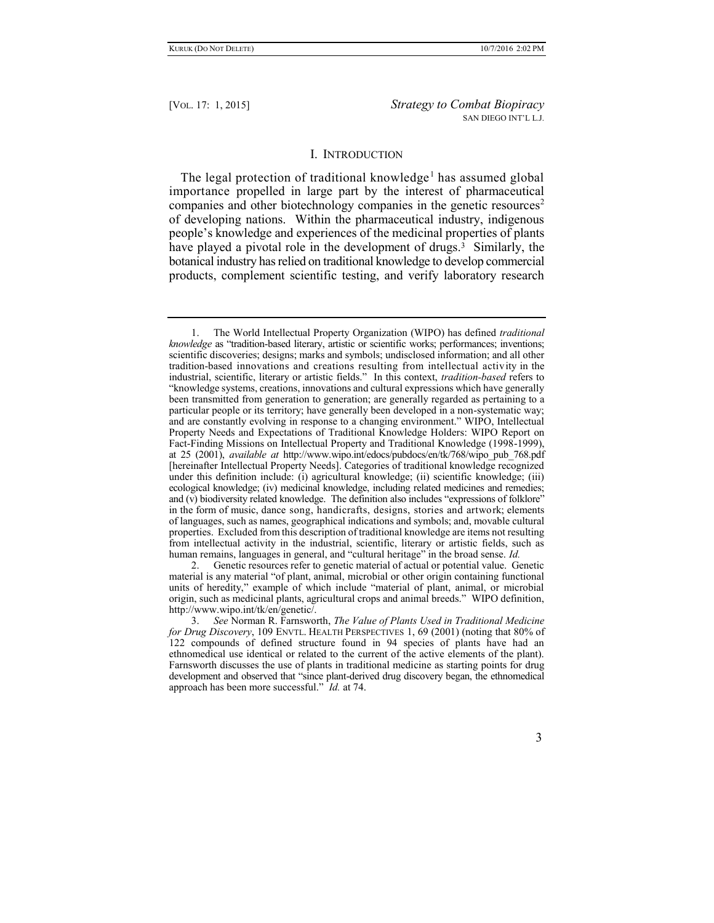#### I. INTRODUCTION

The legal protection of traditional knowledge<sup>1</sup> has assumed global importance propelled in large part by the interest of pharmaceutical companies and other biotechnology companies in the genetic resources<sup>2</sup> of developing nations. Within the pharmaceutical industry, indigenous people's knowledge and experiences of the medicinal properties of plants have played a pivotal role in the development of drugs.<sup>3</sup> Similarly, the botanical industry has relied on traditional knowledge to develop commercial products, complement scientific testing, and verify laboratory research

2. Genetic resources refer to genetic material of actual or potential value. Genetic material is any material "of plant, animal, microbial or other origin containing functional units of heredity," example of which include "material of plant, animal, or microbial origin, such as medicinal plants, agricultural crops and animal breeds." WIPO definition, http://www.wipo.int/tk/en/genetic/.

<sup>1.</sup> The World Intellectual Property Organization (WIPO) has defined *traditional knowledge* as "tradition-based literary, artistic or scientific works; performances; inventions; scientific discoveries; designs; marks and symbols; undisclosed information; and all other tradition-based innovations and creations resulting from intellectual activity in the industrial, scientific, literary or artistic fields." In this context, *tradition-based* refers to "knowledge systems, creations, innovations and cultural expressions which have generally been transmitted from generation to generation; are generally regarded as pertaining to a particular people or its territory; have generally been developed in a non-systematic way; and are constantly evolving in response to a changing environment." WIPO, Intellectual Property Needs and Expectations of Traditional Knowledge Holders: WIPO Report on Fact-Finding Missions on Intellectual Property and Traditional Knowledge (1998-1999), at 25 (2001), *available at* http://www.wipo.int/edocs/pubdocs/en/tk/768/wipo\_pub\_768.pdf [hereinafter Intellectual Property Needs]. Categories of traditional knowledge recognized under this definition include: (i) agricultural knowledge; (ii) scientific knowledge; (iii) ecological knowledge; (iv) medicinal knowledge, including related medicines and remedies; and (v) biodiversity related knowledge. The definition also includes "expressions of folklore" in the form of music, dance song, handicrafts, designs, stories and artwork; elements of languages, such as names, geographical indications and symbols; and, movable cultural properties. Excluded from this description of traditional knowledge are items not resulting from intellectual activity in the industrial, scientific, literary or artistic fields, such as human remains, languages in general, and "cultural heritage" in the broad sense. *Id.*

<sup>3.</sup> *See* Norman R. Farnsworth, *The Value of Plants Used in Traditional Medicine for Drug Discovery*, 109 ENVTL. HEALTH PERSPECTIVES 1, 69 (2001) (noting that 80% of 122 compounds of defined structure found in 94 species of plants have had an ethnomedical use identical or related to the current of the active elements of the plant). Farnsworth discusses the use of plants in traditional medicine as starting points for drug development and observed that "since plant-derived drug discovery began, the ethnomedical approach has been more successful." *Id.* at 74.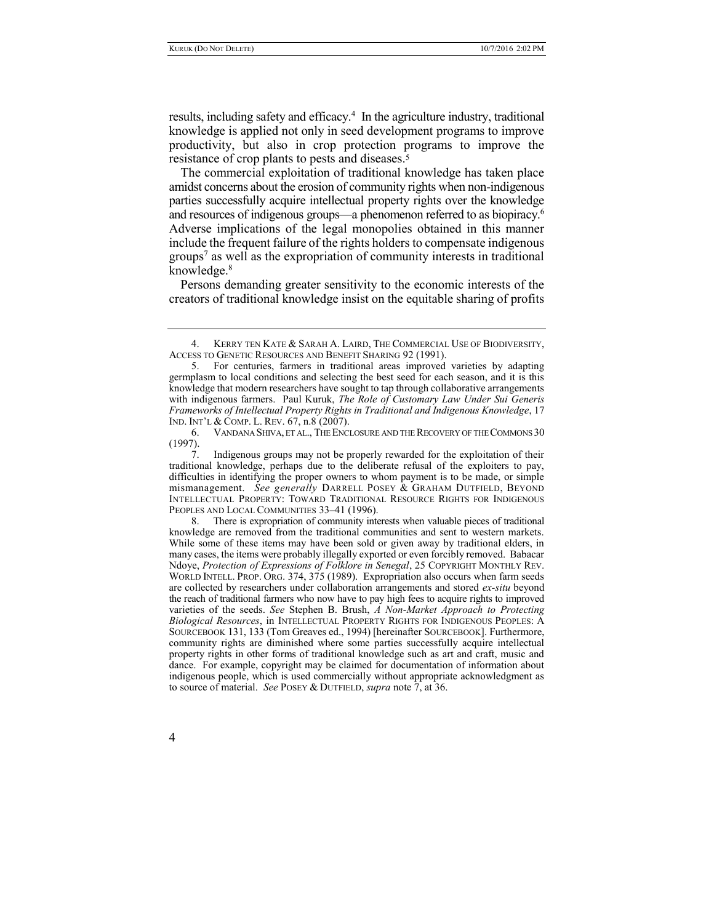results, including safety and efficacy.<sup>4</sup> In the agriculture industry, traditional knowledge is applied not only in seed development programs to improve productivity, but also in crop protection programs to improve the resistance of crop plants to pests and diseases.<sup>5</sup>

The commercial exploitation of traditional knowledge has taken place amidst concerns about the erosion of community rights when non-indigenous parties successfully acquire intellectual property rights over the knowledge and resources of indigenous groups—a phenomenon referred to as biopiracy.<sup>6</sup> Adverse implications of the legal monopolies obtained in this manner include the frequent failure of the rights holders to compensate indigenous groups<sup>7</sup> as well as the expropriation of community interests in traditional knowledge.<sup>8</sup>

Persons demanding greater sensitivity to the economic interests of the creators of traditional knowledge insist on the equitable sharing of profits

<sup>4.</sup> KERRY TEN KATE & SARAH A. LAIRD, THE COMMERCIAL USE OF BIODIVERSITY, ACCESS TO GENETIC RESOURCES AND BENEFIT SHARING 92 (1991).

<sup>5.</sup> For centuries, farmers in traditional areas improved varieties by adapting germplasm to local conditions and selecting the best seed for each season, and it is this knowledge that modern researchers have sought to tap through collaborative arrangements with indigenous farmers. Paul Kuruk, *The Role of Customary Law Under Sui Generis Frameworks of Intellectual Property Rights in Traditional and Indigenous Knowledge*, 17 IND. INT'L & COMP. L. REV. 67, n.8 (2007).

<sup>6.</sup> VANDANA SHIVA, ET AL., THE ENCLOSURE AND THE RECOVERY OF THE COMMONS 30 (1997).

<sup>7.</sup> Indigenous groups may not be properly rewarded for the exploitation of their traditional knowledge, perhaps due to the deliberate refusal of the exploiters to pay, difficulties in identifying the proper owners to whom payment is to be made, or simple mismanagement. *See generally* DARRELL POSEY & GRAHAM DUTFIELD, BEYOND INTELLECTUAL PROPERTY: TOWARD TRADITIONAL RESOURCE RIGHTS FOR INDIGENOUS PEOPLES AND LOCAL COMMUNITIES 33–41 (1996).

<sup>8.</sup> There is expropriation of community interests when valuable pieces of traditional knowledge are removed from the traditional communities and sent to western markets. While some of these items may have been sold or given away by traditional elders, in many cases, the items were probably illegally exported or even forcibly removed. Babacar Ndoye, *Protection of Expressions of Folklore in Senegal*, 25 COPYRIGHT MONTHLY REV. WORLD INTELL. PROP. ORG. 374, 375 (1989). Expropriation also occurs when farm seeds are collected by researchers under collaboration arrangements and stored *ex-situ* beyond the reach of traditional farmers who now have to pay high fees to acquire rights to improved varieties of the seeds. *See* Stephen B. Brush, *A Non-Market Approach to Protecting Biological Resources*, in INTELLECTUAL PROPERTY RIGHTS FOR INDIGENOUS PEOPLES: A SOURCEBOOK 131, 133 (Tom Greaves ed., 1994) [hereinafter SOURCEBOOK]. Furthermore, community rights are diminished where some parties successfully acquire intellectual property rights in other forms of traditional knowledge such as art and craft, music and dance. For example, copyright may be claimed for documentation of information about indigenous people, which is used commercially without appropriate acknowledgment as to source of material. *See* POSEY & DUTFIELD, *supra* note 7, at 36.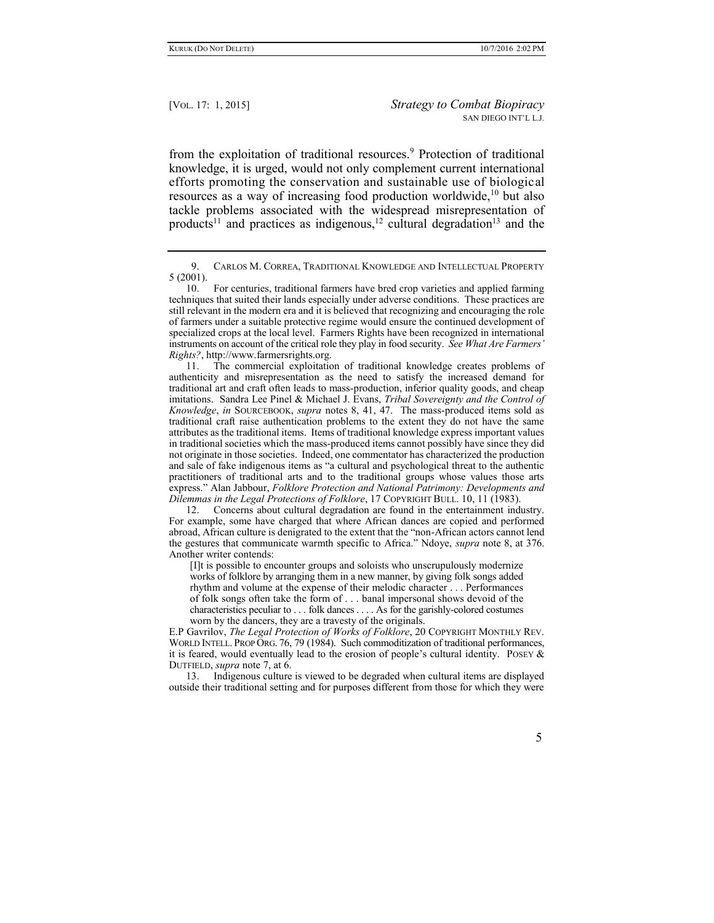from the exploitation of traditional resources.<sup>9</sup> Protection of traditional knowledge, it is urged, would not only complement current international efforts promoting the conservation and sustainable use of biological resources as a way of increasing food production worldwide,<sup>10</sup> but also tackle problems associated with the widespread misrepresentation of products<sup>11</sup> and practices as indigenous,<sup>12</sup> cultural degradation<sup>13</sup> and the

11. The commercial exploitation of traditional knowledge creates problems of authenticity and misrepresentation as the need to satisfy the increased demand for traditional art and craft often leads to mass-production, inferior quality goods, and cheap imitations. Sandra Lee Pinel & Michael J. Evans, *Tribal Sovereignty and the Control of Knowledge*, *in* SOURCEBOOK, *supra* notes 8, 41, 47. The mass-produced items sold as traditional craft raise authentication problems to the extent they do not have the same attributes as the traditional items. Items of traditional knowledge express important values in traditional societies which the mass-produced items cannot possibly have since they did not originate in those societies. Indeed, one commentator has characterized the production and sale of fake indigenous items as "a cultural and psychological threat to the authentic practitioners of traditional arts and to the traditional groups whose values those arts express." Alan Jabbour, *Folklore Protection and National Patrimony: Developments and Dilemmas in the Legal Protections of Folklore*, 17 COPYRIGHT BULL. 10, 11 (1983).

12. Concerns about cultural degradation are found in the entertainment industry. For example, some have charged that where African dances are copied and performed abroad, African culture is denigrated to the extent that the "non-African actors cannot lend the gestures that communicate warmth specific to Africa." Ndoye, *supra* note 8, at 376. Another writer contends:

[I]t is possible to encounter groups and soloists who unscrupulously modernize works of folklore by arranging them in a new manner, by giving folk songs added rhythm and volume at the expense of their melodic character . . . Performances of folk songs often take the form of . . . banal impersonal shows devoid of the characteristics peculiar to . . . folk dances . . . . As for the garishly-colored costumes worn by the dancers, they are a travesty of the originals.

E.P Gavrilov, *The Legal Protection of Works of Folklore*, 20 COPYRIGHT MONTHLY REV. WORLD INTELL. PROP ORG. 76, 79 (1984). Such commoditization of traditional performances, it is feared, would eventually lead to the erosion of people's cultural identity. POSEY  $\&$ DUTFIELD, *supra* note 7, at 6.

13. Indigenous culture is viewed to be degraded when cultural items are displayed outside their traditional setting and for purposes different from those for which they were

<sup>9.</sup> CARLOS M. CORREA, TRADITIONAL KNOWLEDGE AND INTELLECTUAL PROPERTY 5 (2001).

<sup>10.</sup> For centuries, traditional farmers have bred crop varieties and applied farming techniques that suited their lands especially under adverse conditions. These practices are still relevant in the modern era and it is believed that recognizing and encouraging the role of farmers under a suitable protective regime would ensure the continued development of specialized crops at the local level. Farmers Rights have been recognized in international instruments on account of the critical role they play in food security. *See What Are Farmers' Rights?*, http://www.farmersrights.org.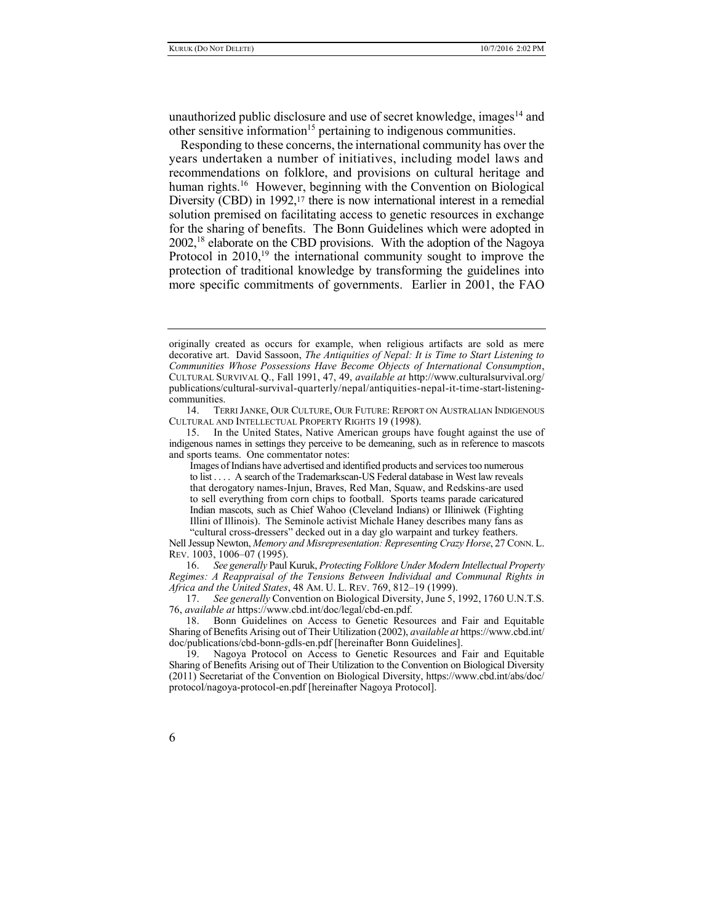unauthorized public disclosure and use of secret knowledge, images<sup>14</sup> and other sensitive information<sup>15</sup> pertaining to indigenous communities.

Responding to these concerns, the international community has over the years undertaken a number of initiatives, including model laws and recommendations on folklore, and provisions on cultural heritage and human rights.<sup>16</sup> However, beginning with the Convention on Biological Diversity (CBD) in 1992,<sup>17</sup> there is now international interest in a remedial solution premised on facilitating access to genetic resources in exchange for the sharing of benefits. The Bonn Guidelines which were adopted in  $2002$ , <sup>18</sup> elaborate on the CBD provisions. With the adoption of the Nagoya Protocol in 2010,<sup>19</sup> the international community sought to improve the protection of traditional knowledge by transforming the guidelines into more specific commitments of governments. Earlier in 2001, the FAO

originally created as occurs for example, when religious artifacts are sold as mere decorative art. David Sassoon, *The Antiquities of Nepal: It is Time to Start Listening to Communities Whose Possessions Have Become Objects of International Consumption*, CULTURAL SURVIVAL Q., Fall 1991, 47, 49, *available at* http://www.culturalsurvival.org/ publications/cultural-survival-quarterly/nepal/antiquities-nepal-it-time-start-listeningcommunities.

<sup>14.</sup> TERRI JANKE, OUR CULTURE, OUR FUTURE: REPORT ON AUSTRALIAN INDIGENOUS CULTURAL AND INTELLECTUAL PROPERTY RIGHTS 19 (1998).

<sup>15.</sup> In the United States, Native American groups have fought against the use of indigenous names in settings they perceive to be demeaning, such as in reference to mascots and sports teams. One commentator notes:

Images of Indians have advertised and identified products and services too numerous to list . . . . A search of the Trademarkscan-US Federal database in West law reveals that derogatory names-Injun, Braves, Red Man, Squaw, and Redskins-are used to sell everything from corn chips to football. Sports teams parade caricatured Indian mascots, such as Chief Wahoo (Cleveland Indians) or Illiniwek (Fighting Illini of Illinois). The Seminole activist Michale Haney describes many fans as "cultural cross-dressers" decked out in a day glo warpaint and turkey feathers.

Nell Jessup Newton, *Memory and Misrepresentation: Representing Crazy Horse*, 27 CONN. L. REV. 1003, 1006–07 (1995).

<sup>16.</sup> *See generally* Paul Kuruk, *Protecting Folklore Under Modern Intellectual Property Regimes: A Reappraisal of the Tensions Between Individual and Communal Rights in Africa and the United States*, 48 AM. U. L. REV. 769, 812–19 (1999).

<sup>17.</sup> *See generally* Convention on Biological Diversity, June 5, 1992, 1760 U.N.T.S. 76, *available at* https://www.cbd.int/doc/legal/cbd-en.pdf.

<sup>18.</sup> Bonn Guidelines on Access to Genetic Resources and Fair and Equitable Sharing of Benefits Arising out of Their Utilization (2002), *available at* https://www.cbd.int/ doc/publications/cbd-bonn-gdls-en.pdf [hereinafter Bonn Guidelines].

<sup>19.</sup> Nagoya Protocol on Access to Genetic Resources and Fair and Equitable Sharing of Benefits Arising out of Their Utilization to the Convention on Biological Diversity (2011) Secretariat of the Convention on Biological Diversity, https://www.cbd.int/abs/doc/ protocol/nagoya-protocol-en.pdf [hereinafter Nagoya Protocol].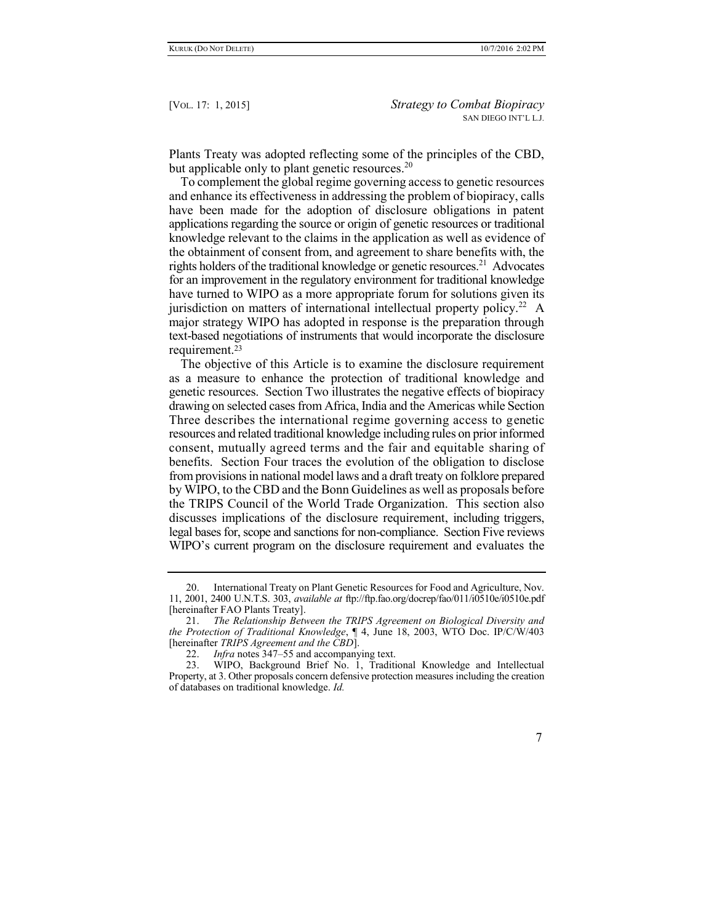Plants Treaty was adopted reflecting some of the principles of the CBD, but applicable only to plant genetic resources.<sup>20</sup>

To complement the global regime governing access to genetic resources and enhance its effectiveness in addressing the problem of biopiracy, calls have been made for the adoption of disclosure obligations in patent applications regarding the source or origin of genetic resources or traditional knowledge relevant to the claims in the application as well as evidence of the obtainment of consent from, and agreement to share benefits with, the rights holders of the traditional knowledge or genetic resources.<sup>21</sup> Advocates for an improvement in the regulatory environment for traditional knowledge have turned to WIPO as a more appropriate forum for solutions given its jurisdiction on matters of international intellectual property policy.<sup>22</sup> A major strategy WIPO has adopted in response is the preparation through text-based negotiations of instruments that would incorporate the disclosure requirement.<sup>23</sup>

The objective of this Article is to examine the disclosure requirement as a measure to enhance the protection of traditional knowledge and genetic resources. Section Two illustrates the negative effects of biopiracy drawing on selected casesfrom Africa, India and the Americas while Section Three describes the international regime governing access to genetic resources and related traditional knowledge including rules on prior informed consent, mutually agreed terms and the fair and equitable sharing of benefits. Section Four traces the evolution of the obligation to disclose from provisions in national model laws and a draft treaty on folklore prepared by WIPO, to the CBD and the Bonn Guidelines as well as proposals before the TRIPS Council of the World Trade Organization. This section also discusses implications of the disclosure requirement, including triggers, legal bases for, scope and sanctions for non-compliance. Section Five reviews WIPO's current program on the disclosure requirement and evaluates the

<sup>20.</sup> International Treaty on Plant Genetic Resources for Food and Agriculture, Nov. 11, 2001, 2400 U.N.T.S. 303, *available at* ftp://ftp.fao.org/docrep/fao/011/i0510e/i0510e.pdf [hereinafter FAO Plants Treaty].

<sup>21.</sup> *The Relationship Between the TRIPS Agreement on Biological Diversity and the Protection of Traditional Knowledge*, ¶ 4, June 18, 2003, WTO Doc. IP/C/W/403 [hereinafter *TRIPS Agreement and the CBD*].

<sup>22.</sup> *Infra* notes 347–55 and accompanying text.

<sup>23.</sup> WIPO, Background Brief No. 1, Traditional Knowledge and Intellectual Property, at 3. Other proposals concern defensive protection measures including the creation of databases on traditional knowledge. *Id.*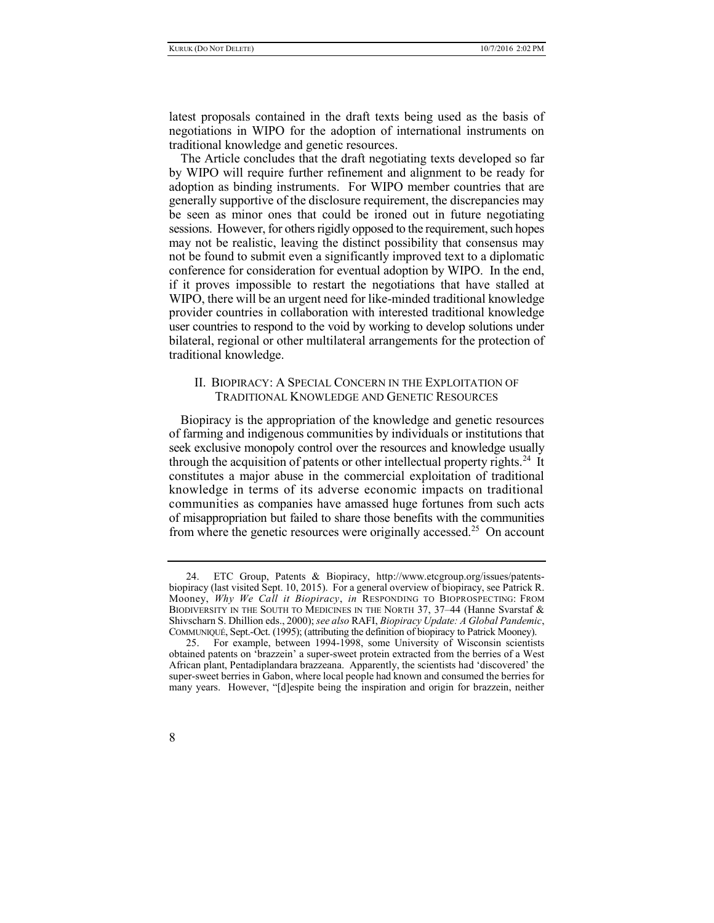latest proposals contained in the draft texts being used as the basis of negotiations in WIPO for the adoption of international instruments on traditional knowledge and genetic resources.

The Article concludes that the draft negotiating texts developed so far by WIPO will require further refinement and alignment to be ready for adoption as binding instruments. For WIPO member countries that are generally supportive of the disclosure requirement, the discrepancies may be seen as minor ones that could be ironed out in future negotiating sessions. However, for others rigidly opposed to the requirement, such hopes may not be realistic, leaving the distinct possibility that consensus may not be found to submit even a significantly improved text to a diplomatic conference for consideration for eventual adoption by WIPO. In the end, if it proves impossible to restart the negotiations that have stalled at WIPO, there will be an urgent need for like-minded traditional knowledge provider countries in collaboration with interested traditional knowledge user countries to respond to the void by working to develop solutions under bilateral, regional or other multilateral arrangements for the protection of traditional knowledge.

#### II. BIOPIRACY: A SPECIAL CONCERN IN THE EXPLOITATION OF TRADITIONAL KNOWLEDGE AND GENETIC RESOURCES

Biopiracy is the appropriation of the knowledge and genetic resources of farming and indigenous communities by individuals or institutions that seek exclusive monopoly control over the resources and knowledge usually through the acquisition of patents or other intellectual property rights.<sup>24</sup> It constitutes a major abuse in the commercial exploitation of traditional knowledge in terms of its adverse economic impacts on traditional communities as companies have amassed huge fortunes from such acts of misappropriation but failed to share those benefits with the communities from where the genetic resources were originally accessed.<sup>25</sup> On account

<sup>24.</sup> ETC Group, Patents & Biopiracy, [http://www.etcgroup.org/issues/patents](http://www.etcgroup.org/issues/patents-biopiracy)[biopiracy](http://www.etcgroup.org/issues/patents-biopiracy) (last visited Sept. 10, 2015). For a general overview of biopiracy, see Patrick R. Mooney, *Why We Call it Biopiracy*, *in* RESPONDING TO BIOPROSPECTING: FROM BIODIVERSITY IN THE SOUTH TO MEDICINES IN THE NORTH 37, 37–44 (Hanne Svarstaf & Shivscharn S. Dhillion eds., 2000); *see also* RAFI, *Biopiracy Update: A Global Pandemic*, COMMUNIQUÉ, Sept.-Oct. (1995); (attributing the definition of biopiracy to Patrick Mooney).

<sup>25.</sup> For example, between 1994-1998, some University of Wisconsin scientists obtained patents on 'brazzein' a super-sweet protein extracted from the berries of a West African plant, Pentadiplandara brazzeana. Apparently, the scientists had 'discovered' the super-sweet berries in Gabon, where local people had known and consumed the berries for many years. However, "[d]espite being the inspiration and origin for brazzein, neither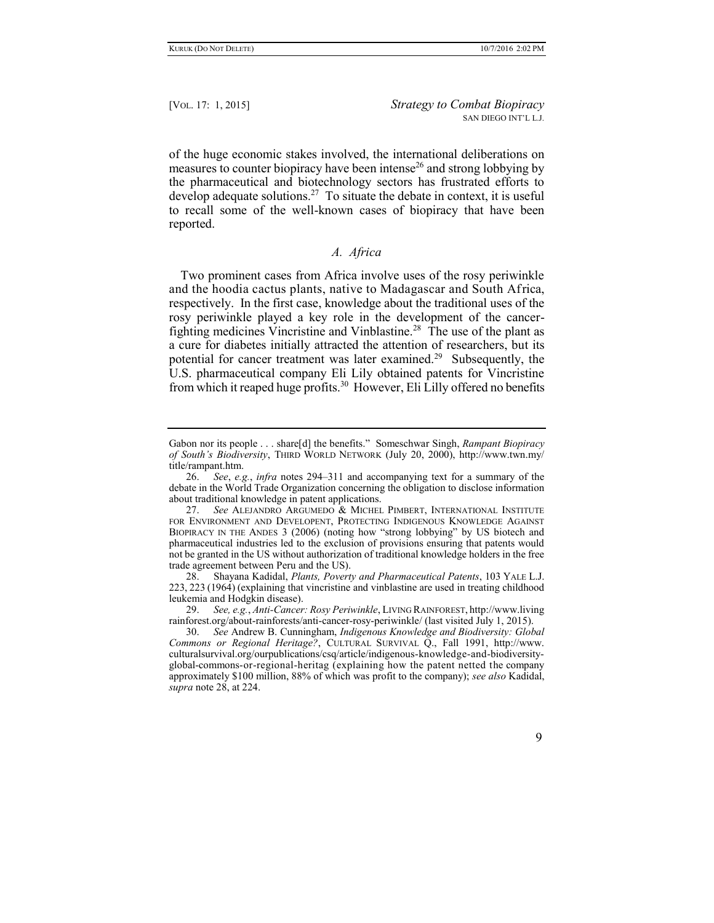of the huge economic stakes involved, the international deliberations on measures to counter biopiracy have been intense<sup>26</sup> and strong lobbying by the pharmaceutical and biotechnology sectors has frustrated efforts to develop adequate solutions.<sup>27</sup> To situate the debate in context, it is useful to recall some of the well-known cases of biopiracy that have been reported.

# *A. Africa*

Two prominent cases from Africa involve uses of the rosy periwinkle and the hoodia cactus plants, native to Madagascar and South Africa, respectively. In the first case, knowledge about the traditional uses of the rosy periwinkle played a key role in the development of the cancerfighting medicines Vincristine and Vinblastine.<sup>28</sup> The use of the plant as a cure for diabetes initially attracted the attention of researchers, but its potential for cancer treatment was later examined.<sup>29</sup> Subsequently, the U.S. pharmaceutical company Eli Lily obtained patents for Vincristine from which it reaped huge profits.<sup>30</sup> However, Eli Lilly offered no benefits

Gabon nor its people . . . share[d] the benefits." Someschwar Singh, *Rampant Biopiracy of South's Biodiversity*, THIRD WORLD NETWORK (July 20, 2000), http://www.twn.my/ title/rampant.htm.

<sup>26.</sup> *See*, *e.g.*, *infra* notes 294–311 and accompanying text for a summary of the debate in the World Trade Organization concerning the obligation to disclose information about traditional knowledge in patent applications.

<sup>27.</sup> *See* ALEJANDRO ARGUMEDO & MICHEL PIMBERT, INTERNATIONAL INSTITUTE FOR ENVIRONMENT AND DEVELOPENT, PROTECTING INDIGENOUS KNOWLEDGE AGAINST BIOPIRACY IN THE ANDES 3 (2006) (noting how "strong lobbying" by US biotech and pharmaceutical industries led to the exclusion of provisions ensuring that patents would not be granted in the US without authorization of traditional knowledge holders in the free trade agreement between Peru and the US).

<sup>28.</sup> Shayana Kadidal, *Plants, Poverty and Pharmaceutical Patents*, 103 YALE L.J. 223, 223 (1964) (explaining that vincristine and vinblastine are used in treating childhood leukemia and Hodgkin disease).

<sup>29.</sup> *See, e.g.*, *Anti-Cancer: Rosy Periwinkle*, LIVING RAINFOREST, http://www.living rainforest.org/about-rainforests/anti-cancer-rosy-periwinkle/ (last visited July 1, 2015).

<sup>30.</sup> *See* Andrew B. Cunningham, *Indigenous Knowledge and Biodiversity: Global Commons or Regional Heritage?*, CULTURAL SURVIVAL Q., Fall 1991, http://www. culturalsurvival.org/ourpublications/csq/article/indigenous-knowledge-and-biodiversityglobal-commons-or-regional-heritag (explaining how the patent netted the company approximately \$100 million, 88% of which was profit to the company); *see also* Kadidal, *supra* note 28, at 224.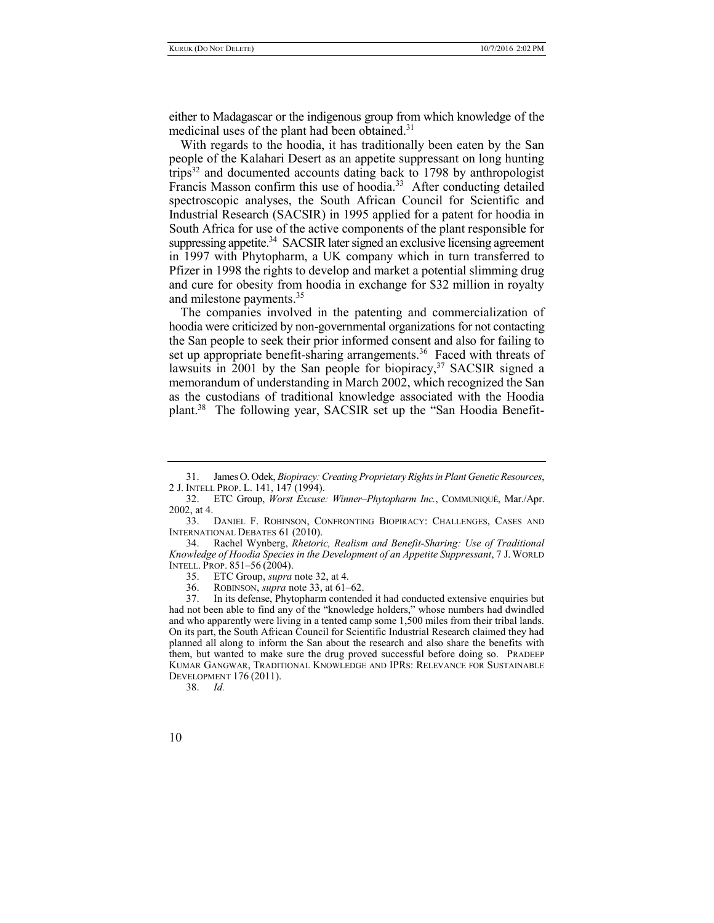either to Madagascar or the indigenous group from which knowledge of the medicinal uses of the plant had been obtained.<sup>31</sup>

With regards to the hoodia, it has traditionally been eaten by the San people of the Kalahari Desert as an appetite suppressant on long hunting  $t$ rips $32$  and documented accounts dating back to 1798 by anthropologist Francis Masson confirm this use of hoodia.<sup>33</sup> After conducting detailed spectroscopic analyses, the South African Council for Scientific and Industrial Research (SACSIR) in 1995 applied for a patent for hoodia in South Africa for use of the active components of the plant responsible for suppressing appetite.<sup>34</sup> SACSIR later signed an exclusive licensing agreement in 1997 with Phytopharm, a UK company which in turn transferred to Pfizer in 1998 the rights to develop and market a potential slimming drug and cure for obesity from hoodia in exchange for \$32 million in royalty and milestone payments.<sup>35</sup>

The companies involved in the patenting and commercialization of hoodia were criticized by non-governmental organizations for not contacting the San people to seek their prior informed consent and also for failing to set up appropriate benefit-sharing arrangements.<sup>36</sup> Faced with threats of lawsuits in  $2001$  by the San people for biopiracy,<sup>37</sup> SACSIR signed a memorandum of understanding in March 2002, which recognized the San as the custodians of traditional knowledge associated with the Hoodia plant.<sup>38</sup> The following year, SACSIR set up the "San Hoodia Benefit-

<sup>31.</sup> James O. Odek, *Biopiracy: Creating Proprietary Rights in Plant Genetic Resources*, 2 J. INTELL PROP. L. 141, 147 (1994).

<sup>32.</sup> ETC Group, *Worst Excuse: Winner–Phytopharm Inc.*, COMMUNIQUÉ, Mar./Apr. 2002, at 4.

<sup>33.</sup> DANIEL F. ROBINSON, CONFRONTING BIOPIRACY: CHALLENGES, CASES AND INTERNATIONAL DEBATES 61 (2010).

<sup>34.</sup> Rachel Wynberg, *Rhetoric, Realism and Benefit-Sharing: Use of Traditional Knowledge of Hoodia Species in the Development of an Appetite Suppressant*, 7 J. WORLD INTELL. PROP. 851–56 (2004).

<sup>35.</sup> ETC Group, *supra* note 32, at 4.

<sup>36.</sup> ROBINSON, *supra* note 33, at 61–62.

<sup>37.</sup> In its defense, Phytopharm contended it had conducted extensive enquiries but had not been able to find any of the "knowledge holders," whose numbers had dwindled and who apparently were living in a tented camp some 1,500 miles from their tribal lands. On its part, the South African Council for Scientific Industrial Research claimed they had planned all along to inform the San about the research and also share the benefits with them, but wanted to make sure the drug proved successful before doing so. PRADEEP KUMAR GANGWAR, TRADITIONAL KNOWLEDGE AND IPRS: RELEVANCE FOR SUSTAINABLE DEVELOPMENT 176 (2011).

<sup>38.</sup> *Id.*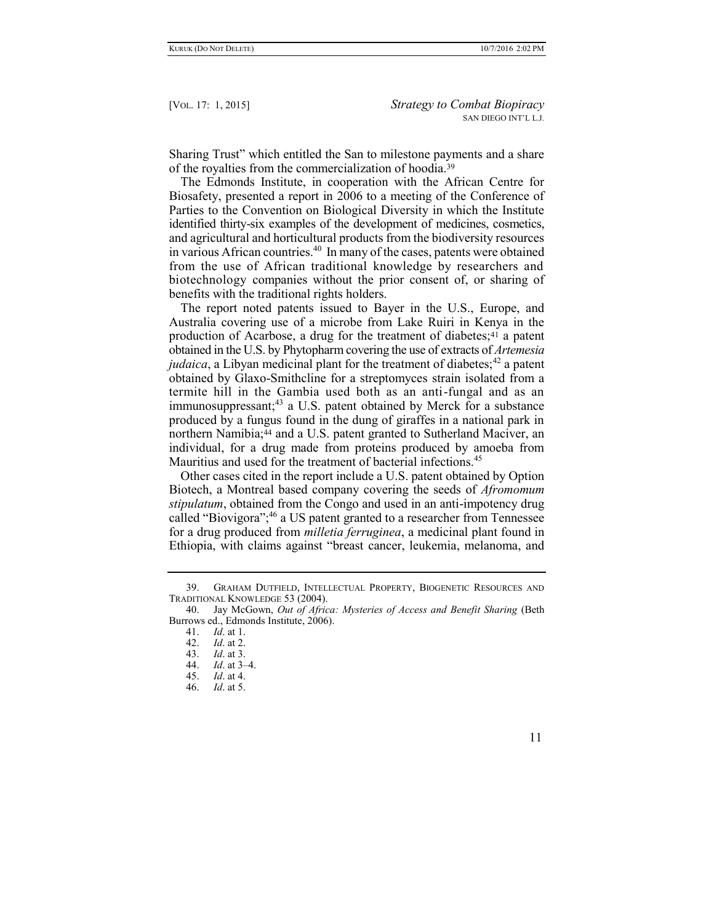Sharing Trust" which entitled the San to milestone payments and a share of the royalties from the commercialization of hoodia.<sup>39</sup>

The Edmonds Institute, in cooperation with the African Centre for Biosafety, presented a report in 2006 to a meeting of the Conference of Parties to the Convention on Biological Diversity in which the Institute identified thirty-six examples of the development of medicines, cosmetics, and agricultural and horticultural products from the biodiversity resources in various African countries.<sup>40</sup> In many of the cases, patents were obtained from the use of African traditional knowledge by researchers and biotechnology companies without the prior consent of, or sharing of benefits with the traditional rights holders.

The report noted patents issued to Bayer in the U.S., Europe, and Australia covering use of a microbe from Lake Ruiri in Kenya in the production of Acarbose, a drug for the treatment of diabetes;<sup>41</sup> a patent obtained in the U.S. by Phytopharm covering the use of extracts of *Artemesia judaica*, a Libyan medicinal plant for the treatment of diabetes;<sup>42</sup> a patent obtained by Glaxo-Smithcline for a streptomyces strain isolated from a termite hill in the Gambia used both as an anti-fungal and as an immunosuppressant;<sup>43</sup> a U.S. patent obtained by Merck for a substance produced by a fungus found in the dung of giraffes in a national park in northern Namibia;<sup>44</sup> and a U.S. patent granted to Sutherland Maciver, an individual, for a drug made from proteins produced by amoeba from Mauritius and used for the treatment of bacterial infections.<sup>45</sup>

Other cases cited in the report include a U.S. patent obtained by Option Biotech, a Montreal based company covering the seeds of *Afromomum stipulatum*, obtained from the Congo and used in an anti-impotency drug called "Biovigora";<sup>46</sup> a US patent granted to a researcher from Tennessee for a drug produced from *milletia ferruginea*, a medicinal plant found in Ethiopia, with claims against "breast cancer, leukemia, melanoma, and

<sup>39.</sup> GRAHAM DUTFIELD, INTELLECTUAL PROPERTY, BIOGENETIC RESOURCES AND TRADITIONAL KNOWLEDGE 53 (2004).

<sup>40.</sup> Jay McGown, *Out of Africa: Mysteries of Access and Benefit Sharing* (Beth Burrows ed., Edmonds Institute, 2006).

<sup>41.</sup> *Id*. at 1.

<sup>42.</sup> *Id*. at 2.

<sup>43.</sup> *Id*. at 3.

<sup>44.</sup> *Id*. at 3–4.

<sup>45.</sup> *Id*. at 4.

<sup>46.</sup> *Id*. at 5.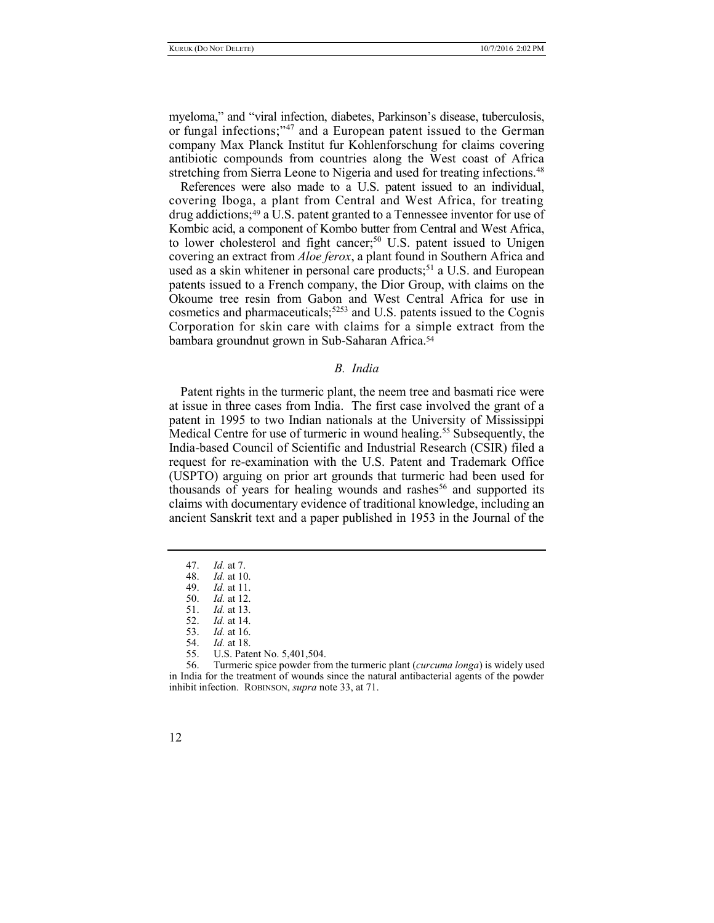myeloma," and "viral infection, diabetes, Parkinson's disease, tuberculosis, or fungal infections;"<sup>47</sup> and a European patent issued to the German company Max Planck Institut fur Kohlenforschung for claims covering antibiotic compounds from countries along the West coast of Africa stretching from Sierra Leone to Nigeria and used for treating infections.<sup>48</sup>

References were also made to a U.S. patent issued to an individual, covering Iboga, a plant from Central and West Africa, for treating drug addictions;<sup>49</sup> a U.S. patent granted to a Tennessee inventor for use of Kombic acid, a component of Kombo butter from Central and West Africa, to lower cholesterol and fight cancer;<sup>50</sup> U.S. patent issued to Unigen covering an extract from *Aloe ferox*, a plant found in Southern Africa and used as a skin whitener in personal care products;<sup>51</sup> a U.S. and European patents issued to a French company, the Dior Group, with claims on the Okoume tree resin from Gabon and West Central Africa for use in cosmetics and pharmaceuticals;<sup>5253</sup> and U.S. patents issued to the Cognis Corporation for skin care with claims for a simple extract from the bambara groundnut grown in Sub-Saharan Africa.<sup>54</sup>

#### *B. India*

Patent rights in the turmeric plant, the neem tree and basmati rice were at issue in three cases from India.The first case involved the grant of a patent in 1995 to two Indian nationals at the University of Mississippi Medical Centre for use of turmeric in wound healing.<sup>55</sup> Subsequently, the India-based Council of Scientific and Industrial Research (CSIR) filed a request for re-examination with the U.S. Patent and Trademark Office (USPTO) arguing on prior art grounds that turmeric had been used for thousands of years for healing wounds and rashes<sup>56</sup> and supported its claims with documentary evidence of traditional knowledge, including an ancient Sanskrit text and a paper published in 1953 in the Journal of the

- 47. *Id.* at 7.
- 48. *Id.* at 10.
- 49. *Id.* at 11.

- 52. *Id.* at 14.
- 53. *Id.* at 16.
- 54. *Id.* at 18.
- 55. U.S. Patent No. 5,401,504.

56. Turmeric spice powder from the turmeric plant (*curcuma longa*) is widely used in India for the treatment of wounds since the natural antibacterial agents of the powder inhibit infection. ROBINSON, *supra* note 33, at 71.

<sup>50.</sup> *Id.* at 12.

<sup>51.</sup> *Id.* at 13.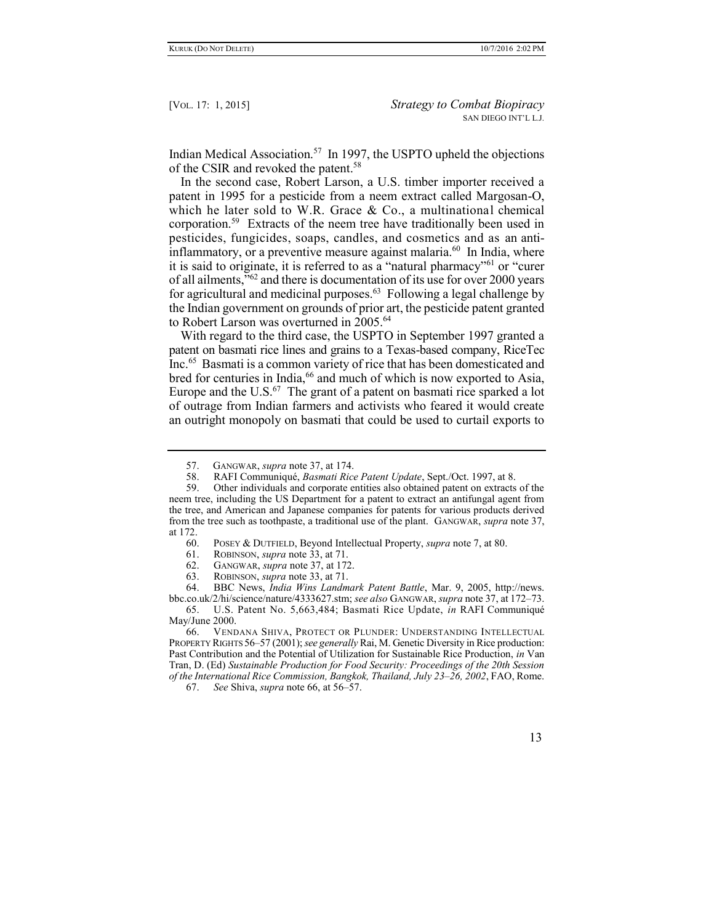Indian Medical Association.<sup>57</sup> In 1997, the USPTO upheld the objections of the CSIR and revoked the patent.<sup>58</sup>

In the second case, Robert Larson, a U.S. timber importer received a patent in 1995 for a pesticide from a neem extract called Margosan-O, which he later sold to W.R. Grace  $& Co., a$  multinational chemical corporation.<sup>59</sup> Extracts of the neem tree have traditionally been used in pesticides, fungicides, soaps, candles, and cosmetics and as an antiinflammatory, or a preventive measure against malaria.<sup>60</sup> In India, where it is said to originate, it is referred to as a "natural pharmacy"<sup>61</sup> or "curer of all ailments,"<sup>62</sup> and there is documentation of its use for over 2000 years for agricultural and medicinal purposes.<sup>63</sup> Following a legal challenge by the Indian government on grounds of prior art, the pesticide patent granted to Robert Larson was overturned in 2005.<sup>64</sup>

With regard to the third case, the USPTO in September 1997 granted a patent on basmati rice lines and grains to a Texas-based company, RiceTec Inc.<sup>65</sup> Basmati is a common variety of rice that has been domesticated and bred for centuries in India,<sup>66</sup> and much of which is now exported to Asia, Europe and the  $U.S.^{67}$  The grant of a patent on basmati rice sparked a lot of outrage from Indian farmers and activists who feared it would create an outright monopoly on basmati that could be used to curtail exports to

<sup>57.</sup> GANGWAR, *supra* note 37, at 174.

<sup>58.</sup> RAFI Communiqué, *Basmati Rice Patent Update*, Sept./Oct. 1997, at 8.

<sup>59.</sup> Other individuals and corporate entities also obtained patent on extracts of the neem tree, including the US Department for a patent to extract an antifungal agent from the tree, and American and Japanese companies for patents for various products derived from the tree such as toothpaste, a traditional use of the plant. GANGWAR, *supra* note 37, at 172.

<sup>60.</sup> POSEY & DUTFIELD, Beyond Intellectual Property, *supra* note 7, at 80.

<sup>61.</sup> ROBINSON, *supra* note 33, at 71.

<sup>62.</sup> GANGWAR, *supra* note 37, at 172.

<sup>63.</sup> ROBINSON, *supra* note 33, at 71.

<sup>64.</sup> BBC News, *India Wins Landmark Patent Battle*, Mar. 9, 2005, http://news. bbc.co.uk/2/hi/science/nature/4333627.stm; *see also* GANGWAR, *supra* note 37, at 172–73.

<sup>65.</sup> U.S. Patent No. 5,663,484; Basmati Rice Update, *in* RAFI Communiqué May/June 2000.

<sup>66.</sup> VENDANA SHIVA, PROTECT OR PLUNDER: UNDERSTANDING INTELLECTUAL PROPERTY RIGHTS 56–57 (2001); *see generally* Rai, M. Genetic Diversity in Rice production: Past Contribution and the Potential of Utilization for Sustainable Rice Production, *in* Van Tran, D. (Ed) *Sustainable Production for Food Security: Proceedings of the 20th Session of the International Rice Commission, Bangkok, Thailand, July 23–26, 2002*, FAO, Rome.

<sup>67.</sup> *See* Shiva, *supra* note 66, at 56–57.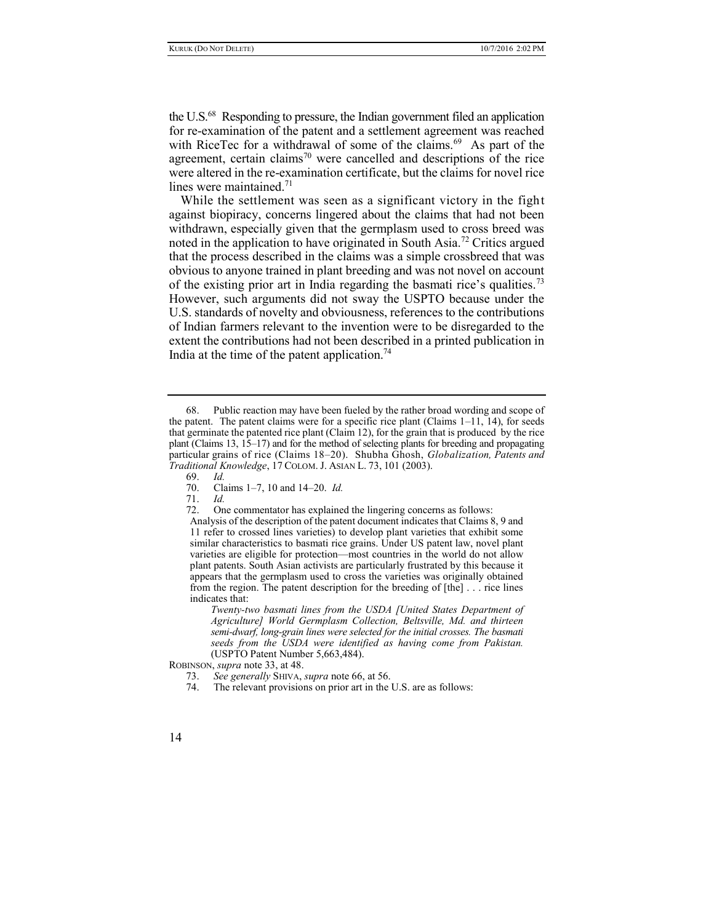the U.S.<sup>68</sup> Responding to pressure, the Indian government filed an application for re-examination of the patent and a settlement agreement was reached with RiceTec for a withdrawal of some of the claims.<sup>69</sup> As part of the agreement, certain claims<sup>70</sup> were cancelled and descriptions of the rice were altered in the re-examination certificate, but the claims for novel rice lines were maintained. $71$ 

While the settlement was seen as a significant victory in the fight against biopiracy, concerns lingered about the claims that had not been withdrawn, especially given that the germplasm used to cross breed was noted in the application to have originated in South Asia.<sup>72</sup> Critics argued that the process described in the claims was a simple crossbreed that was obvious to anyone trained in plant breeding and was not novel on account of the existing prior art in India regarding the basmati rice's qualities.<sup>73</sup> However, such arguments did not sway the USPTO because under the U.S. standards of novelty and obviousness, references to the contributions of Indian farmers relevant to the invention were to be disregarded to the extent the contributions had not been described in a printed publication in India at the time of the patent application.<sup>74</sup>

*Twenty-two basmati lines from the USDA [United States Department of Agriculture] World Germplasm Collection, Beltsville, Md. and thirteen semi-dwarf, long-grain lines were selected for the initial crosses. The basmati seeds from the USDA were identified as having come from Pakistan.*  (USPTO Patent Number 5,663,484).

ROBINSON, *supra* note 33, at 48.

- 73. *See generally* SHIVA, *supra* note 66, at 56.
- 74. The relevant provisions on prior art in the U.S. are as follows:

<sup>68.</sup> Public reaction may have been fueled by the rather broad wording and scope of the patent. The patent claims were for a specific rice plant (Claims  $1-11$ , 14), for seeds that germinate the patented rice plant (Claim 12), for the grain that is produced by the rice plant (Claims 13, 15–17) and for the method of selecting plants for breeding and propagating particular grains of rice (Claims 18–20). Shubha Ghosh, *Globalization, Patents and Traditional Knowledge*, 17 COLOM. J. ASIAN L. 73, 101 (2003).

<sup>69.</sup> *Id.*

<sup>70.</sup> Claims 1–7, 10 and 14–20. *Id.*

<sup>71.</sup> *Id.*

<sup>72.</sup> One commentator has explained the lingering concerns as follows:

Analysis of the description of the patent document indicates that Claims 8, 9 and 11 refer to crossed lines varieties) to develop plant varieties that exhibit some similar characteristics to basmati rice grains. Under US patent law, novel plant varieties are eligible for protection—most countries in the world do not allow plant patents. South Asian activists are particularly frustrated by this because it appears that the germplasm used to cross the varieties was originally obtained from the region. The patent description for the breeding of [the] . . . rice lines indicates that: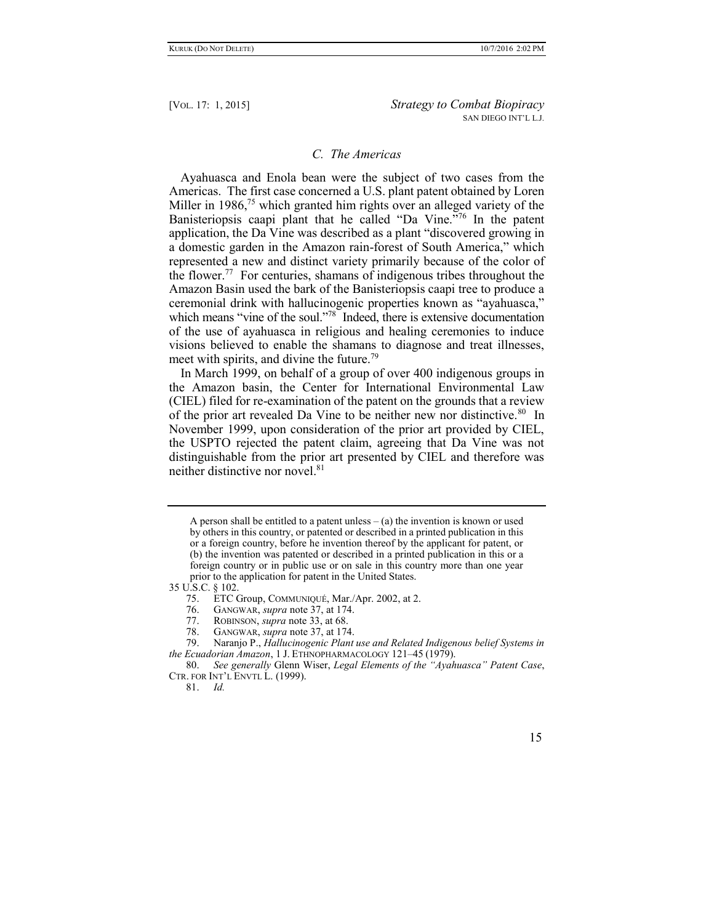#### *C. The Americas*

Ayahuasca and Enola bean were the subject of two cases from the Americas. The first case concerned a U.S. plant patent obtained by Loren Miller in 1986,<sup>75</sup> which granted him rights over an alleged variety of the Banisteriopsis caapi plant that he called "Da Vine.<sup>576</sup> In the patent application, the Da Vine was described as a plant "discovered growing in a domestic garden in the Amazon rain-forest of South America," which represented a new and distinct variety primarily because of the color of the flower.<sup>77</sup> For centuries, shamans of indigenous tribes throughout the Amazon Basin used the bark of the Banisteriopsis caapi tree to produce a ceremonial drink with hallucinogenic properties known as "ayahuasca," which means "vine of the soul."<sup>78</sup> Indeed, there is extensive documentation of the use of ayahuasca in religious and healing ceremonies to induce visions believed to enable the shamans to diagnose and treat illnesses, meet with spirits, and divine the future.<sup>79</sup>

In March 1999, on behalf of a group of over 400 indigenous groups in the Amazon basin, the Center for International Environmental Law (CIEL) filed for re-examination of the patent on the grounds that a review of the prior art revealed Da Vine to be neither new nor distinctive.<sup>80</sup> In November 1999, upon consideration of the prior art provided by CIEL, the USPTO rejected the patent claim, agreeing that Da Vine was not distinguishable from the prior art presented by CIEL and therefore was neither distinctive nor novel.<sup>81</sup>

A person shall be entitled to a patent unless  $-$  (a) the invention is known or used by others in this country, or patented or described in a printed publication in this or a foreign country, before he invention thereof by the applicant for patent, or (b) the invention was patented or described in a printed publication in this or a foreign country or in public use or on sale in this country more than one year prior to the application for patent in the United States.

<sup>35</sup> U.S.C. § 102.

<sup>75.</sup> ETC Group, COMMUNIQUÉ, Mar./Apr. 2002, at 2.

<sup>76.</sup> GANGWAR, *supra* note 37, at 174.

<sup>77.</sup> ROBINSON, *supra* note 33, at 68.

<sup>78.</sup> GANGWAR, *supra* note 37, at 174.

<sup>79.</sup> Naranjo P., *Hallucinogenic Plant use and Related Indigenous belief Systems in the Ecuadorian Amazon*, 1 J. ETHNOPHARMACOLOGY 121–45 (1979).

<sup>80.</sup> *See generally* Glenn Wiser, *Legal Elements of the "Ayahuasca" Patent Case*, CTR. FOR INT'L ENVTL L. (1999).

<sup>81.</sup> *Id.*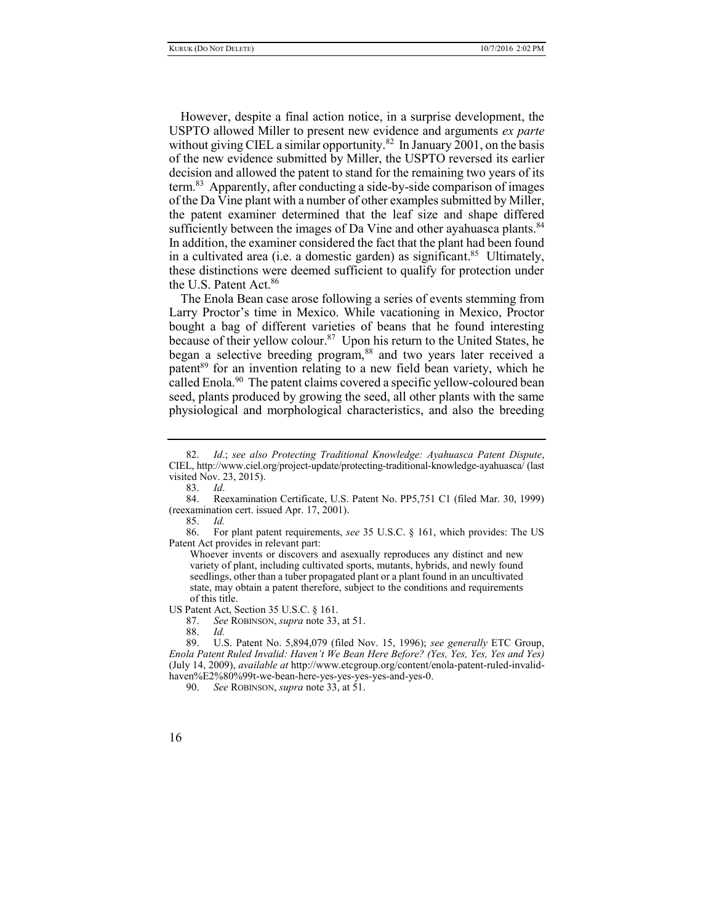However, despite a final action notice, in a surprise development, the USPTO allowed Miller to present new evidence and arguments *ex parte* without giving CIEL a similar opportunity.<sup>82</sup> In January 2001, on the basis of the new evidence submitted by Miller, the USPTO reversed its earlier decision and allowed the patent to stand for the remaining two years of its term.<sup>83</sup> Apparently, after conducting a side-by-side comparison of images of the Da Vine plant with a number of other examples submitted by Miller, the patent examiner determined that the leaf size and shape differed sufficiently between the images of Da Vine and other ayahuasca plants.<sup>84</sup> In addition, the examiner considered the fact that the plant had been found in a cultivated area (i.e. a domestic garden) as significant.<sup>85</sup> Ultimately, these distinctions were deemed sufficient to qualify for protection under the U.S. Patent Act.<sup>86</sup>

The Enola Bean case arose following a series of events stemming from Larry Proctor's time in Mexico. While vacationing in Mexico, Proctor bought a bag of different varieties of beans that he found interesting because of their yellow colour.<sup>87</sup> Upon his return to the United States, he began a selective breeding program,<sup>88</sup> and two years later received a patent<sup>89</sup> for an invention relating to a new field bean variety, which he called Enola.<sup>90</sup> The patent claims covered a specific yellow-coloured bean seed, plants produced by growing the seed, all other plants with the same physiological and morphological characteristics, and also the breeding

<sup>82.</sup> *Id*.; *see also Protecting Traditional Knowledge: Ayahuasca Patent Dispute*, CIEL, http://www.ciel.org/project-update/protecting-traditional-knowledge-ayahuasca/ (last visited Nov. 23, 2015).

<sup>83.</sup> *Id*.

<sup>84.</sup> Reexamination Certificate, U.S. Patent No. PP5,751 C1 (filed Mar. 30, 1999) (reexamination cert. issued Apr. 17, 2001).

<sup>85.</sup> *Id.*

<sup>86.</sup> For plant patent requirements, *see* 35 U.S.C. § 161, which provides: The US Patent Act provides in relevant part:

Whoever invents or discovers and asexually reproduces any distinct and new variety of plant, including cultivated sports, mutants, hybrids, and newly found seedlings, other than a tuber propagated plant or a plant found in an uncultivated state, may obtain a patent therefore, subject to the conditions and requirements of this title.

US Patent Act, Section 35 U.S.C. § 161.

<sup>87.</sup> *See* ROBINSON, *supra* note 33, at 51.

<sup>88.</sup> *Id.*

<sup>89.</sup> U.S. Patent No. 5,894,079 (filed Nov. 15, 1996); *see generally* ETC Group, *Enola Patent Ruled Invalid: Haven't We Bean Here Before? (Yes, Yes, Yes, Yes and Yes)* (July 14, 2009), *available at* http://www.etcgroup.org/content/enola-patent-ruled-invalidhaven%E2%80%99t-we-bean-here-yes-yes-yes-yes-and-yes-0.

<sup>90.</sup> *See* ROBINSON, *supra* note 33, at 51.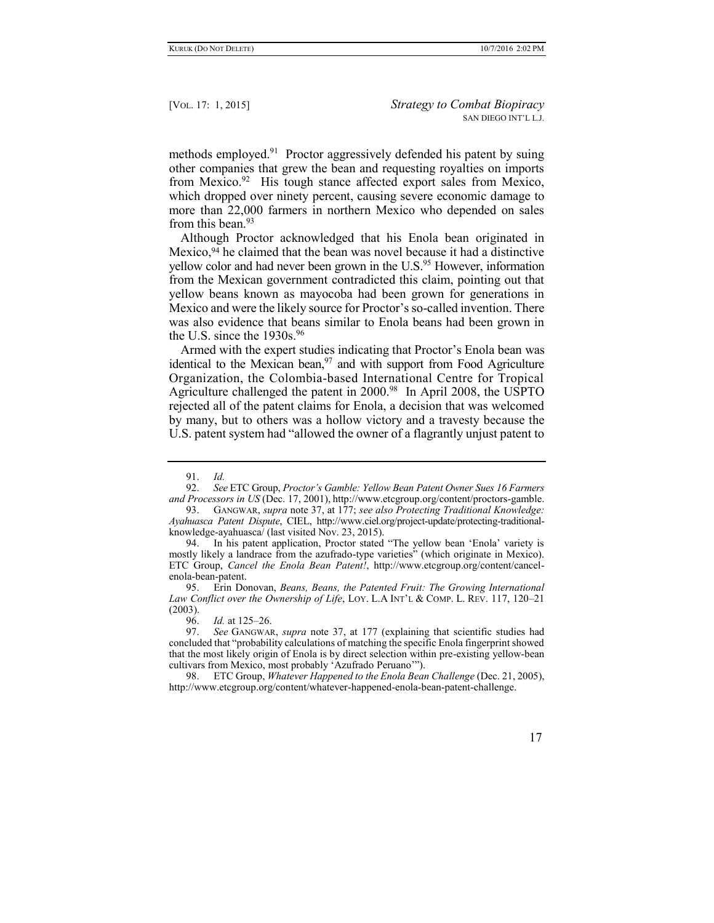methods employed.<sup>91</sup> Proctor aggressively defended his patent by suing other companies that grew the bean and requesting royalties on imports from Mexico.<sup>92</sup> His tough stance affected export sales from Mexico, which dropped over ninety percent, causing severe economic damage to more than 22,000 farmers in northern Mexico who depended on sales from this bean.<sup>93</sup>

Although Proctor acknowledged that his Enola bean originated in Mexico,<sup>94</sup> he claimed that the bean was novel because it had a distinctive yellow color and had never been grown in the U.S.<sup>95</sup> However, information from the Mexican government contradicted this claim, pointing out that yellow beans known as mayocoba had been grown for generations in Mexico and were the likely source for Proctor's so-called invention. There was also evidence that beans similar to Enola beans had been grown in the U.S. since the 1930s.<sup>96</sup>

Armed with the expert studies indicating that Proctor's Enola bean was identical to the Mexican bean,  $97$  and with support from Food Agriculture Organization, the Colombia-based International Centre for Tropical Agriculture challenged the patent in 2000.<sup>98</sup> In April 2008, the USPTO rejected all of the patent claims for Enola, a decision that was welcomed by many, but to others was a hollow victory and a travesty because the U.S. patent system had "allowed the owner of a flagrantly unjust patent to

<sup>91.</sup> *Id.*

<sup>92.</sup> *See* ETC Group, *Proctor's Gamble: Yellow Bean Patent Owner Sues 16 Farmers and Processors in US* (Dec. 17, 2001), http://www.etcgroup.org/content/proctors-gamble.

<sup>93.</sup> GANGWAR, *supra* note 37, at 177; *see also Protecting Traditional Knowledge: Ayahuasca Patent Dispute*, CIEL, http://www.ciel.org/project-update/protecting-traditionalknowledge-ayahuasca/ (last visited Nov. 23, 2015).

<sup>94.</sup> In his patent application, Proctor stated "The yellow bean 'Enola' variety is mostly likely a landrace from the azufrado-type varieties" (which originate in Mexico). ETC Group, *Cancel the Enola Bean Patent!*, http://www.etcgroup.org/content/cancelenola-bean-patent.

<sup>95.</sup> Erin Donovan, *Beans, Beans, the Patented Fruit: The Growing International Law Conflict over the Ownership of Life*, LOY. L.A INT'L & COMP. L. REV. 117, 120–21  $(2003)$ .<br>96.

<sup>96.</sup> *Id.* at 125–26.

<sup>97.</sup> *See* GANGWAR, *supra* note 37, at 177 (explaining that scientific studies had concluded that "probability calculations of matching the specific Enola fingerprint showed that the most likely origin of Enola is by direct selection within pre-existing yellow-bean cultivars from Mexico, most probably 'Azufrado Peruano'").

<sup>98.</sup> ETC Group, *Whatever Happened to the Enola Bean Challenge* (Dec. 21, 2005), http://www.etcgroup.org/content/whatever-happened-enola-bean-patent-challenge.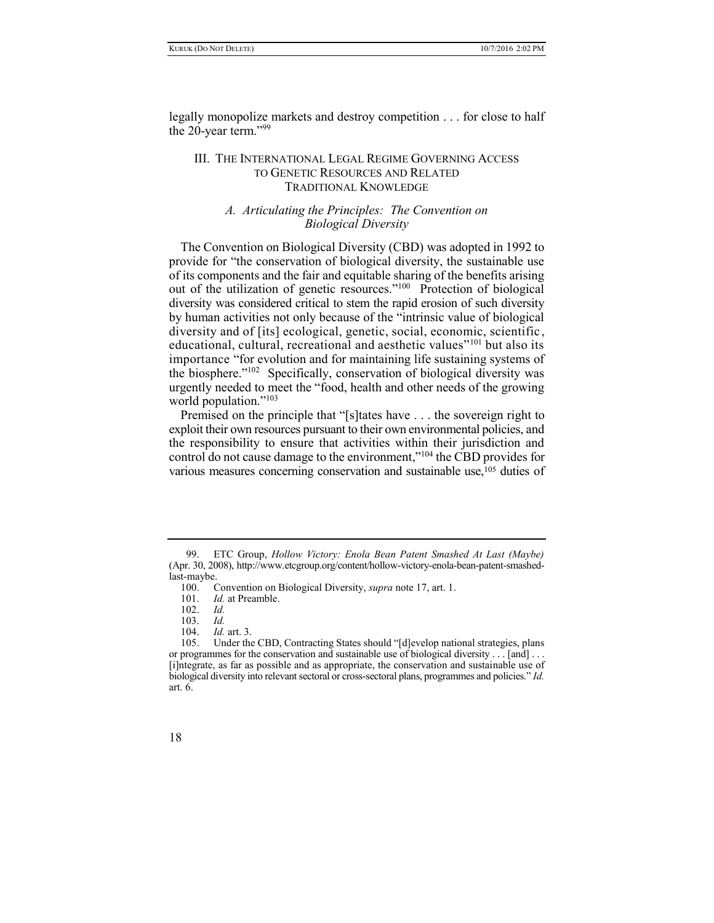legally monopolize markets and destroy competition . . . for close to half the 20-year term."<sup>99</sup>

# III. THE INTERNATIONAL LEGAL REGIME GOVERNING ACCESS TO GENETIC RESOURCES AND RELATED TRADITIONAL KNOWLEDGE

# *A. Articulating the Principles: The Convention on Biological Diversity*

The Convention on Biological Diversity (CBD) was adopted in 1992 to provide for "the conservation of biological diversity, the sustainable use of its components and the fair and equitable sharing of the benefits arising out of the utilization of genetic resources."<sup>100</sup> Protection of biological diversity was considered critical to stem the rapid erosion of such diversity by human activities not only because of the "intrinsic value of biological diversity and of [its] ecological, genetic, social, economic, scientific , educational, cultural, recreational and aesthetic values"<sup>101</sup> but also its importance "for evolution and for maintaining life sustaining systems of the biosphere."<sup>102</sup> Specifically, conservation of biological diversity was urgently needed to meet the "food, health and other needs of the growing world population."<sup>103</sup>

Premised on the principle that "[s]tates have . . . the sovereign right to exploit their own resources pursuant to their own environmental policies, and the responsibility to ensure that activities within their jurisdiction and control do not cause damage to the environment,"<sup>104</sup> the CBD provides for various measures concerning conservation and sustainable use,<sup>105</sup> duties of

<sup>99.</sup> ETC Group, *Hollow Victory: Enola Bean Patent Smashed At Last (Maybe)* (Apr. 30, 2008), http://www.etcgroup.org/content/hollow-victory-enola-bean-patent-smashedlast-maybe.

<sup>100.</sup> Convention on Biological Diversity, *supra* note 17, art. 1.

<sup>101.</sup> *Id.* at Preamble.

<sup>102.</sup> *Id.*

<sup>103.</sup> *Id.*

<sup>104.</sup> *Id.* art. 3.

<sup>105.</sup> Under the CBD, Contracting States should "[d]evelop national strategies, plans or programmes for the conservation and sustainable use of biological diversity . . . [and] . . . [i]ntegrate, as far as possible and as appropriate, the conservation and sustainable use of biological diversity into relevant sectoral or cross-sectoral plans, programmes and policies." *Id.* art. 6.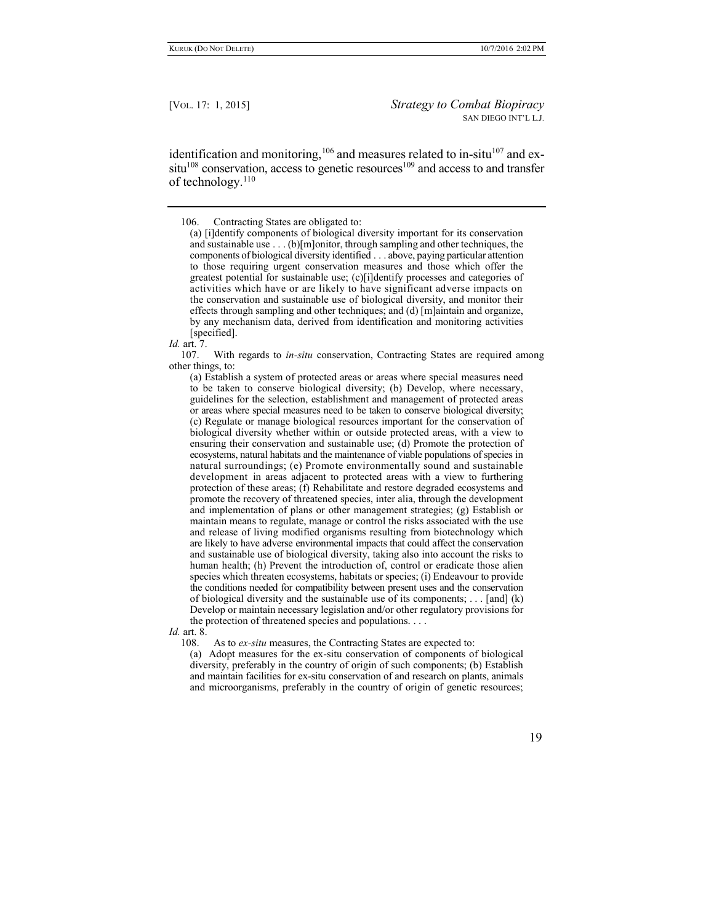identification and monitoring,  $106$  and measures related to in-situ $107$  and ex $situ<sup>108</sup>$  conservation, access to genetic resources<sup>109</sup> and access to and transfer of technology.<sup>110</sup>

106. Contracting States are obligated to:

*Id.* art. 7.<br>107. 107. With regards to *in-situ* conservation, Contracting States are required among other things, to:

(a) Establish a system of protected areas or areas where special measures need to be taken to conserve biological diversity; (b) Develop, where necessary, guidelines for the selection, establishment and management of protected areas or areas where special measures need to be taken to conserve biological diversity; (c) Regulate or manage biological resources important for the conservation of biological diversity whether within or outside protected areas, with a view to ensuring their conservation and sustainable use; (d) Promote the protection of ecosystems, natural habitats and the maintenance of viable populations of species in natural surroundings; (e) Promote environmentally sound and sustainable development in areas adjacent to protected areas with a view to furthering protection of these areas; (f) Rehabilitate and restore degraded ecosystems and promote the recovery of threatened species, inter alia, through the development and implementation of plans or other management strategies; (g) Establish or maintain means to regulate, manage or control the risks associated with the use and release of living modified organisms resulting from biotechnology which are likely to have adverse environmental impacts that could affect the conservation and sustainable use of biological diversity, taking also into account the risks to human health; (h) Prevent the introduction of, control or eradicate those alien species which threaten ecosystems, habitats or species; (i) Endeavour to provide the conditions needed for compatibility between present uses and the conservation of biological diversity and the sustainable use of its components; ... [and] (k) Develop or maintain necessary legislation and/or other regulatory provisions for the protection of threatened species and populations. . . .

*Id.* art. 8.

108. As to *ex-situ* measures, the Contracting States are expected to:

(a) Adopt measures for the ex-situ conservation of components of biological diversity, preferably in the country of origin of such components; (b) Establish and maintain facilities for ex-situ conservation of and research on plants, animals and microorganisms, preferably in the country of origin of genetic resources;

<sup>(</sup>a) [i]dentify components of biological diversity important for its conservation and sustainable use  $\dots$  (b)[m]onitor, through sampling and other techniques, the components of biological diversity identified . . . above, paying particular attention to those requiring urgent conservation measures and those which offer the greatest potential for sustainable use; (c)[i]dentify processes and categories of activities which have or are likely to have significant adverse impacts on the conservation and sustainable use of biological diversity, and monitor their effects through sampling and other techniques; and (d) [m]aintain and organize, by any mechanism data, derived from identification and monitoring activities [specified].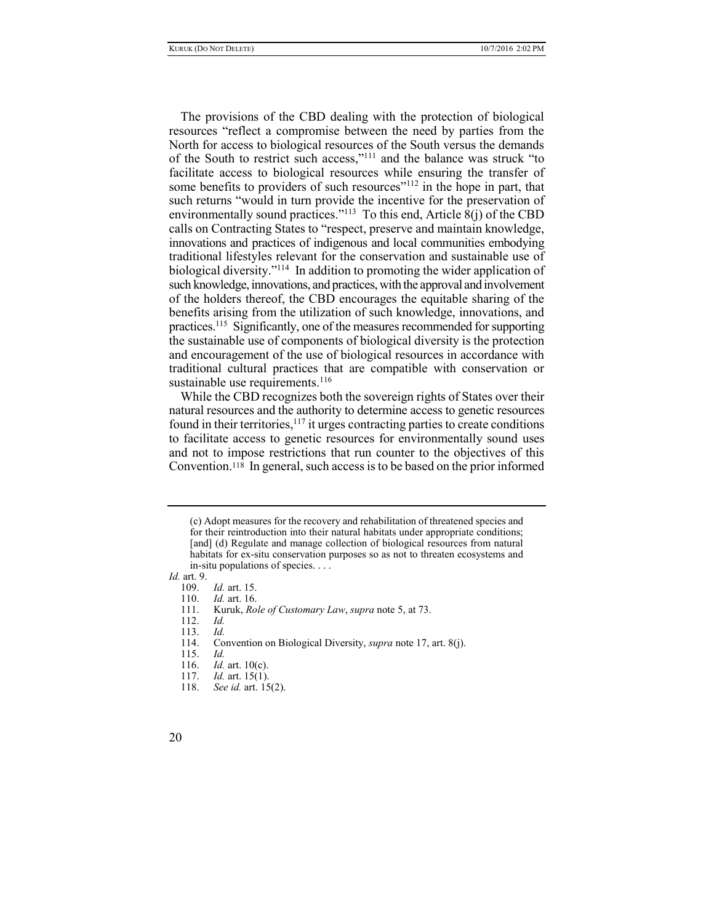The provisions of the CBD dealing with the protection of biological resources "reflect a compromise between the need by parties from the North for access to biological resources of the South versus the demands of the South to restrict such access,"<sup>111</sup> and the balance was struck "to facilitate access to biological resources while ensuring the transfer of some benefits to providers of such resources<sup>"112</sup> in the hope in part, that such returns "would in turn provide the incentive for the preservation of environmentally sound practices."<sup>113</sup> To this end, Article  $\delta(j)$  of the CBD calls on Contracting States to "respect, preserve and maintain knowledge, innovations and practices of indigenous and local communities embodying traditional lifestyles relevant for the conservation and sustainable use of biological diversity."<sup>114</sup> In addition to promoting the wider application of such knowledge, innovations, and practices, with the approval and involvement of the holders thereof, the CBD encourages the equitable sharing of the benefits arising from the utilization of such knowledge, innovations, and practices.<sup>115</sup> Significantly, one of the measures recommended for supporting the sustainable use of components of biological diversity is the protection and encouragement of the use of biological resources in accordance with traditional cultural practices that are compatible with conservation or sustainable use requirements.<sup>116</sup>

While the CBD recognizes both the sovereign rights of States over their natural resources and the authority to determine access to genetic resources found in their territories,<sup>117</sup> it urges contracting parties to create conditions to facilitate access to genetic resources for environmentally sound uses and not to impose restrictions that run counter to the objectives of this Convention.118 In general, such access is to be based on the prior informed

<sup>(</sup>c) Adopt measures for the recovery and rehabilitation of threatened species and for their reintroduction into their natural habitats under appropriate conditions; [and] (d) Regulate and manage collection of biological resources from natural habitats for ex-situ conservation purposes so as not to threaten ecosystems and in-situ populations of species. . . .

*Id.* art. 9.<br>109.

*Id.* art. 15.

<sup>110.</sup> *Id.* art. 16.

<sup>111.</sup> Kuruk, *Role of Customary Law*, *supra* note 5, at 73.

<sup>112.</sup> *Id.*

<sup>113.</sup> *Id.*

<sup>114.</sup> Convention on Biological Diversity, *supra* note 17, art. 8(j).

<sup>115.</sup> *Id.*

<sup>116.</sup> *Id.* art. 10(c).

<sup>117.</sup> *Id.* art. 15(1).

<sup>118.</sup> *See id.* art. 15(2).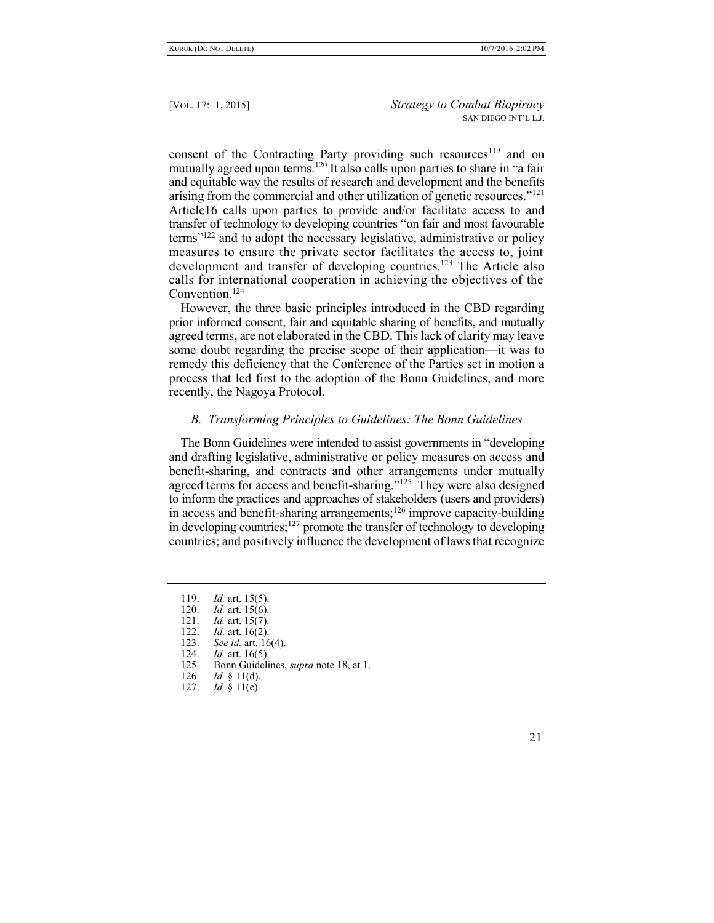consent of the Contracting Party providing such resources<sup>119</sup> and on mutually agreed upon terms.<sup>120</sup> It also calls upon parties to share in "a fair and equitable way the results of research and development and the benefits arising from the commercial and other utilization of genetic resources."<sup>121</sup> Article16 calls upon parties to provide and/or facilitate access to and transfer of technology to developing countries "on fair and most favourable terms"<sup>122</sup> and to adopt the necessary legislative, administrative or policy measures to ensure the private sector facilitates the access to, joint development and transfer of developing countries.<sup>123</sup> The Article also calls for international cooperation in achieving the objectives of the Convention.<sup>124</sup>

However, the three basic principles introduced in the CBD regarding prior informed consent, fair and equitable sharing of benefits, and mutually agreed terms, are not elaborated in the CBD. This lack of clarity may leave some doubt regarding the precise scope of their application—it was to remedy this deficiency that the Conference of the Parties set in motion a process that led first to the adoption of the Bonn Guidelines, and more recently, the Nagoya Protocol.

### *B. Transforming Principles to Guidelines: The Bonn Guidelines*

The Bonn Guidelines were intended to assist governments in "developing and drafting legislative, administrative or policy measures on access and benefit-sharing, and contracts and other arrangements under mutually agreed terms for access and benefit-sharing."<sup>125</sup> They were also designed to inform the practices and approaches of stakeholders (users and providers) in access and benefit-sharing arrangements;<sup>126</sup> improve capacity-building in developing countries; $^{127}$  promote the transfer of technology to developing countries; and positively influence the development of laws that recognize

<sup>119.</sup> *Id.* art. 15(5).

<sup>120.</sup> *Id.* art. 15(6).

<sup>121.</sup> *Id.* art. 15(7).

<sup>122.</sup> *Id.* art. 16(2).

<sup>123.</sup> *See id.* art. 16(4).

<sup>124.</sup> *Id.* art. 16(5).

<sup>125.</sup> Bonn Guidelines, *supra* note 18, at 1.

<sup>126.</sup> *Id.* § 11(d).

<sup>127.</sup> *Id.* § 11(e).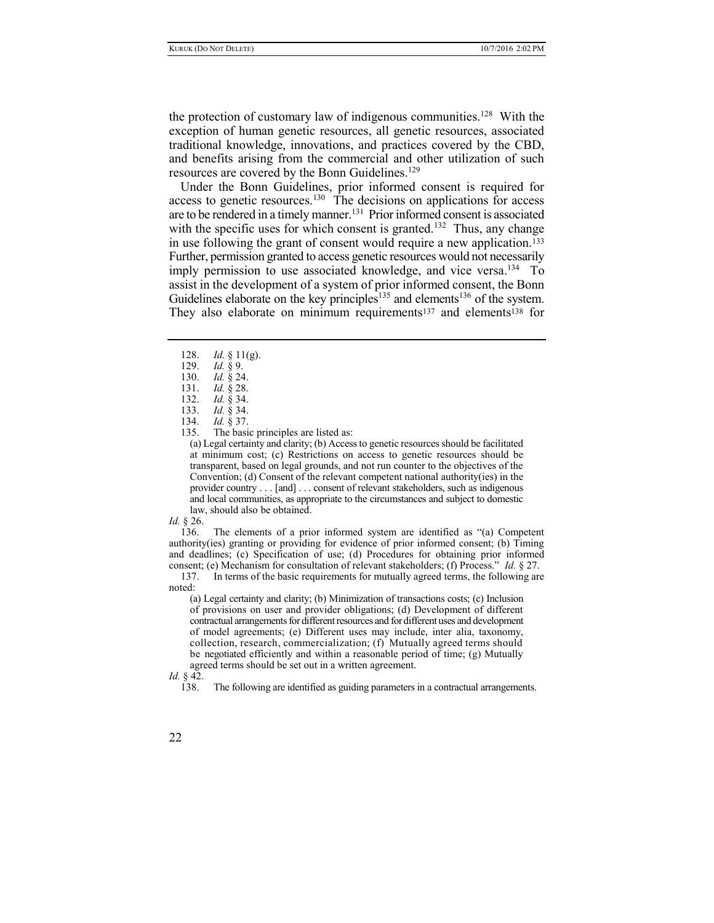the protection of customary law of indigenous communities.<sup>128</sup> With the exception of human genetic resources, all genetic resources, associated traditional knowledge, innovations, and practices covered by the CBD, and benefits arising from the commercial and other utilization of such resources are covered by the Bonn Guidelines.<sup>129</sup>

Under the Bonn Guidelines, prior informed consent is required for access to genetic resources.<sup>130</sup> The decisions on applications for access are to be rendered in a timely manner.<sup>131</sup> Prior informed consent is associated with the specific uses for which consent is granted.<sup>132</sup> Thus, any change in use following the grant of consent would require a new application.<sup>133</sup> Further, permission granted to access genetic resources would not necessarily imply permission to use associated knowledge, and vice versa.<sup>134</sup> To assist in the development of a system of prior informed consent, the Bonn Guidelines elaborate on the key principles<sup>135</sup> and elements<sup>136</sup> of the system. They also elaborate on minimum requirements<sup>137</sup> and elements<sup>138</sup> for

- 128. *Id.* § 11(g).
- 129. *Id.* § 9.
- 130. *Id.* § 24.
- *Id.* § 28.
- 132. *Id.* § 34.
- 133. *Id.* § 34.
- 134. *Id.* § 37.

135. The basic principles are listed as:

(a) Legal certainty and clarity; (b) Access to genetic resources should be facilitated at minimum cost; (c) Restrictions on access to genetic resources should be transparent, based on legal grounds, and not run counter to the objectives of the Convention; (d) Consent of the relevant competent national authority(ies) in the provider country . . . [and] . . . consent of relevant stakeholders, such as indigenous and local communities, as appropriate to the circumstances and subject to domestic law, should also be obtained.

#### *Id.* § 26.

136. The elements of a prior informed system are identified as "(a) Competent authority(ies) granting or providing for evidence of prior informed consent; (b) Timing and deadlines; (c) Specification of use; (d) Procedures for obtaining prior informed consent; (e) Mechanism for consultation of relevant stakeholders; (f) Process." *Id.* § 27.

137. In terms of the basic requirements for mutually agreed terms, the following are noted:

(a) Legal certainty and clarity; (b) Minimization of transactions costs; (c) Inclusion of provisions on user and provider obligations; (d) Development of different contractual arrangements for different resources and for different uses and development of model agreements; (e) Different uses may include, inter alia, taxonomy, collection, research, commercialization; (f) Mutually agreed terms should be negotiated efficiently and within a reasonable period of time; (g) Mutually agreed terms should be set out in a written agreement.

*Id.* § 42.

138. The following are identified as guiding parameters in a contractual arrangements.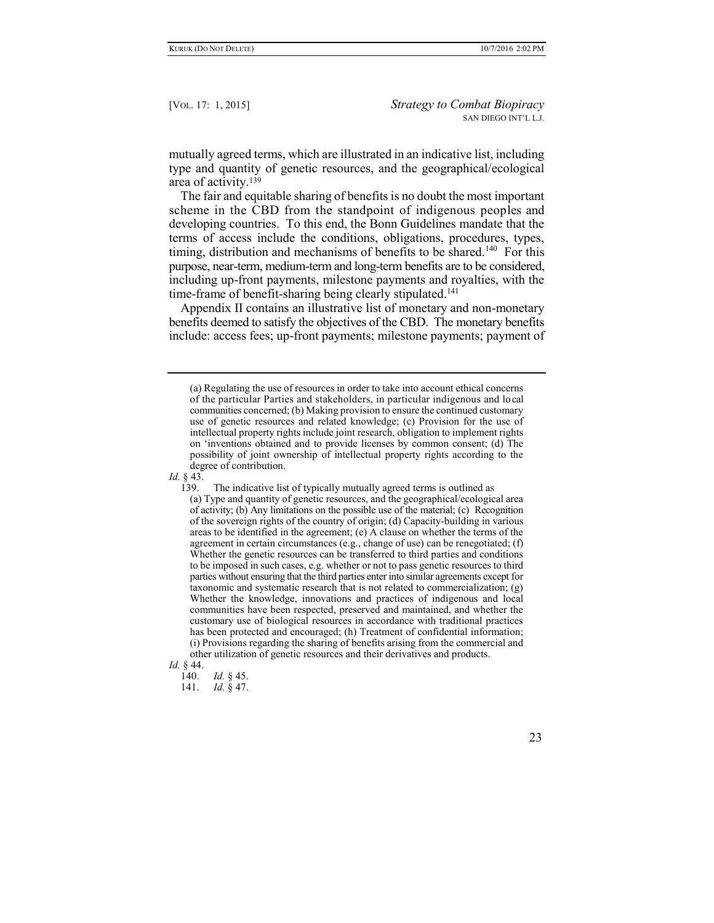mutually agreed terms, which are illustrated in an indicative list, including type and quantity of genetic resources, and the geographical/ecological area of activity.<sup>139</sup>

The fair and equitable sharing of benefits is no doubt the most important scheme in the CBD from the standpoint of indigenous peoples and developing countries. To this end, the Bonn Guidelines mandate that the terms of access include the conditions, obligations, procedures, types, timing, distribution and mechanisms of benefits to be shared.<sup>140</sup> For this purpose, near-term, medium-term and long-term benefits are to be considered, including up-front payments, milestone payments and royalties, with the time-frame of benefit-sharing being clearly stipulated.<sup>141</sup>

Appendix II contains an illustrative list of monetary and non-monetary benefits deemed to satisfy the objectives of the CBD. The monetary benefits include: access fees; up-front payments; milestone payments; payment of

*Id.* § 43.

<sup>(</sup>a) Regulating the use of resources in order to take into account ethical concerns of the particular Parties and stakeholders, in particular indigenous and local communities concerned; (b) Making provision to ensure the continued customary use of genetic resources and related knowledge; (c) Provision for the use of intellectual property rights include joint research, obligation to implement rights on 'inventions obtained and to provide licenses by common consent; (d) The possibility of joint ownership of intellectual property rights according to the degree of contribution.

<sup>139.</sup> The indicative list of typically mutually agreed terms is outlined as (a) Type and quantity of genetic resources, and the geographical/ecological area of activity; (b) Any limitations on the possible use of the material; (c) Recognition of the sovereign rights of the country of origin; (d) Capacity-building in various areas to be identified in the agreement; (e) A clause on whether the terms of the agreement in certain circumstances (e.g., change of use) can be renegotiated; (f) Whether the genetic resources can be transferred to third parties and conditions to be imposed in such cases, e.g. whether or not to pass genetic resources to third parties without ensuring that the third parties enter into similar agreements except for taxonomic and systematic research that is not related to commercialization; (g) Whether the knowledge, innovations and practices of indigenous and local communities have been respected, preserved and maintained, and whether the customary use of biological resources in accordance with traditional practices has been protected and encouraged; (h) Treatment of confidential information; (i) Provisions regarding the sharing of benefits arising from the commercial and other utilization of genetic resources and their derivatives and products.

*Id.* § 44.

<sup>140.</sup> *Id.* § 45.

<sup>141.</sup> *Id.* § 47.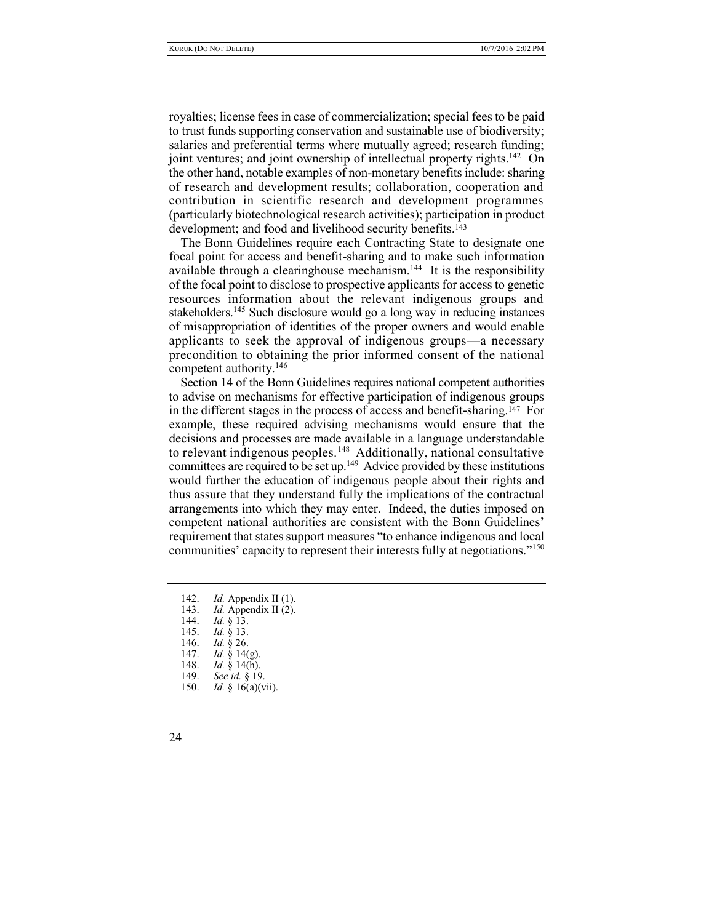royalties; license fees in case of commercialization; special fees to be paid to trust funds supporting conservation and sustainable use of biodiversity; salaries and preferential terms where mutually agreed; research funding; joint ventures; and joint ownership of intellectual property rights.<sup>142</sup> On the other hand, notable examples of non-monetary benefits include: sharing of research and development results; collaboration, cooperation and contribution in scientific research and development programmes (particularly biotechnological research activities); participation in product development; and food and livelihood security benefits.<sup>143</sup>

The Bonn Guidelines require each Contracting State to designate one focal point for access and benefit-sharing and to make such information available through a clearinghouse mechanism.<sup>144</sup> It is the responsibility of the focal point to disclose to prospective applicants for access to genetic resources information about the relevant indigenous groups and stakeholders.<sup>145</sup> Such disclosure would go a long way in reducing instances of misappropriation of identities of the proper owners and would enable applicants to seek the approval of indigenous groups—a necessary precondition to obtaining the prior informed consent of the national competent authority.<sup>146</sup>

Section 14 of the Bonn Guidelines requires national competent authorities to advise on mechanisms for effective participation of indigenous groups in the different stages in the process of access and benefit-sharing.<sup>147</sup> For example, these required advising mechanisms would ensure that the decisions and processes are made available in a language understandable to relevant indigenous peoples.<sup>148</sup> Additionally, national consultative committees are required to be set up.<sup>149</sup> Advice provided by these institutions would further the education of indigenous people about their rights and thus assure that they understand fully the implications of the contractual arrangements into which they may enter. Indeed, the duties imposed on competent national authorities are consistent with the Bonn Guidelines' requirement that states support measures "to enhance indigenous and local communities' capacity to represent their interests fully at negotiations."<sup>150</sup>

- 142. *Id.* Appendix II (1).
- 143. *Id.* Appendix II (2).
- 144. *Id.* § 13.
- 145. *Id.* § 13.
- 146. *Id.* § 26.
- 147. *Id.* § 14(g).
- 148. *Id.* § 14(h).
- 149. *See id.* § 19.
- 150. *Id.* § 16(a)(vii).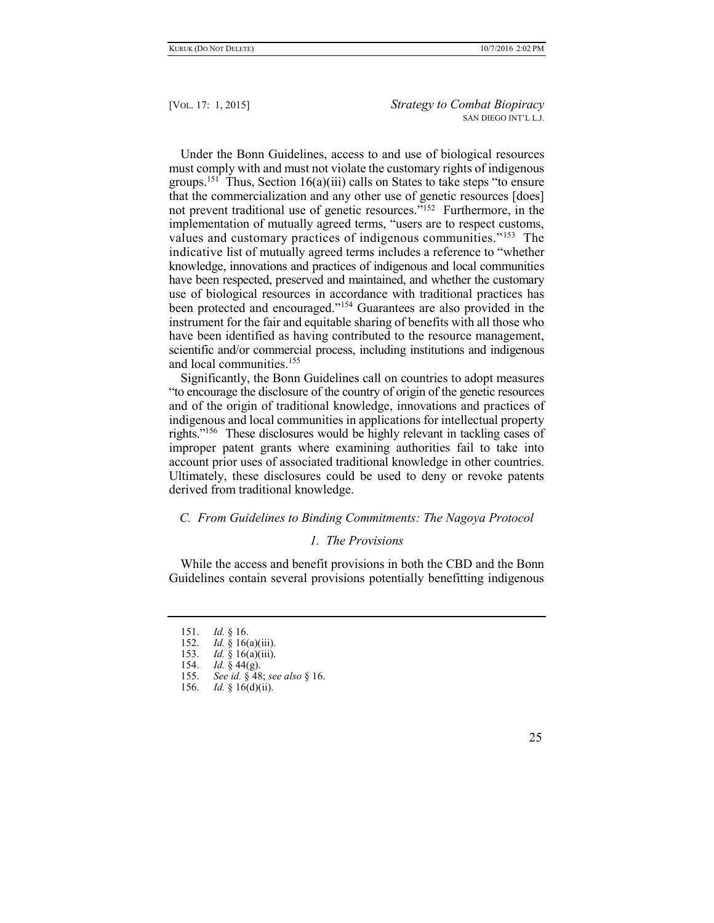Under the Bonn Guidelines, access to and use of biological resources must comply with and must not violate the customary rights of indigenous groups.<sup>151</sup> Thus, Section 16(a)(iii) calls on States to take steps "to ensure that the commercialization and any other use of genetic resources [does] not prevent traditional use of genetic resources."<sup>152</sup> Furthermore, in the implementation of mutually agreed terms, "users are to respect customs, values and customary practices of indigenous communities."<sup>153</sup> The indicative list of mutually agreed terms includes a reference to "whether knowledge, innovations and practices of indigenous and local communities have been respected, preserved and maintained, and whether the customary use of biological resources in accordance with traditional practices has been protected and encouraged."<sup>154</sup> Guarantees are also provided in the instrument for the fair and equitable sharing of benefits with all those who have been identified as having contributed to the resource management, scientific and/or commercial process, including institutions and indigenous and local communities.<sup>155</sup>

Significantly, the Bonn Guidelines call on countries to adopt measures "to encourage the disclosure of the country of origin of the genetic resources and of the origin of traditional knowledge, innovations and practices of indigenous and local communities in applications for intellectual property rights."<sup>156</sup> These disclosures would be highly relevant in tackling cases of improper patent grants where examining authorities fail to take into account prior uses of associated traditional knowledge in other countries. Ultimately, these disclosures could be used to deny or revoke patents derived from traditional knowledge.

# *C. From Guidelines to Binding Commitments: The Nagoya Protocol*

#### *1. The Provisions*

While the access and benefit provisions in both the CBD and the Bonn Guidelines contain several provisions potentially benefitting indigenous

<sup>151.</sup> *Id.* § 16.

<sup>152.</sup> *Id.* § 16(a)(iii).

<sup>153.</sup> *Id.* § 16(a)(iii).

<sup>154.</sup> *Id.* § 44(g).

<sup>155.</sup> *See id.* § 48; *see also* § 16.

<sup>156.</sup> *Id.* § 16(d)(ii).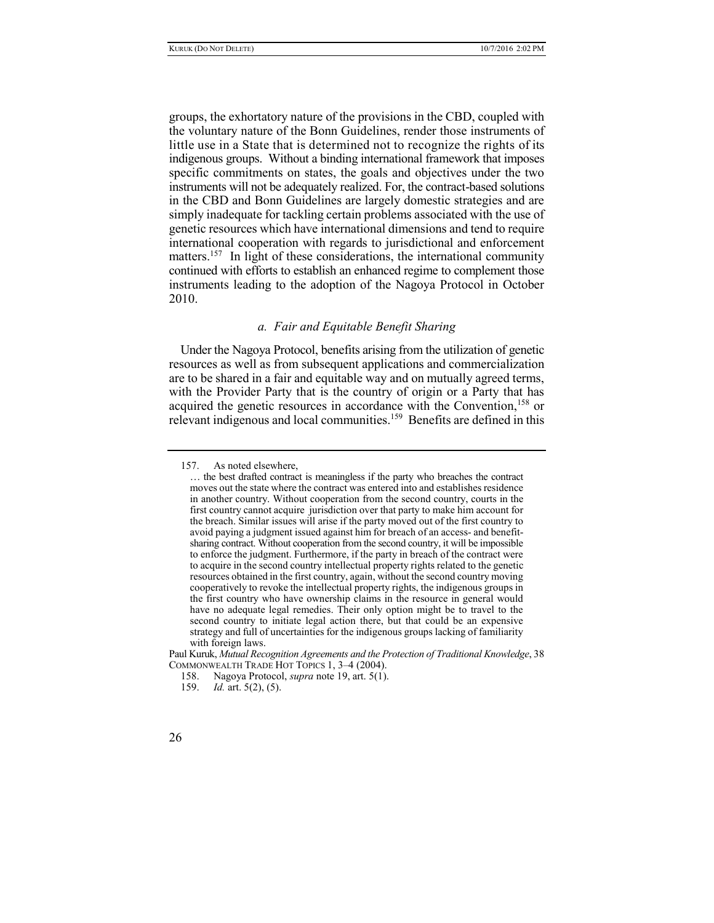groups, the exhortatory nature of the provisions in the CBD, coupled with the voluntary nature of the Bonn Guidelines, render those instruments of little use in a State that is determined not to recognize the rights of its indigenous groups. Without a binding international framework that imposes specific commitments on states, the goals and objectives under the two instruments will not be adequately realized. For, the contract-based solutions in the CBD and Bonn Guidelines are largely domestic strategies and are simply inadequate for tackling certain problems associated with the use of genetic resources which have international dimensions and tend to require international cooperation with regards to jurisdictional and enforcement matters.<sup>157</sup> In light of these considerations, the international community continued with efforts to establish an enhanced regime to complement those instruments leading to the adoption of the Nagoya Protocol in October 2010.

#### *a. Fair and Equitable Benefit Sharing*

Under the Nagoya Protocol, benefits arising from the utilization of genetic resources as well as from subsequent applications and commercialization are to be shared in a fair and equitable way and on mutually agreed terms, with the Provider Party that is the country of origin or a Party that has acquired the genetic resources in accordance with the Convention,<sup>158</sup> or relevant indigenous and local communities.<sup>159</sup> Benefits are defined in this

<sup>157.</sup> As noted elsewhere,

<sup>…</sup> the best drafted contract is meaningless if the party who breaches the contract moves out the state where the contract was entered into and establishes residence in another country. Without cooperation from the second country, courts in the first country cannot acquire jurisdiction over that party to make him account for the breach. Similar issues will arise if the party moved out of the first country to avoid paying a judgment issued against him for breach of an access- and benefitsharing contract. Without cooperation from the second country, it will be impossible to enforce the judgment. Furthermore, if the party in breach of the contract were to acquire in the second country intellectual property rights related to the genetic resources obtained in the first country, again, without the second country moving cooperatively to revoke the intellectual property rights, the indigenous groups in the first country who have ownership claims in the resource in general would have no adequate legal remedies. Their only option might be to travel to the second country to initiate legal action there, but that could be an expensive strategy and full of uncertainties for the indigenous groups lacking of familiarity with foreign laws.

Paul Kuruk, *Mutual Recognition Agreements and the Protection of Traditional Knowledge*, 38 COMMONWEALTH TRADE HOT TOPICS 1, 3–4 (2004).

<sup>158.</sup> Nagoya Protocol, *supra* note 19, art. 5(1).

<sup>159.</sup> *Id.* art. 5(2), (5).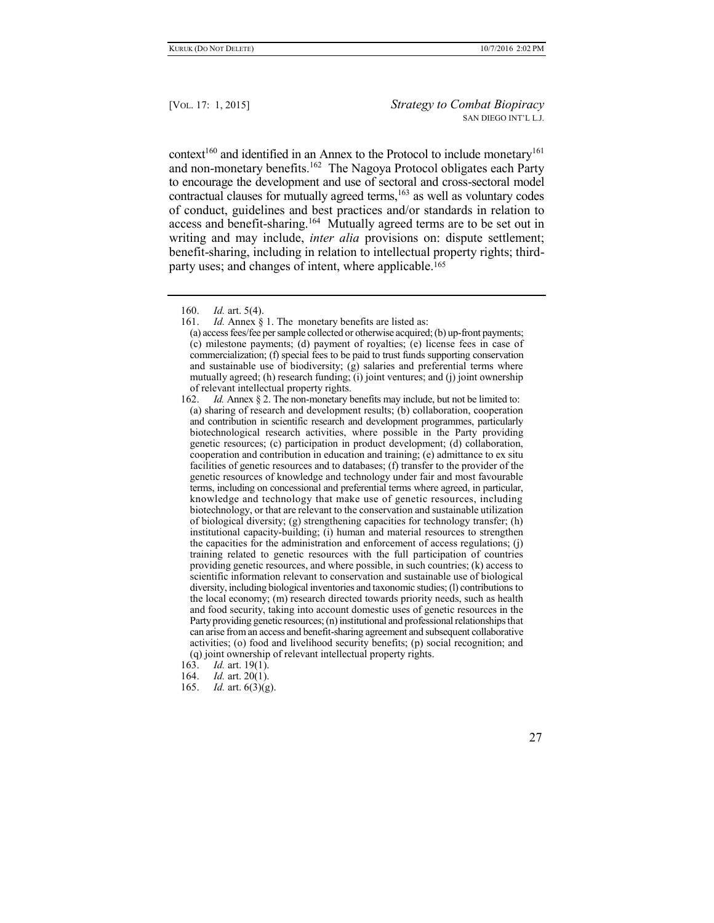context<sup>160</sup> and identified in an Annex to the Protocol to include monetary<sup>161</sup> and non-monetary benefits.<sup>162</sup> The Nagoya Protocol obligates each Party to encourage the development and use of sectoral and cross-sectoral model contractual clauses for mutually agreed terms,<sup>163</sup> as well as voluntary codes of conduct, guidelines and best practices and/or standards in relation to access and benefit-sharing.<sup>164</sup> Mutually agreed terms are to be set out in writing and may include, *inter alia* provisions on: dispute settlement; benefit-sharing, including in relation to intellectual property rights; thirdparty uses; and changes of intent, where applicable.<sup>165</sup>

*Id.* Annex § 1. The monetary benefits are listed as:

<sup>160.</sup> *Id.* art. 5(4).

<sup>(</sup>a) access fees/fee per sample collected or otherwise acquired; (b) up-front payments; (c) milestone payments; (d) payment of royalties; (e) license fees in case of commercialization; (f) special fees to be paid to trust funds supporting conservation and sustainable use of biodiversity; (g) salaries and preferential terms where mutually agreed; (h) research funding; (i) joint ventures; and (j) joint ownership of relevant intellectual property rights.

<sup>162.</sup> *Id.* Annex § 2. The non-monetary benefits may include, but not be limited to: (a) sharing of research and development results; (b) collaboration, cooperation and contribution in scientific research and development programmes, particularly biotechnological research activities, where possible in the Party providing genetic resources; (c) participation in product development; (d) collaboration, cooperation and contribution in education and training; (e) admittance to ex situ facilities of genetic resources and to databases; (f) transfer to the provider of the genetic resources of knowledge and technology under fair and most favourable terms, including on concessional and preferential terms where agreed, in particular, knowledge and technology that make use of genetic resources, including biotechnology, or that are relevant to the conservation and sustainable utilization of biological diversity; (g) strengthening capacities for technology transfer; (h) institutional capacity-building; (i) human and material resources to strengthen the capacities for the administration and enforcement of access regulations; (j) training related to genetic resources with the full participation of countries providing genetic resources, and where possible, in such countries; (k) access to scientific information relevant to conservation and sustainable use of biological diversity, including biological inventories and taxonomic studies; (l) contributions to the local economy; (m) research directed towards priority needs, such as health and food security, taking into account domestic uses of genetic resources in the Party providing genetic resources; (n) institutional and professional relationships that can arise from an access and benefit-sharing agreement and subsequent collaborative activities; (o) food and livelihood security benefits; (p) social recognition; and (q) joint ownership of relevant intellectual property rights.

<sup>163.</sup> *Id.* art. 19(1).

<sup>164.</sup> *Id.* art. 20(1).

<sup>165.</sup> *Id.* art. 6(3)(g).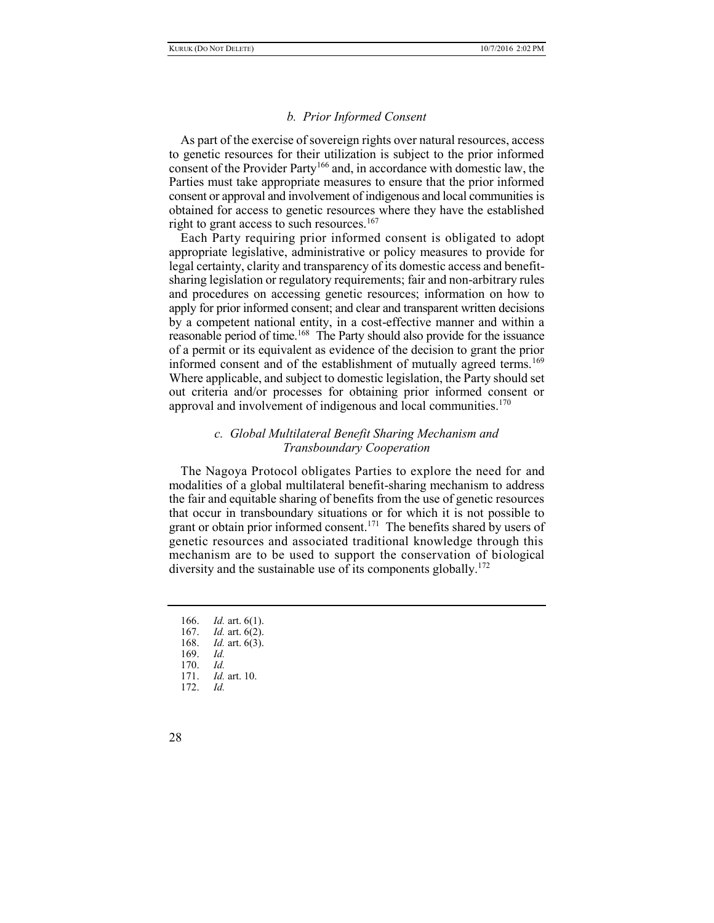#### *b. Prior Informed Consent*

As part of the exercise of sovereign rights over natural resources, access to genetic resources for their utilization is subject to the prior informed consent of the Provider Party<sup>166</sup> and, in accordance with domestic law, the Parties must take appropriate measures to ensure that the prior informed consent or approval and involvement of indigenous and local communities is obtained for access to genetic resources where they have the established right to grant access to such resources.<sup>167</sup>

Each Party requiring prior informed consent is obligated to adopt appropriate legislative, administrative or policy measures to provide for legal certainty, clarity and transparency of its domestic access and benefitsharing legislation or regulatory requirements; fair and non-arbitrary rules and procedures on accessing genetic resources; information on how to apply for prior informed consent; and clear and transparent written decisions by a competent national entity, in a cost-effective manner and within a reasonable period of time.<sup>168</sup> The Party should also provide for the issuance of a permit or its equivalent as evidence of the decision to grant the prior informed consent and of the establishment of mutually agreed terms.<sup>169</sup> Where applicable, and subject to domestic legislation, the Party should set out criteria and/or processes for obtaining prior informed consent or approval and involvement of indigenous and local communities.<sup>170</sup>

# *c. Global Multilateral Benefit Sharing Mechanism and Transboundary Cooperation*

The Nagoya Protocol obligates Parties to explore the need for and modalities of a global multilateral benefit-sharing mechanism to address the fair and equitable sharing of benefits from the use of genetic resources that occur in transboundary situations or for which it is not possible to grant or obtain prior informed consent.<sup>171</sup> The benefits shared by users of genetic resources and associated traditional knowledge through this mechanism are to be used to support the conservation of biological diversity and the sustainable use of its components globally.<sup>172</sup>

- 166. *Id.* art. 6(1).
- 167. *Id.* art. 6(2).
- 168. *Id.* art. 6(3).
- 169. *Id.*
- 170. *Id.*
- 171. *Id.* art. 10.
- 172. *Id.*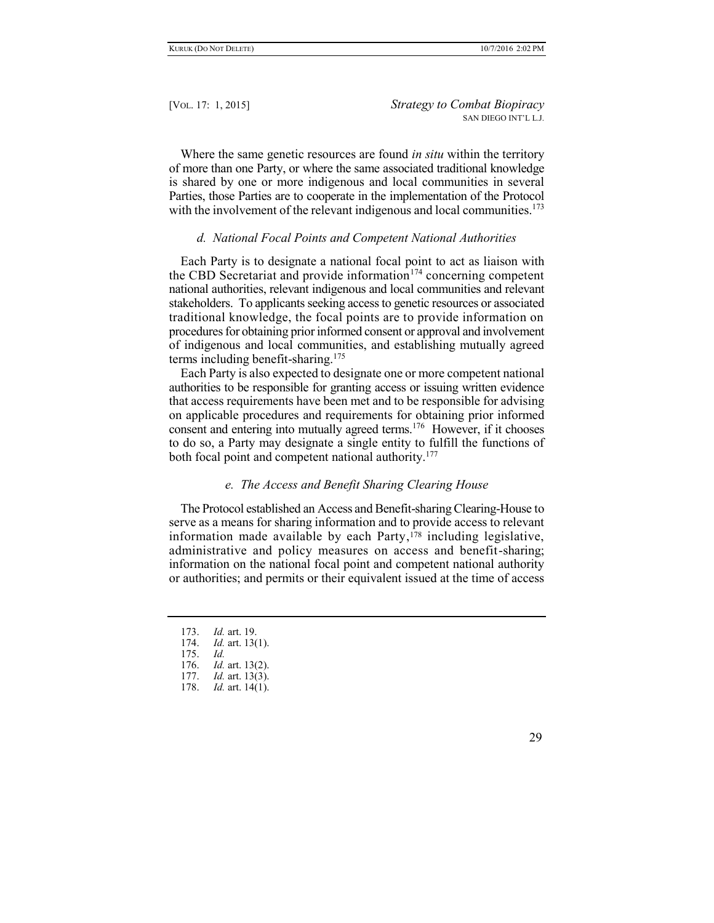Where the same genetic resources are found *in situ* within the territory of more than one Party, or where the same associated traditional knowledge is shared by one or more indigenous and local communities in several Parties, those Parties are to cooperate in the implementation of the Protocol with the involvement of the relevant indigenous and local communities.<sup>173</sup>

# *d. National Focal Points and Competent National Authorities*

Each Party is to designate a national focal point to act as liaison with the CBD Secretariat and provide information<sup>174</sup> concerning competent national authorities, relevant indigenous and local communities and relevant stakeholders. To applicants seeking access to genetic resources or associated traditional knowledge, the focal points are to provide information on procedures for obtaining prior informed consent or approval and involvement of indigenous and local communities, and establishing mutually agreed terms including benefit-sharing.<sup>175</sup>

Each Party is also expected to designate one or more competent national authorities to be responsible for granting access or issuing written evidence that access requirements have been met and to be responsible for advising on applicable procedures and requirements for obtaining prior informed consent and entering into mutually agreed terms.<sup>176</sup> However, if it chooses to do so, a Party may designate a single entity to fulfill the functions of both focal point and competent national authority.<sup>177</sup>

# *e. The Access and Benefit Sharing Clearing House*

The Protocol established an Access and Benefit-sharing Clearing-House to serve as a means for sharing information and to provide access to relevant information made available by each Party, <sup>178</sup> including legislative, administrative and policy measures on access and benefit-sharing; information on the national focal point and competent national authority or authorities; and permits or their equivalent issued at the time of access

<sup>173.</sup> *Id.* art. 19.

<sup>174.</sup> *Id.* art. 13(1).

<sup>175.</sup> *Id.*

<sup>176.</sup> *Id.* art. 13(2).

<sup>177.</sup> *Id.* art. 13(3).

<sup>178.</sup> *Id.* art. 14(1).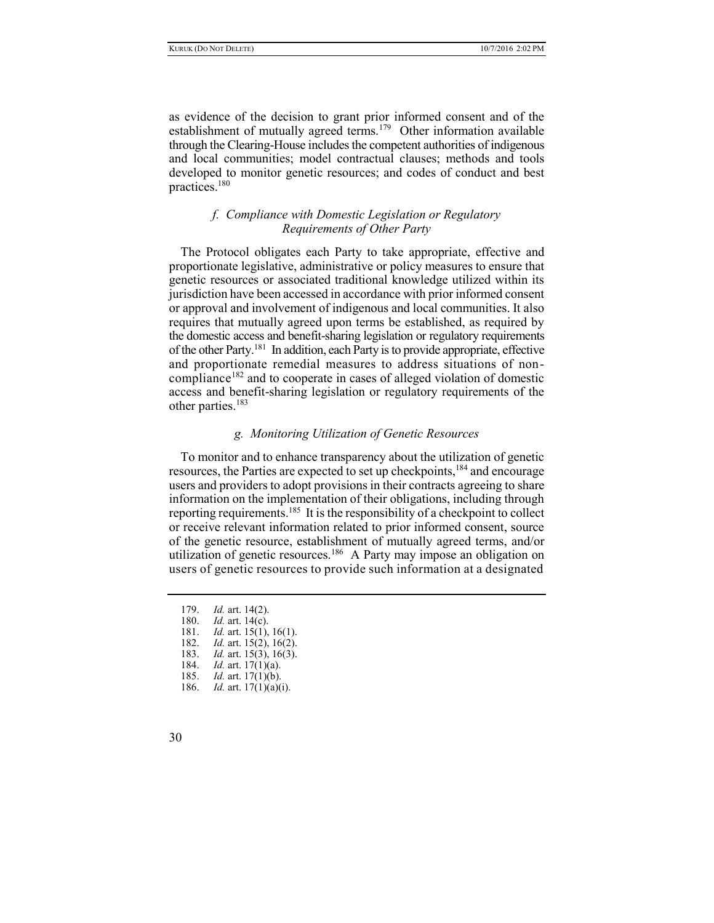as evidence of the decision to grant prior informed consent and of the establishment of mutually agreed terms.<sup>179</sup> Other information available through the Clearing-House includes the competent authorities of indigenous and local communities; model contractual clauses; methods and tools developed to monitor genetic resources; and codes of conduct and best practices.<sup>180</sup>

# *f. Compliance with Domestic Legislation or Regulatory Requirements of Other Party*

The Protocol obligates each Party to take appropriate, effective and proportionate legislative, administrative or policy measures to ensure that genetic resources or associated traditional knowledge utilized within its jurisdiction have been accessed in accordance with prior informed consent or approval and involvement of indigenous and local communities. It also requires that mutually agreed upon terms be established, as required by the domestic access and benefit-sharing legislation or regulatory requirements of the other Party.<sup>181</sup> In addition, each Party is to provide appropriate, effective and proportionate remedial measures to address situations of noncompliance<sup>182</sup> and to cooperate in cases of alleged violation of domestic access and benefit-sharing legislation or regulatory requirements of the other parties.<sup>183</sup>

# *g. Monitoring Utilization of Genetic Resources*

To monitor and to enhance transparency about the utilization of genetic resources, the Parties are expected to set up checkpoints,<sup>184</sup> and encourage users and providers to adopt provisions in their contracts agreeing to share information on the implementation of their obligations, including through reporting requirements.<sup>185</sup> It is the responsibility of a checkpoint to collect or receive relevant information related to prior informed consent, source of the genetic resource, establishment of mutually agreed terms, and/or utilization of genetic resources.<sup>186</sup> A Party may impose an obligation on users of genetic resources to provide such information at a designated

- 179. *Id.* art. 14(2).
- 180. *Id.* art. 14(c).
- 181. *Id.* art. 15(1), 16(1).
- 182. *Id.* art. 15(2), 16(2).
- 183. *Id.* art. 15(3), 16(3).
- 184. *Id.* art. 17(1)(a).
- 185. *Id.* art. 17(1)(b).
- 186. *Id.* art. 17(1)(a)(i).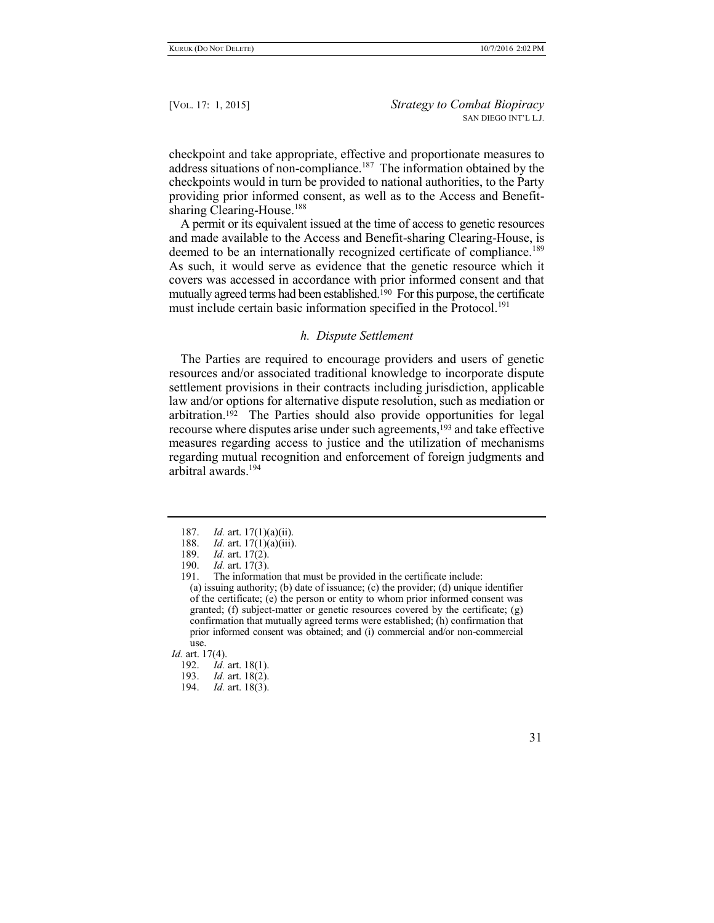checkpoint and take appropriate, effective and proportionate measures to address situations of non-compliance.<sup>187</sup> The information obtained by the checkpoints would in turn be provided to national authorities, to the Party providing prior informed consent, as well as to the Access and Benefitsharing Clearing-House.<sup>188</sup>

A permit or its equivalent issued at the time of access to genetic resources and made available to the Access and Benefit-sharing Clearing-House, is deemed to be an internationally recognized certificate of compliance.<sup>189</sup> As such, it would serve as evidence that the genetic resource which it covers was accessed in accordance with prior informed consent and that mutually agreed terms had been established.<sup>190</sup> For this purpose, the certificate must include certain basic information specified in the Protocol.<sup>191</sup>

## *h. Dispute Settlement*

The Parties are required to encourage providers and users of genetic resources and/or associated traditional knowledge to incorporate dispute settlement provisions in their contracts including jurisdiction, applicable law and/or options for alternative dispute resolution, such as mediation or arbitration.192 The Parties should also provide opportunities for legal recourse where disputes arise under such agreements,<sup>193</sup> and take effective measures regarding access to justice and the utilization of mechanisms regarding mutual recognition and enforcement of foreign judgments and arbitral awards.<sup>194</sup>

*Id.* art. 17(4).

<sup>187.</sup> *Id.* art. 17(1)(a)(ii).

<sup>188.</sup> *Id.* art. 17(1)(a)(iii).

*Id.* art. 17(2).

<sup>190.</sup> *Id.* art. 17(3).

<sup>191.</sup> The information that must be provided in the certificate include: (a) issuing authority; (b) date of issuance; (c) the provider; (d) unique identifier of the certificate; (e) the person or entity to whom prior informed consent was granted; (f) subject-matter or genetic resources covered by the certificate;  $(g)$ confirmation that mutually agreed terms were established; (h) confirmation that prior informed consent was obtained; and (i) commercial and/or non-commercial use.

<sup>192.</sup> *Id.* art. 18(1).

<sup>193.</sup> *Id.* art. 18(2).

<sup>194.</sup> *Id.* art. 18(3).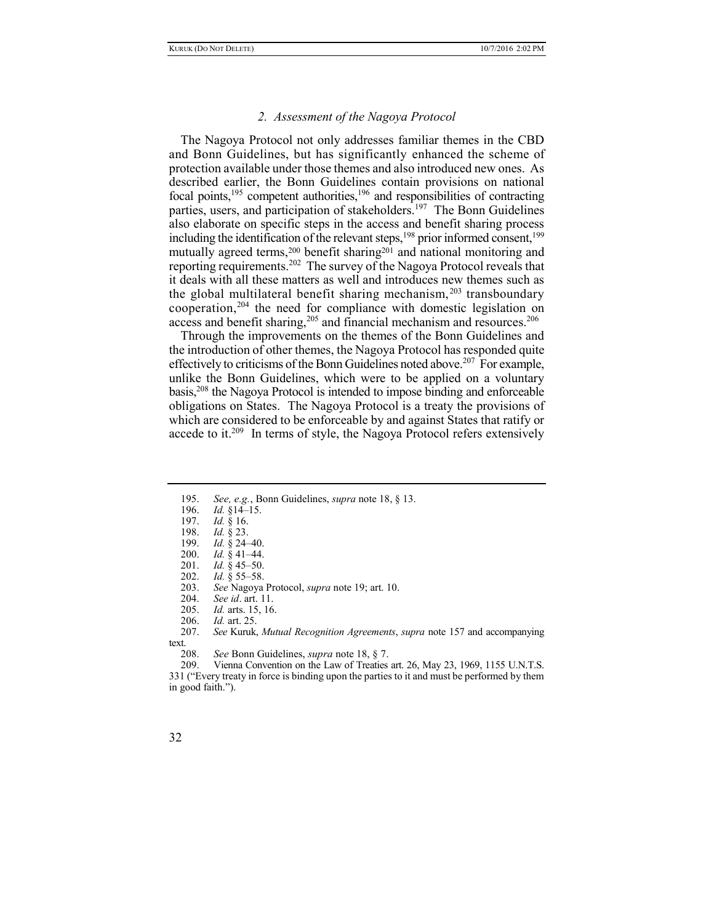# *2. Assessment of the Nagoya Protocol*

The Nagoya Protocol not only addresses familiar themes in the CBD and Bonn Guidelines, but has significantly enhanced the scheme of protection available under those themes and also introduced new ones. As described earlier, the Bonn Guidelines contain provisions on national focal points,<sup>195</sup> competent authorities,<sup>196</sup> and responsibilities of contracting parties, users, and participation of stakeholders.<sup>197</sup> The Bonn Guidelines also elaborate on specific steps in the access and benefit sharing process including the identification of the relevant steps,  $198$  prior informed consent,  $199$ mutually agreed terms,<sup>200</sup> benefit sharing<sup>201</sup> and national monitoring and reporting requirements.<sup>202</sup> The survey of the Nagoya Protocol reveals that it deals with all these matters as well and introduces new themes such as the global multilateral benefit sharing mechanism, <sup>203</sup> transboundary cooperation,<sup>204</sup> the need for compliance with domestic legislation on access and benefit sharing,<sup>205</sup> and financial mechanism and resources.<sup>206</sup>

Through the improvements on the themes of the Bonn Guidelines and the introduction of other themes, the Nagoya Protocol has responded quite effectively to criticisms of the Bonn Guidelines noted above.<sup>207</sup> For example, unlike the Bonn Guidelines, which were to be applied on a voluntary basis,<sup>208</sup> the Nagoya Protocol is intended to impose binding and enforceable obligations on States. The Nagoya Protocol is a treaty the provisions of which are considered to be enforceable by and against States that ratify or accede to it.<sup>209</sup> In terms of style, the Nagoya Protocol refers extensively

- 205. *Id.* arts. 15, 16.
- 206. *Id.* art. 25.

<sup>195.</sup> *See, e.g.*, Bonn Guidelines, *supra* note 18, § 13.

<sup>196.</sup> *Id.* §14–15.

*Id.* § 16.

<sup>198.</sup> *Id.* § 23.

<sup>199.</sup> *Id.* § 24–40.

<sup>200.</sup> *Id.* § 41–44.

<sup>201.</sup> *Id.* § 45–50.

<sup>202.</sup> *Id.* § 55–58.

<sup>203.</sup> *See* Nagoya Protocol, *supra* note 19; art. 10.

<sup>204.</sup> *See id*. art. 11.

<sup>207.</sup> *See* Kuruk, *Mutual Recognition Agreements*, *supra* note 157 and accompanying text.  $208$ 

*See* Bonn Guidelines, *supra* note 18, § 7.

<sup>209.</sup> Vienna Convention on the Law of Treaties art. 26, May 23, 1969, 1155 U.N.T.S.

<sup>331 (&</sup>quot;Every treaty in force is binding upon the parties to it and must be performed by them in good faith.").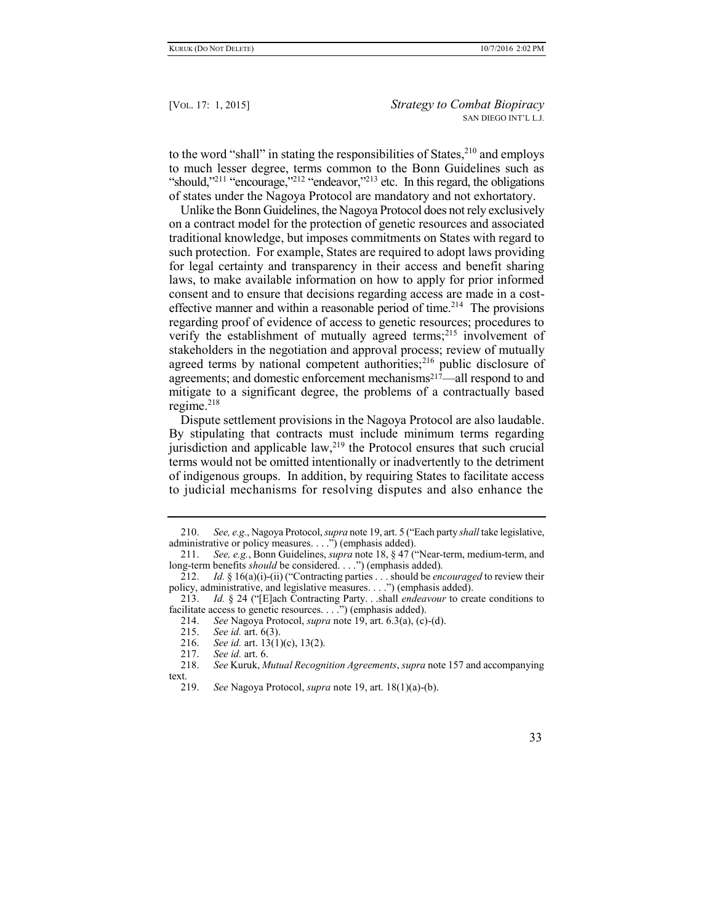to the word "shall" in stating the responsibilities of States, $2^{10}$  and employs to much lesser degree, terms common to the Bonn Guidelines such as "should,"<sup>211</sup> "encourage,"<sup>212</sup> "endeavor,"<sup>213</sup> etc. In this regard, the obligations of states under the Nagoya Protocol are mandatory and not exhortatory.

Unlike the Bonn Guidelines, the Nagoya Protocol does not rely exclusively on a contract model for the protection of genetic resources and associated traditional knowledge, but imposes commitments on States with regard to such protection. For example, States are required to adopt laws providing for legal certainty and transparency in their access and benefit sharing laws, to make available information on how to apply for prior informed consent and to ensure that decisions regarding access are made in a costeffective manner and within a reasonable period of time.<sup>214</sup> The provisions regarding proof of evidence of access to genetic resources; procedures to verify the establishment of mutually agreed terms;<sup>215</sup> involvement of stakeholders in the negotiation and approval process; review of mutually agreed terms by national competent authorities; $216$  public disclosure of agreements; and domestic enforcement mechanisms217—all respond to and mitigate to a significant degree, the problems of a contractually based regime. $218$ 

Dispute settlement provisions in the Nagoya Protocol are also laudable. By stipulating that contracts must include minimum terms regarding jurisdiction and applicable  $law<sub>19</sub>$ , the Protocol ensures that such crucial terms would not be omitted intentionally or inadvertently to the detriment of indigenous groups. In addition, by requiring States to facilitate access to judicial mechanisms for resolving disputes and also enhance the

<sup>210.</sup> *See, e.g.*, Nagoya Protocol, *supra* note 19, art. 5 ("Each party *shall* take legislative, administrative or policy measures. . . .") (emphasis added).

<sup>211.</sup> *See, e.g.*, Bonn Guidelines, *supra* note 18, § 47 ("Near-term, medium-term, and long-term benefits *should* be considered. . . .") (emphasis added).

<sup>212.</sup> *Id.* § 16(a)(i)-(ii) ("Contracting parties . . . should be *encouraged* to review their policy, administrative, and legislative measures. . . .") (emphasis added).

<sup>213.</sup> *Id.* § 24 ("[E]ach Contracting Party. . .shall *endeavour* to create conditions to facilitate access to genetic resources. . . .") (emphasis added).

<sup>214.</sup> *See* Nagoya Protocol, *supra* note 19, art. 6.3(a), (c)-(d).

<sup>215.</sup> *See id.* art. 6(3).

<sup>216.</sup> *See id.* art. 13(1)(c), 13(2).

<sup>217.</sup> *See id.* art. 6.

<sup>218.</sup> *See* Kuruk, *Mutual Recognition Agreements*, *supra* note 157 and accompanying text.

<sup>219.</sup> *See* Nagoya Protocol, *supra* note 19, art. 18(1)(a)-(b).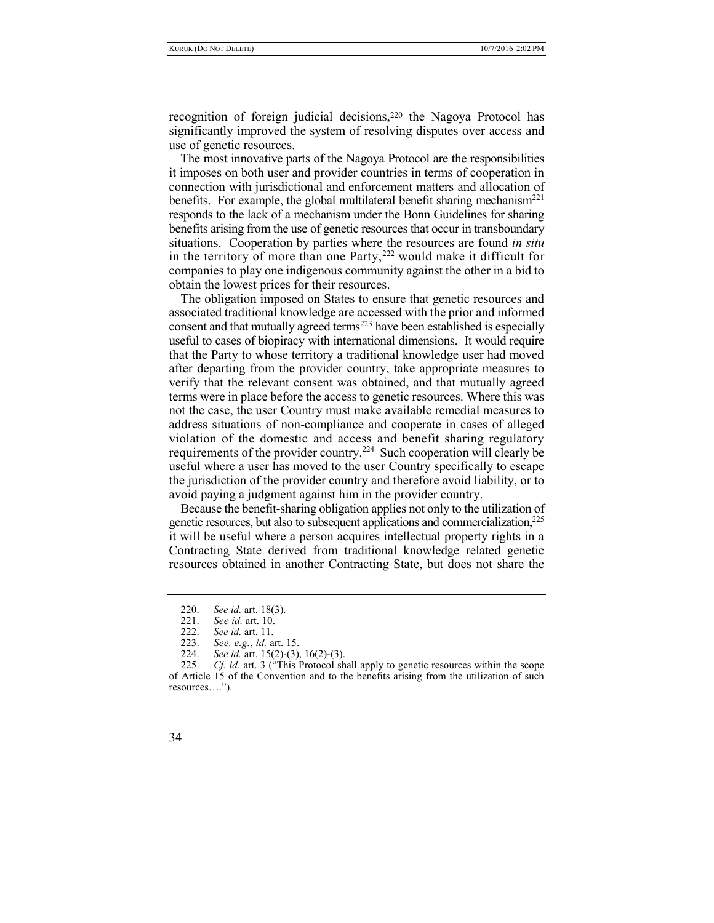recognition of foreign judicial decisions,<sup>220</sup> the Nagoya Protocol has significantly improved the system of resolving disputes over access and use of genetic resources.

The most innovative parts of the Nagoya Protocol are the responsibilities it imposes on both user and provider countries in terms of cooperation in connection with jurisdictional and enforcement matters and allocation of benefits. For example, the global multilateral benefit sharing mechanism<sup>221</sup> responds to the lack of a mechanism under the Bonn Guidelines for sharing benefits arising from the use of genetic resources that occur in transboundary situations. Cooperation by parties where the resources are found *in situ* in the territory of more than one Party, $222$  would make it difficult for companies to play one indigenous community against the other in a bid to obtain the lowest prices for their resources.

The obligation imposed on States to ensure that genetic resources and associated traditional knowledge are accessed with the prior and informed consent and that mutually agreed terms<sup>223</sup> have been established is especially useful to cases of biopiracy with international dimensions. It would require that the Party to whose territory a traditional knowledge user had moved after departing from the provider country, take appropriate measures to verify that the relevant consent was obtained, and that mutually agreed terms were in place before the access to genetic resources. Where this was not the case, the user Country must make available remedial measures to address situations of non-compliance and cooperate in cases of alleged violation of the domestic and access and benefit sharing regulatory requirements of the provider country.<sup>224</sup> Such cooperation will clearly be useful where a user has moved to the user Country specifically to escape the jurisdiction of the provider country and therefore avoid liability, or to avoid paying a judgment against him in the provider country.

Because the benefit-sharing obligation applies not only to the utilization of genetic resources, but also to subsequent applications and commercialization,<sup>225</sup> it will be useful where a person acquires intellectual property rights in a Contracting State derived from traditional knowledge related genetic resources obtained in another Contracting State, but does not share the

<sup>220.</sup> *See id.* art. 18(3).

*See id.* art. 10.

<sup>222.</sup> *See id.* art. 11.

<sup>223.</sup> *See, e.g.*, *id.* art. 15.

<sup>224.</sup> *See id.* art. 15(2)-(3), 16(2)-(3).

<sup>225.</sup> *Cf. id.* art. 3 ("This Protocol shall apply to genetic resources within the scope of Article 15 of the Convention and to the benefits arising from the utilization of such resources….").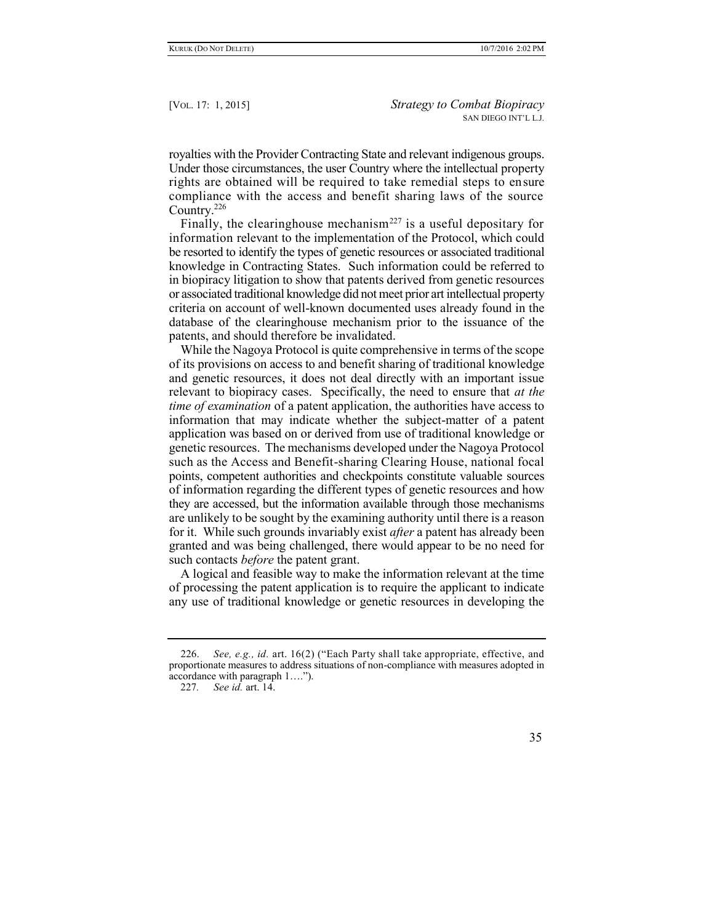royalties with the Provider Contracting State and relevant indigenous groups. Under those circumstances, the user Country where the intellectual property rights are obtained will be required to take remedial steps to ensure compliance with the access and benefit sharing laws of the source Country.<sup>226</sup>

Finally, the clearinghouse mechanism<sup>227</sup> is a useful depositary for information relevant to the implementation of the Protocol, which could be resorted to identify the types of genetic resources or associated traditional knowledge in Contracting States. Such information could be referred to in biopiracy litigation to show that patents derived from genetic resources or associated traditional knowledge did not meet prior art intellectual property criteria on account of well-known documented uses already found in the database of the clearinghouse mechanism prior to the issuance of the patents, and should therefore be invalidated.

While the Nagoya Protocol is quite comprehensive in terms of the scope of its provisions on access to and benefit sharing of traditional knowledge and genetic resources, it does not deal directly with an important issue relevant to biopiracy cases. Specifically, the need to ensure that *at the time of examination* of a patent application, the authorities have access to information that may indicate whether the subject-matter of a patent application was based on or derived from use of traditional knowledge or genetic resources. The mechanisms developed under the Nagoya Protocol such as the Access and Benefit-sharing Clearing House, national focal points, competent authorities and checkpoints constitute valuable sources of information regarding the different types of genetic resources and how they are accessed, but the information available through those mechanisms are unlikely to be sought by the examining authority until there is a reason for it. While such grounds invariably exist *after* a patent has already been granted and was being challenged, there would appear to be no need for such contacts *before* the patent grant.

A logical and feasible way to make the information relevant at the time of processing the patent application is to require the applicant to indicate any use of traditional knowledge or genetic resources in developing the

<sup>226.</sup> *See, e.g., id.* art. 16(2) ("Each Party shall take appropriate, effective, and proportionate measures to address situations of non-compliance with measures adopted in accordance with paragraph 1….").

<sup>227</sup>*. See id.* art. 14.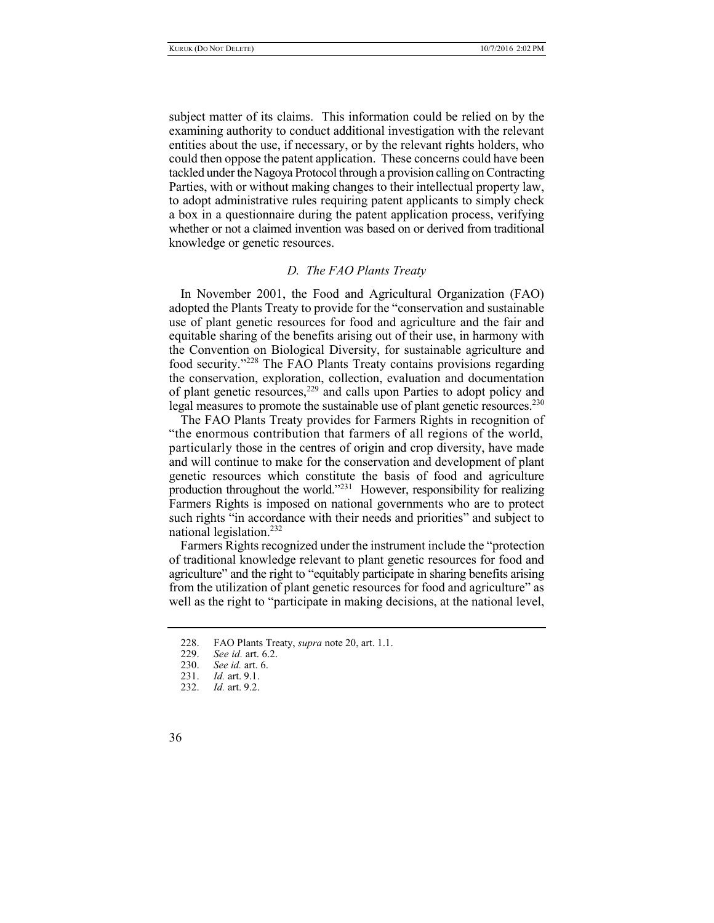subject matter of its claims. This information could be relied on by the examining authority to conduct additional investigation with the relevant entities about the use, if necessary, or by the relevant rights holders, who could then oppose the patent application. These concerns could have been tackled under the Nagoya Protocol through a provision calling on Contracting Parties, with or without making changes to their intellectual property law, to adopt administrative rules requiring patent applicants to simply check a box in a questionnaire during the patent application process, verifying whether or not a claimed invention was based on or derived from traditional knowledge or genetic resources.

#### *D. The FAO Plants Treaty*

In November 2001, the Food and Agricultural Organization (FAO) adopted the Plants Treaty to provide for the "conservation and sustainable use of plant genetic resources for food and agriculture and the fair and equitable sharing of the benefits arising out of their use, in harmony with the Convention on Biological Diversity, for sustainable agriculture and food security."<sup>228</sup> The FAO Plants Treaty contains provisions regarding the conservation, exploration, collection, evaluation and documentation of plant genetic resources,<sup>229</sup> and calls upon Parties to adopt policy and legal measures to promote the sustainable use of plant genetic resources.<sup>230</sup>

The FAO Plants Treaty provides for Farmers Rights in recognition of "the enormous contribution that farmers of all regions of the world, particularly those in the centres of origin and crop diversity, have made and will continue to make for the conservation and development of plant genetic resources which constitute the basis of food and agriculture production throughout the world."<sup>231</sup> However, responsibility for realizing Farmers Rights is imposed on national governments who are to protect such rights "in accordance with their needs and priorities" and subject to national legislation.<sup>232</sup>

Farmers Rights recognized under the instrument include the "protection of traditional knowledge relevant to plant genetic resources for food and agriculture" and the right to "equitably participate in sharing benefits arising from the utilization of plant genetic resources for food and agriculture" as well as the right to "participate in making decisions, at the national level,

<sup>228.</sup> FAO Plants Treaty, *supra* note 20, art. 1.1.

*See id.* art. 6.2.

<sup>230.</sup> *See id.* art. 6.

<sup>231.</sup> *Id.* art. 9.1.

<sup>232.</sup> *Id.* art. 9.2.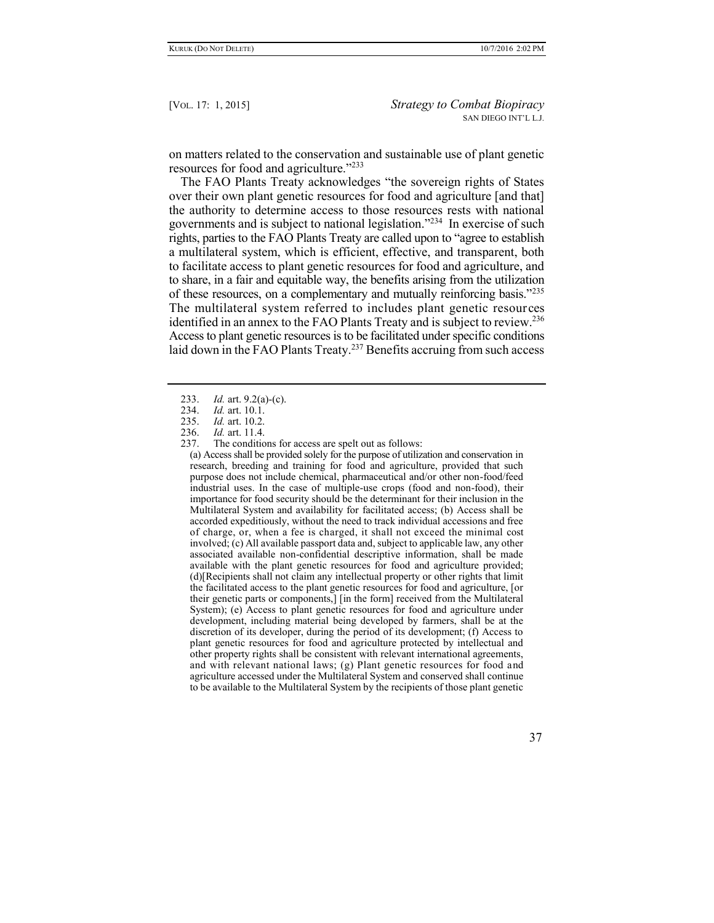on matters related to the conservation and sustainable use of plant genetic resources for food and agriculture."<sup>233</sup>

The FAO Plants Treaty acknowledges "the sovereign rights of States over their own plant genetic resources for food and agriculture [and that] the authority to determine access to those resources rests with national governments and is subject to national legislation."<sup>234</sup> In exercise of such rights, parties to the FAO Plants Treaty are called upon to "agree to establish a multilateral system, which is efficient, effective, and transparent, both to facilitate access to plant genetic resources for food and agriculture, and to share, in a fair and equitable way, the benefits arising from the utilization of these resources, on a complementary and mutually reinforcing basis."<sup>235</sup> The multilateral system referred to includes plant genetic resour ces identified in an annex to the FAO Plants Treaty and is subject to review.<sup>236</sup> Access to plant genetic resources is to be facilitated under specific conditions laid down in the FAO Plants Treaty.<sup>237</sup> Benefits accruing from such access

237. The conditions for access are spelt out as follows:

(a) Access shall be provided solely for the purpose of utilization and conservation in research, breeding and training for food and agriculture, provided that such purpose does not include chemical, pharmaceutical and/or other non-food/feed industrial uses. In the case of multiple-use crops (food and non-food), their importance for food security should be the determinant for their inclusion in the Multilateral System and availability for facilitated access; (b) Access shall be accorded expeditiously, without the need to track individual accessions and free of charge, or, when a fee is charged, it shall not exceed the minimal cost involved; (c) All available passport data and, subject to applicable law, any other associated available non-confidential descriptive information, shall be made available with the plant genetic resources for food and agriculture provided; (d)[Recipients shall not claim any intellectual property or other rights that limit the facilitated access to the plant genetic resources for food and agriculture, [or their genetic parts or components,] [in the form] received from the Multilateral System); (e) Access to plant genetic resources for food and agriculture under development, including material being developed by farmers, shall be at the discretion of its developer, during the period of its development; (f) Access to plant genetic resources for food and agriculture protected by intellectual and other property rights shall be consistent with relevant international agreements, and with relevant national laws; (g) Plant genetic resources for food and agriculture accessed under the Multilateral System and conserved shall continue to be available to the Multilateral System by the recipients of those plant genetic

<sup>233.</sup> *Id.* art. 9.2(a)-(c).

<sup>234.</sup> *Id.* art. 10.1.

<sup>235.</sup> *Id.* art. 10.2.

<sup>236.</sup> *Id.* art. 11.4.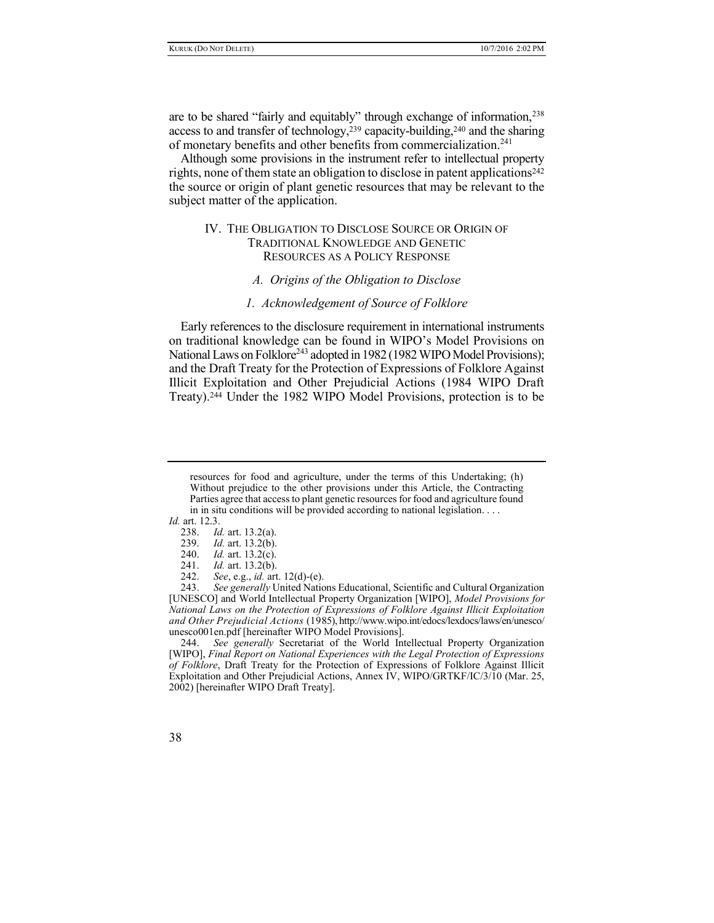are to be shared "fairly and equitably" through exchange of information, <sup>238</sup> access to and transfer of technology,<sup>239</sup> capacity-building,<sup>240</sup> and the sharing of monetary benefits and other benefits from commercialization.<sup>241</sup>

Although some provisions in the instrument refer to intellectual property rights, none of them state an obligation to disclose in patent applications<sup>242</sup> the source or origin of plant genetic resources that may be relevant to the subject matter of the application.

# IV. THE OBLIGATION TO DISCLOSE SOURCE OR ORIGIN OF TRADITIONAL KNOWLEDGE AND GENETIC RESOURCES AS A POLICY RESPONSE

# *A. Origins of the Obligation to Disclose*

# *1. Acknowledgement of Source of Folklore*

Early references to the disclosure requirement in international instruments on traditional knowledge can be found in WIPO's Model Provisions on National Laws on Folklore<sup>243</sup> adopted in 1982 (1982 WIPO Model Provisions); and the Draft Treaty for the Protection of Expressions of Folklore Against Illicit Exploitation and Other Prejudicial Actions (1984 WIPO Draft Treaty).<sup>244</sup> Under the 1982 WIPO Model Provisions, protection is to be

resources for food and agriculture, under the terms of this Undertaking; (h) Without prejudice to the other provisions under this Article, the Contracting Parties agree that access to plant genetic resources for food and agriculture found in in situ conditions will be provided according to national legislation. . . .

#### *Id.* art. 12.3.

- 238. *Id.* art. 13.2(a).
- 239. *Id.* art. 13.2(b).
- 240. *Id.* art. 13.2(c).
- 241. *Id.* art. 13.2(b).
- 242. *See*, e.g., *id.* art. 12(d)-(e).

244. *See generally* Secretariat of the World Intellectual Property Organization [WIPO], *Final Report on National Experiences with the Legal Protection of Expressions of Folklore*, Draft Treaty for the Protection of Expressions of Folklore Against Illicit Exploitation and Other Prejudicial Actions, Annex IV, WIPO/GRTKF/IC/3/10 (Mar. 25, 2002) [hereinafter WIPO Draft Treaty].

<sup>243.</sup> *See generally* United Nations Educational, Scientific and Cultural Organization [UNESCO] and World Intellectual Property Organization [WIPO], *Model Provisions for National Laws on the Protection of Expressions of Folklore Against Illicit Exploitation and Other Prejudicial Actions* (1985), http://www.wipo.int/edocs/lexdocs/laws/en/unesco/ unesco001en.pdf [hereinafter WIPO Model Provisions].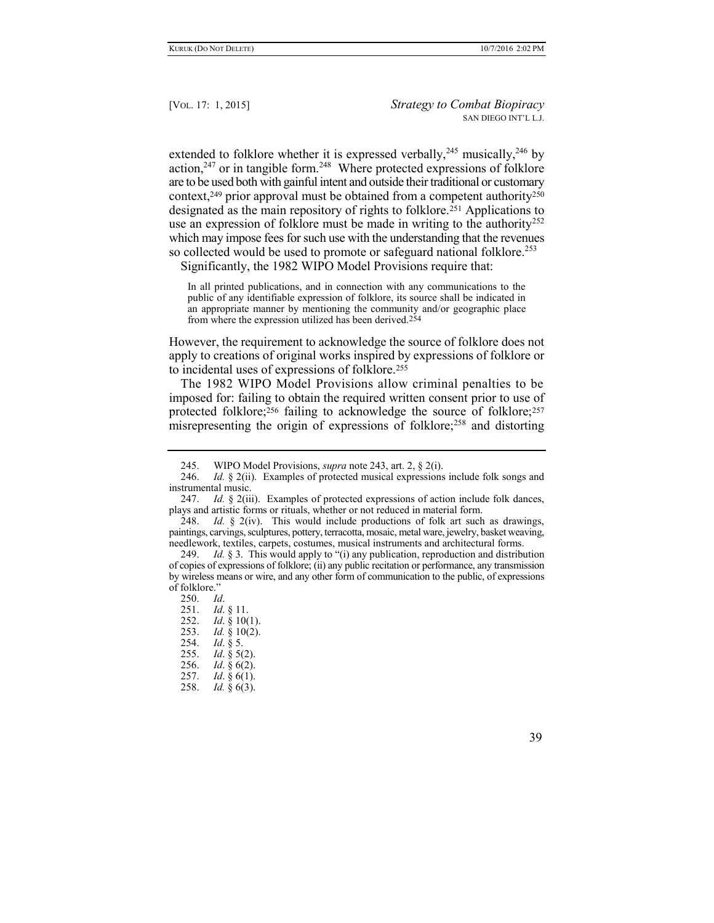extended to folklore whether it is expressed verbally,  $245$  musically,  $246$  by action, $247$  or in tangible form. $248$  Where protected expressions of folklore are to be used both with gainful intent and outside their traditional or customary context,<sup>249</sup> prior approval must be obtained from a competent authority<sup>250</sup> designated as the main repository of rights to folklore.<sup>251</sup> Applications to use an expression of folklore must be made in writing to the authority<sup>252</sup> which may impose fees for such use with the understanding that the revenues so collected would be used to promote or safeguard national folklore.<sup>253</sup>

Significantly, the 1982 WIPO Model Provisions require that:

In all printed publications, and in connection with any communications to the public of any identifiable expression of folklore, its source shall be indicated in an appropriate manner by mentioning the community and/or geographic place from where the expression utilized has been derived.254

However, the requirement to acknowledge the source of folklore does not apply to creations of original works inspired by expressions of folklore or to incidental uses of expressions of folklore.<sup>255</sup>

The 1982 WIPO Model Provisions allow criminal penalties to be imposed for: failing to obtain the required written consent prior to use of protected folklore;<sup>256</sup> failing to acknowledge the source of folklore;<sup>257</sup> misrepresenting the origin of expressions of folklore;<sup>258</sup> and distorting

<sup>245.</sup> WIPO Model Provisions, *supra* note 243, art. 2, § 2(i).

<sup>246.</sup> *Id.* § 2(ii). Examples of protected musical expressions include folk songs and instrumental music.

<sup>247.</sup> *Id.* § 2(iii). Examples of protected expressions of action include folk dances, plays and artistic forms or rituals, whether or not reduced in material form.

<sup>248.</sup> *Id.* § 2(iv). This would include productions of folk art such as drawings, paintings, carvings, sculptures, pottery, terracotta, mosaic, metal ware, jewelry, basket weaving, needlework, textiles, carpets, costumes, musical instruments and architectural forms.

<sup>249.</sup> *Id.* § 3. This would apply to "(i) any publication, reproduction and distribution of copies of expressions of folklore; (ii) any public recitation or performance, any transmission by wireless means or wire, and any other form of communication to the public, of expressions of folklore."

<sup>250.</sup> *Id*.

<sup>251.</sup> *Id*. § 11.

<sup>252.</sup> *Id*. § 10(1).

<sup>253.</sup> *Id.* § 10(2).

<sup>254.</sup> *Id*. § 5.

<sup>255.</sup> *Id*. § 5(2). *Id.* § 6(2).

<sup>257.</sup> *Id*. § 6(1).

<sup>258.</sup> *Id.* § 6(3).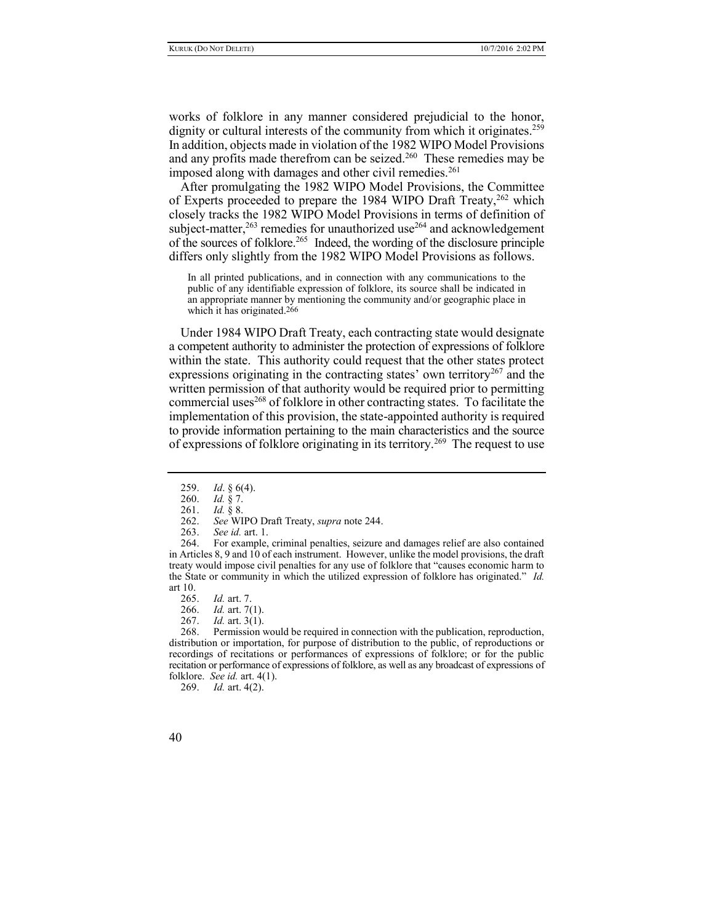works of folklore in any manner considered prejudicial to the honor, dignity or cultural interests of the community from which it originates.<sup>259</sup> In addition, objects made in violation of the 1982 WIPO Model Provisions and any profits made therefrom can be seized. $260$  These remedies may be imposed along with damages and other civil remedies.<sup>261</sup>

After promulgating the 1982 WIPO Model Provisions, the Committee of Experts proceeded to prepare the 1984 WIPO Draft Treaty,<sup>262</sup> which closely tracks the 1982 WIPO Model Provisions in terms of definition of subject-matter, $263$  remedies for unauthorized use  $264$  and acknowledgement of the sources of folklore.<sup>265</sup> Indeed, the wording of the disclosure principle differs only slightly from the 1982 WIPO Model Provisions as follows.

In all printed publications, and in connection with any communications to the public of any identifiable expression of folklore, its source shall be indicated in an appropriate manner by mentioning the community and/or geographic place in which it has originated.266

Under 1984 WIPO Draft Treaty, each contracting state would designate a competent authority to administer the protection of expressions of folklore within the state. This authority could request that the other states protect expressions originating in the contracting states' own territory<sup>267</sup> and the written permission of that authority would be required prior to permitting commercial uses<sup>268</sup> of folklore in other contracting states. To facilitate the implementation of this provision, the state-appointed authority is required to provide information pertaining to the main characteristics and the source of expressions of folklore originating in its territory.<sup>269</sup> The request to use

259. *Id*. § 6(4).

- 262. *See* WIPO Draft Treaty, *supra* note 244.
- 263. *See id.* art. 1.

264. For example, criminal penalties, seizure and damages relief are also contained in Articles 8, 9 and 10 of each instrument. However, unlike the model provisions, the draft treaty would impose civil penalties for any use of folklore that "causes economic harm to the State or community in which the utilized expression of folklore has originated." *Id.* art 10.

- 265. *Id.* art. 7.
- 266. *Id.* art. 7(1).
- 267. *Id.* art. 3(1).

268. Permission would be required in connection with the publication, reproduction, distribution or importation, for purpose of distribution to the public, of reproductions or recordings of recitations or performances of expressions of folklore; or for the public recitation or performance of expressions of folklore, as well as any broadcast of expressions of folklore. *See id.* art. 4(1).

269. *Id.* art. 4(2).

<sup>260.</sup> *Id.* § 7.

<sup>261.</sup> *Id.* § 8.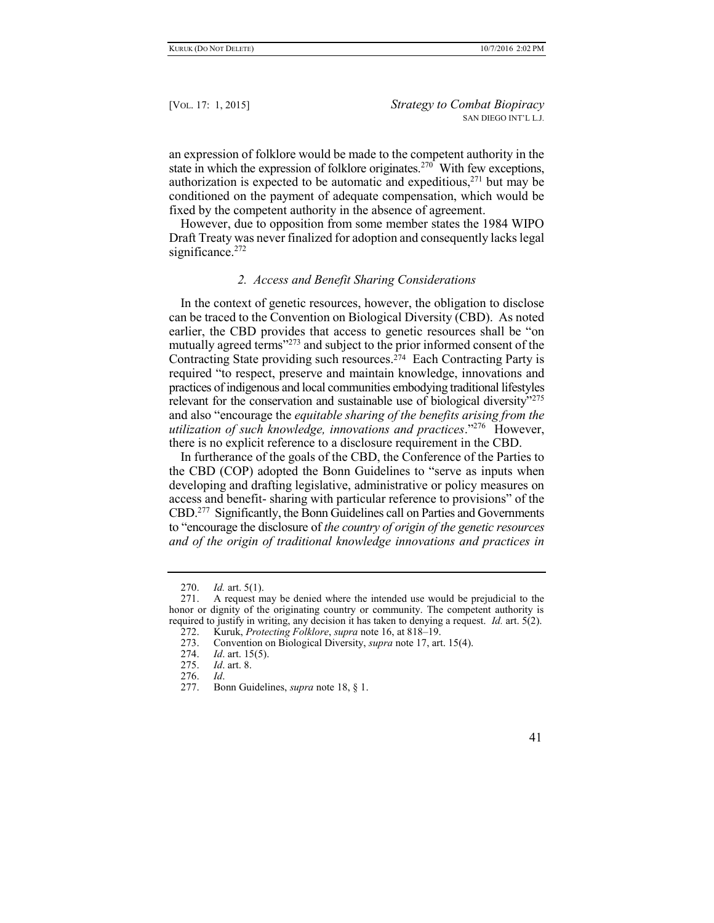an expression of folklore would be made to the competent authority in the state in which the expression of folklore originates.<sup>270</sup> With few exceptions, authorization is expected to be automatic and expeditious, $271$  but may be conditioned on the payment of adequate compensation, which would be fixed by the competent authority in the absence of agreement.

However, due to opposition from some member states the 1984 WIPO Draft Treaty was never finalized for adoption and consequently lacks legal significance.<sup>272</sup>

#### *2. Access and Benefit Sharing Considerations*

In the context of genetic resources, however, the obligation to disclose can be traced to the Convention on Biological Diversity (CBD). As noted earlier, the CBD provides that access to genetic resources shall be "on mutually agreed terms"<sup>273</sup> and subject to the prior informed consent of the Contracting State providing such resources.<sup>274</sup> Each Contracting Party is required "to respect, preserve and maintain knowledge, innovations and practices of indigenous and local communities embodying traditional lifestyles relevant for the conservation and sustainable use of biological diversity"<sup>275</sup> and also "encourage the *equitable sharing of the benefits arising from the utilization of such knowledge, innovations and practices*."<sup>276</sup> However, there is no explicit reference to a disclosure requirement in the CBD.

In furtherance of the goals of the CBD, the Conference of the Parties to the CBD (COP) adopted the Bonn Guidelines to "serve as inputs when developing and drafting legislative, administrative or policy measures on access and benefit- sharing with particular reference to provisions" of the CBD.<sup>277</sup> Significantly, the Bonn Guidelines call on Parties and Governments to "encourage the disclosure of *the country of origin of the genetic resources and of the origin of traditional knowledge innovations and practices in* 

<sup>270.</sup> *Id.* art. 5(1).

<sup>271.</sup> A request may be denied where the intended use would be prejudicial to the honor or dignity of the originating country or community. The competent authority is required to justify in writing, any decision it has taken to denying a request. *Id.* art. 5(2).

<sup>272.</sup> Kuruk, *Protecting Folklore*, *supra* note 16, at 818–19.

<sup>273.</sup> Convention on Biological Diversity, *supra* note 17, art. 15(4).

<sup>274.</sup> *Id*. art. 15(5).

<sup>275.</sup> *Id*. art. 8.

<sup>276.</sup> *Id*.

<sup>277.</sup> Bonn Guidelines, *supra* note 18, § 1.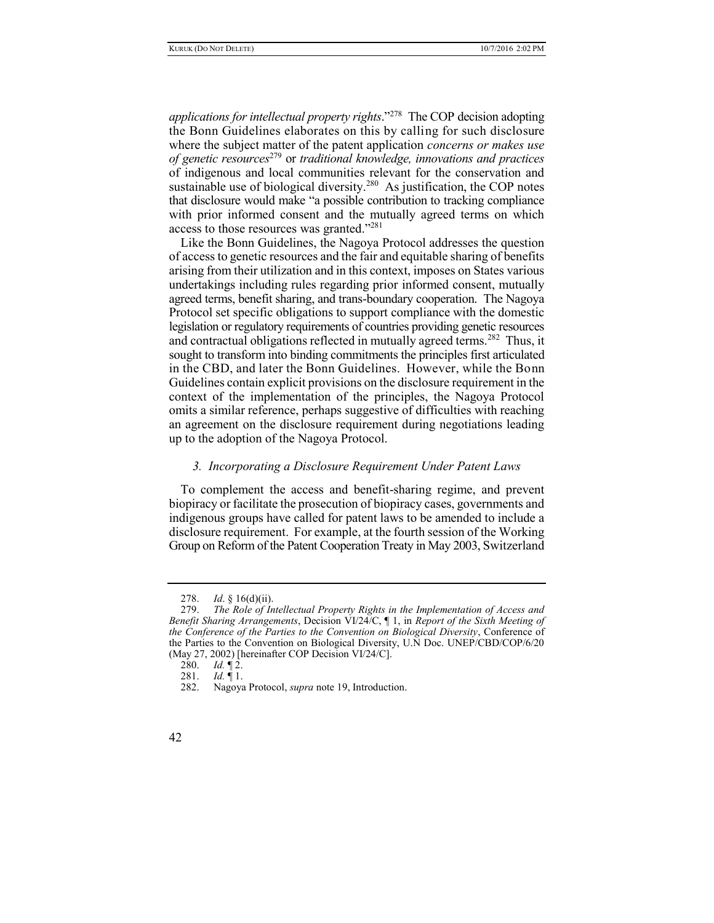*applications for intellectual property rights*."<sup>278</sup> The COP decision adopting the Bonn Guidelines elaborates on this by calling for such disclosure where the subject matter of the patent application *concerns or makes use of genetic resources*<sup>279</sup> or *traditional knowledge, innovations and practices* of indigenous and local communities relevant for the conservation and sustainable use of biological diversity.<sup>280</sup> As justification, the COP notes that disclosure would make "a possible contribution to tracking compliance with prior informed consent and the mutually agreed terms on which access to those resources was granted."<sup>281</sup>

Like the Bonn Guidelines, the Nagoya Protocol addresses the question of access to genetic resources and the fair and equitable sharing of benefits arising from their utilization and in this context, imposes on States various undertakings including rules regarding prior informed consent, mutually agreed terms, benefit sharing, and trans-boundary cooperation. The Nagoya Protocol set specific obligations to support compliance with the domestic legislation or regulatory requirements of countries providing genetic resources and contractual obligations reflected in mutually agreed terms.<sup>282</sup> Thus, it sought to transform into binding commitments the principles first articulated in the CBD, and later the Bonn Guidelines. However, while the Bonn Guidelines contain explicit provisions on the disclosure requirement in the context of the implementation of the principles, the Nagoya Protocol omits a similar reference, perhaps suggestive of difficulties with reaching an agreement on the disclosure requirement during negotiations leading up to the adoption of the Nagoya Protocol.

### *3. Incorporating a Disclosure Requirement Under Patent Laws*

To complement the access and benefit-sharing regime, and prevent biopiracy or facilitate the prosecution of biopiracy cases, governments and indigenous groups have called for patent laws to be amended to include a disclosure requirement. For example, at the fourth session of the Working Group on Reform of the Patent Cooperation Treaty in May 2003, Switzerland

<sup>278.</sup> *Id*. § 16(d)(ii).

<sup>279.</sup> *The Role of Intellectual Property Rights in the Implementation of Access and Benefit Sharing Arrangements*, Decision VI/24/C, ¶ 1, in *Report of the Sixth Meeting of the Conference of the Parties to the Convention on Biological Diversity*, Conference of the Parties to the Convention on Biological Diversity, U.N Doc. UNEP/CBD/COP/6/20 (May 27, 2002) [hereinafter COP Decision VI/24/C].

<sup>280.</sup> *Id.* ¶ 2.

<sup>281.</sup> *Id.* ¶ 1.

<sup>282.</sup> Nagoya Protocol, *supra* note 19, Introduction.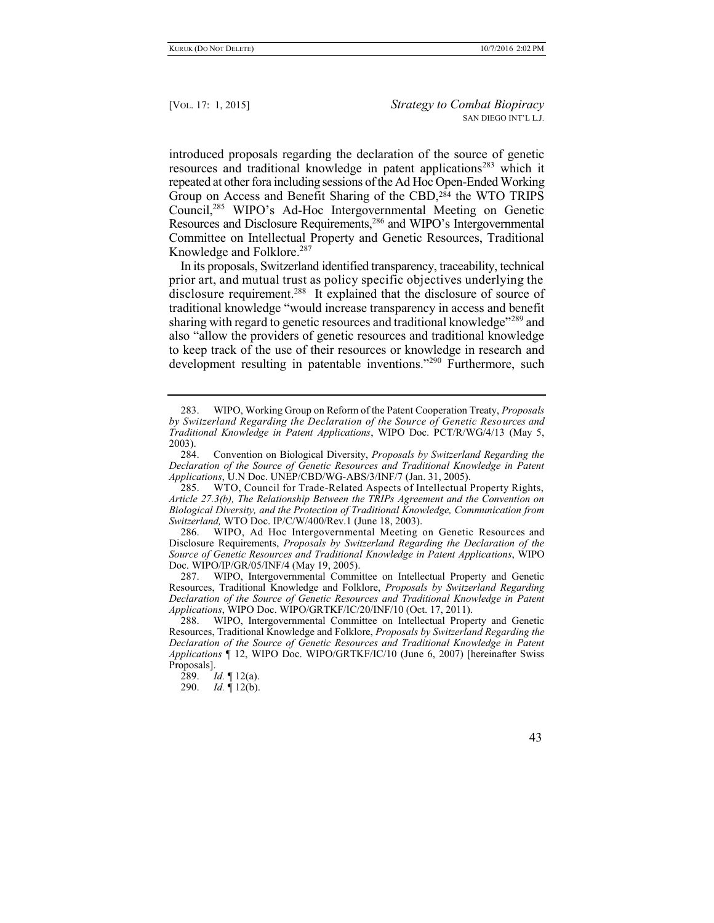introduced proposals regarding the declaration of the source of genetic resources and traditional knowledge in patent applications<sup>283</sup> which it repeated at other fora including sessions of the Ad Hoc Open-Ended Working Group on Access and Benefit Sharing of the CBD,<sup>284</sup> the WTO TRIPS Council,<sup>285</sup> WIPO's Ad-Hoc Intergovernmental Meeting on Genetic Resources and Disclosure Requirements,<sup>286</sup> and WIPO's Intergovernmental Committee on Intellectual Property and Genetic Resources, Traditional Knowledge and Folklore. 287

In its proposals, Switzerland identified transparency, traceability, technical prior art, and mutual trust as policy specific objectives underlying the disclosure requirement.<sup>288</sup> It explained that the disclosure of source of traditional knowledge "would increase transparency in access and benefit sharing with regard to genetic resources and traditional knowledge"<sup>289</sup> and also "allow the providers of genetic resources and traditional knowledge to keep track of the use of their resources or knowledge in research and development resulting in patentable inventions."<sup>290</sup> Furthermore, such

<sup>283.</sup> WIPO, Working Group on Reform of the Patent Cooperation Treaty, *Proposals by Switzerland Regarding the Declaration of the Source of Genetic Resources and Traditional Knowledge in Patent Applications*, WIPO Doc. PCT/R/WG/4/13 (May 5, 2003).

<sup>284.</sup> Convention on Biological Diversity, *Proposals by Switzerland Regarding the Declaration of the Source of Genetic Resources and Traditional Knowledge in Patent Applications*, U.N Doc. UNEP/CBD/WG-ABS/3/INF/7 (Jan. 31, 2005).

<sup>285.</sup> WTO, Council for Trade-Related Aspects of Intellectual Property Rights, *Article 27.3(b), The Relationship Between the TRIPs Agreement and the Convention on Biological Diversity, and the Protection of Traditional Knowledge, Communication from Switzerland,* WTO Doc. IP/C/W/400/Rev.1 (June 18, 2003).

<sup>286.</sup> WIPO, Ad Hoc Intergovernmental Meeting on Genetic Resources and Disclosure Requirements, *Proposals by Switzerland Regarding the Declaration of the Source of Genetic Resources and Traditional Knowledge in Patent Applications*, WIPO Doc. WIPO/IP/GR/05/INF/4 (May 19, 2005).

<sup>287.</sup> WIPO, Intergovernmental Committee on Intellectual Property and Genetic Resources, Traditional Knowledge and Folklore, *Proposals by Switzerland Regarding Declaration of the Source of Genetic Resources and Traditional Knowledge in Patent Applications*, WIPO Doc. WIPO/GRTKF/IC/20/INF/10 (Oct. 17, 2011).

<sup>288.</sup> WIPO, Intergovernmental Committee on Intellectual Property and Genetic Resources, Traditional Knowledge and Folklore, *Proposals by Switzerland Regarding the Declaration of the Source of Genetic Resources and Traditional Knowledge in Patent Applications* ¶ 12, WIPO Doc. WIPO/GRTKF/IC/10 (June 6, 2007) [hereinafter Swiss Proposals].

<sup>289.</sup> *Id.* ¶ 12(a).

<sup>290.</sup> *Id.* ¶ 12(b).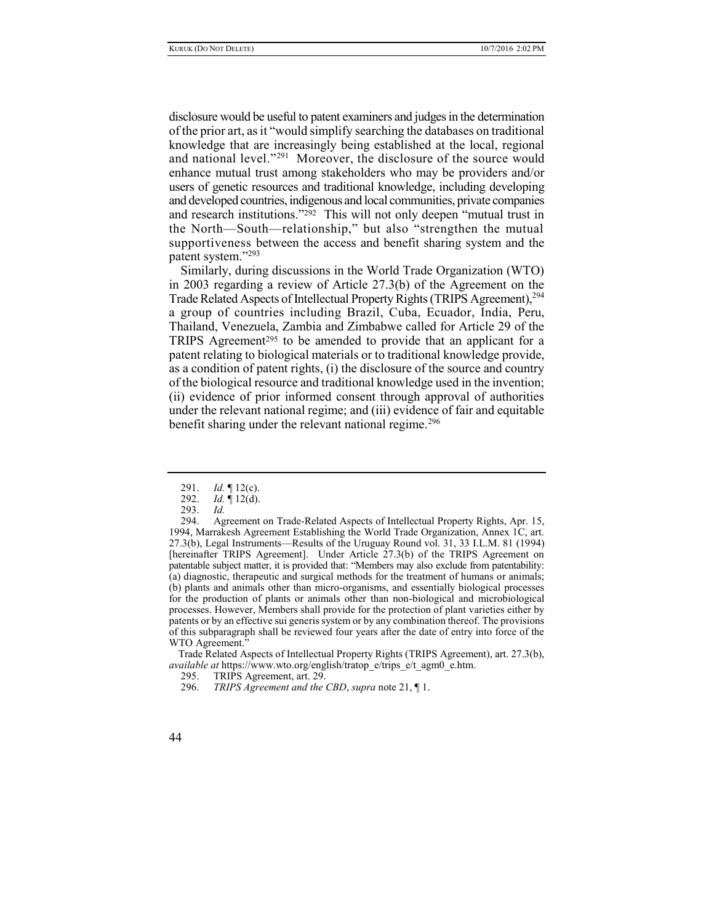disclosure would be useful to patent examiners and judges in the determination of the prior art, as it "would simplify searching the databases on traditional knowledge that are increasingly being established at the local, regional and national level."<sup>291</sup> Moreover, the disclosure of the source would enhance mutual trust among stakeholders who may be providers and/or users of genetic resources and traditional knowledge, including developing and developed countries, indigenous and local communities, private companies and research institutions."<sup>292</sup> This will not only deepen "mutual trust in the North—South—relationship," but also "strengthen the mutual supportiveness between the access and benefit sharing system and the patent system."<sup>293</sup>

Similarly, during discussions in the World Trade Organization (WTO) in 2003 regarding a review of Article 27.3(b) of the Agreement on the Trade Related Aspects of Intellectual Property Rights (TRIPS Agreement), <sup>294</sup> a group of countries including Brazil, Cuba, Ecuador, India, Peru, Thailand, Venezuela, Zambia and Zimbabwe called for Article 29 of the TRIPS Agreement<sup>295</sup> to be amended to provide that an applicant for a patent relating to biological materials or to traditional knowledge provide, as a condition of patent rights, (i) the disclosure of the source and country of the biological resource and traditional knowledge used in the invention; (ii) evidence of prior informed consent through approval of authorities under the relevant national regime; and (iii) evidence of fair and equitable benefit sharing under the relevant national regime.<sup>296</sup>

291. *Id.* ¶ 12(c).

Trade Related Aspects of Intellectual Property Rights (TRIPS Agreement), art. 27.3(b), *available at* [https://www.wto.org/english/tratop\\_e/trips\\_e/t\\_agm0\\_e.htm.](https://www.wto.org/english/tratop_e/trips_e/t_agm0_e.htm)

<sup>292.</sup> *Id.* ¶ 12(d).

<sup>293.</sup> *Id.*

Agreement on Trade-Related Aspects of Intellectual Property Rights, Apr. 15, 1994, Marrakesh Agreement Establishing the World Trade Organization, Annex 1C, art. 27.3(b), Legal Instruments—Results of the Uruguay Round vol. 31, 33 I.L.M. 81 (1994) [hereinafter TRIPS Agreement]. Under Article 27.3(b) of the TRIPS Agreement on patentable subject matter, it is provided that: "Members may also exclude from patentability: (a) diagnostic, therapeutic and surgical methods for the treatment of humans or animals; (b) plants and animals other than micro-organisms, and essentially biological processes for the production of plants or animals other than non-biological and microbiological processes. However, Members shall provide for the protection of plant varieties either by patents or by an effective sui generis system or by any combination thereof. The provisions of this subparagraph shall be reviewed four years after the date of entry into force of the WTO Agreement."

<sup>295.</sup> TRIPS Agreement, art. 29.

<sup>296.</sup> *TRIPS Agreement and the CBD*, *supra* note 21, ¶ 1.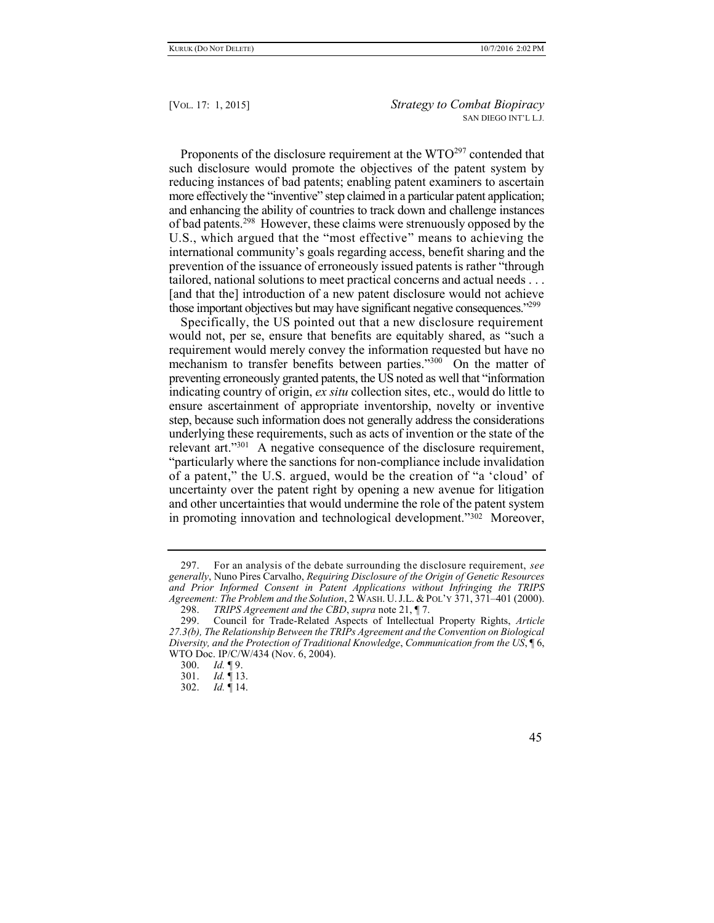Proponents of the disclosure requirement at the WTO<sup>297</sup> contended that such disclosure would promote the objectives of the patent system by reducing instances of bad patents; enabling patent examiners to ascertain more effectively the "inventive" step claimed in a particular patent application; and enhancing the ability of countries to track down and challenge instances of bad patents.<sup>298</sup> However, these claims were strenuously opposed by the U.S., which argued that the "most effective" means to achieving the international community's goals regarding access, benefit sharing and the prevention of the issuance of erroneously issued patents is rather "through tailored, national solutions to meet practical concerns and actual needs . . . [and that the] introduction of a new patent disclosure would not achieve those important objectives but may have significant negative consequences."<sup>299</sup>

Specifically, the US pointed out that a new disclosure requirement would not, per se, ensure that benefits are equitably shared, as "such a requirement would merely convey the information requested but have no mechanism to transfer benefits between parties."<sup>300</sup> On the matter of preventing erroneously granted patents, the US noted as well that "information indicating country of origin, *ex situ* collection sites, etc., would do little to ensure ascertainment of appropriate inventorship, novelty or inventive step, because such information does not generally address the considerations underlying these requirements, such as acts of invention or the state of the relevant art."<sup>301</sup> A negative consequence of the disclosure requirement, "particularly where the sanctions for non-compliance include invalidation of a patent," the U.S. argued, would be the creation of "a 'cloud' of uncertainty over the patent right by opening a new avenue for litigation and other uncertainties that would undermine the role of the patent system in promoting innovation and technological development."302 Moreover,

<sup>297.</sup> For an analysis of the debate surrounding the disclosure requirement, *see generally*, Nuno Pires Carvalho, *Requiring Disclosure of the Origin of Genetic Resources and Prior Informed Consent in Patent Applications without Infringing the TRIPS Agreement: The Problem and the Solution*, 2 WASH. U.J.L. & POL'Y 371, 371–401 (2000).

<sup>298.</sup> *TRIPS Agreement and the CBD*, *supra* note 21, ¶7.<br>299. Council for Trade-Related Aspects of Intellectual

<sup>299.</sup> Council for Trade-Related Aspects of Intellectual Property Rights, *Article 27.3(b), The Relationship Between the TRIPs Agreement and the Convention on Biological Diversity, and the Protection of Traditional Knowledge*, *Communication from the US*, ¶ 6, WTO Doc. IP/C/W/434 (Nov. 6, 2004).

<sup>300.</sup> *Id.* ¶ 9.

<sup>301.</sup> *Id.* ¶ 13.

<sup>302.</sup> *Id.* ¶ 14.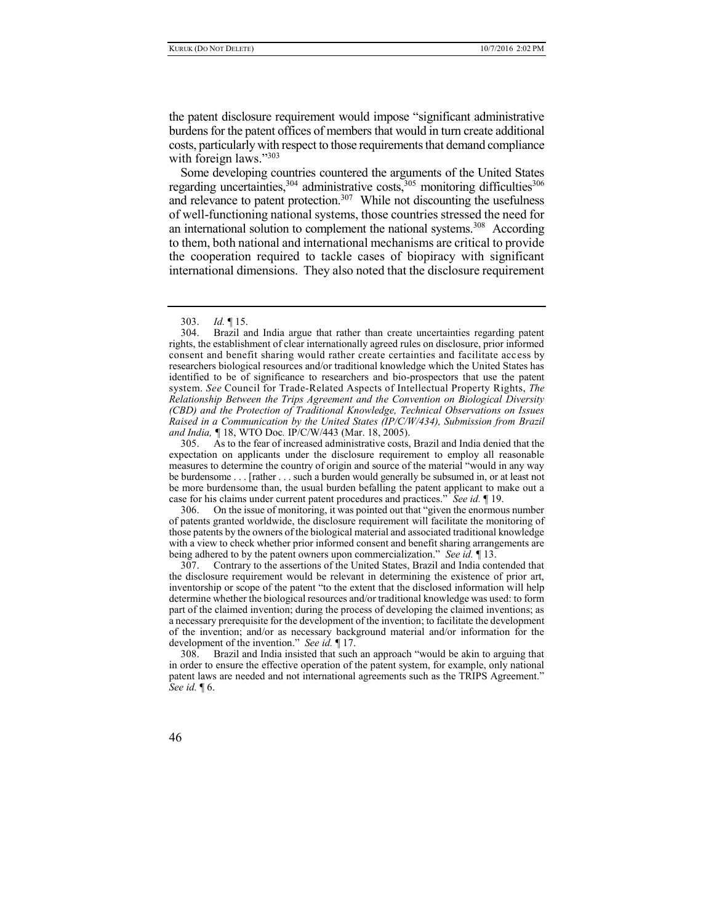the patent disclosure requirement would impose "significant administrative burdens for the patent offices of members that would in turn create additional costs, particularly with respect to those requirements that demand compliance with foreign laws."303

Some developing countries countered the arguments of the United States regarding uncertainties,  $304$  administrative costs,  $305$  monitoring difficulties  $306$ and relevance to patent protection.<sup>307</sup> While not discounting the usefulness of well-functioning national systems, those countries stressed the need for an international solution to complement the national systems.<sup>308</sup> According to them, both national and international mechanisms are critical to provide the cooperation required to tackle cases of biopiracy with significant international dimensions. They also noted that the disclosure requirement

306. On the issue of monitoring, it was pointed out that "given the enormous number of patents granted worldwide, the disclosure requirement will facilitate the monitoring of those patents by the owners of the biological material and associated traditional knowledge with a view to check whether prior informed consent and benefit sharing arrangements are being adhered to by the patent owners upon commercialization." *See id.* ¶ 13.

307. Contrary to the assertions of the United States, Brazil and India contended that the disclosure requirement would be relevant in determining the existence of prior art, inventorship or scope of the patent "to the extent that the disclosed information will help determine whether the biological resources and/or traditional knowledge was used: to form part of the claimed invention; during the process of developing the claimed inventions; as a necessary prerequisite for the development of the invention; to facilitate the development of the invention; and/or as necessary background material and/or information for the development of the invention." *See id.* ¶ 17.

308. Brazil and India insisted that such an approach "would be akin to arguing that in order to ensure the effective operation of the patent system, for example, only national patent laws are needed and not international agreements such as the TRIPS Agreement." *See id.* ¶ 6.

<sup>303.</sup> *Id.* ¶ 15.

<sup>304.</sup> Brazil and India argue that rather than create uncertainties regarding patent rights, the establishment of clear internationally agreed rules on disclosure, prior informed consent and benefit sharing would rather create certainties and facilitate acc ess by researchers biological resources and/or traditional knowledge which the United States has identified to be of significance to researchers and bio-prospectors that use the patent system. *See* Council for Trade-Related Aspects of Intellectual Property Rights, *The Relationship Between the Trips Agreement and the Convention on Biological Diversity (CBD) and the Protection of Traditional Knowledge, Technical Observations on Issues Raised in a Communication by the United States (IP/C/W/434), Submission from Brazil and India, ¶* 18, WTO Doc*.* IP/C/W/443 (Mar. 18, 2005).

<sup>305.</sup> As to the fear of increased administrative costs, Brazil and India denied that the expectation on applicants under the disclosure requirement to employ all reasonable measures to determine the country of origin and source of the material "would in any way be burdensome . . . [rather . . . such a burden would generally be subsumed in, or at least not be more burdensome than, the usual burden befalling the patent applicant to make out a case for his claims under current patent procedures and practices." *See id.* ¶ 19.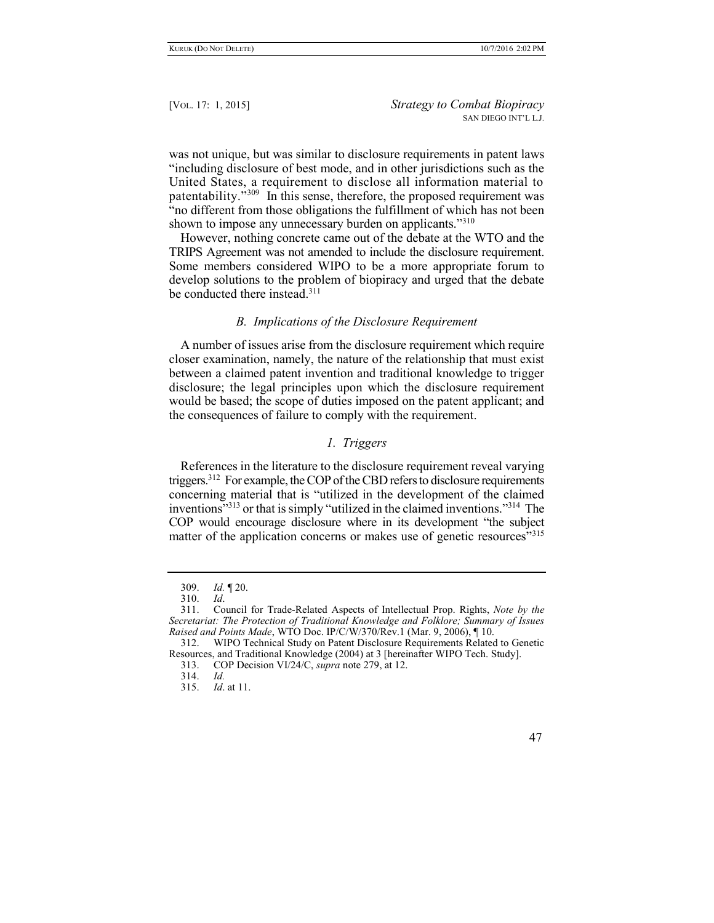was not unique, but was similar to disclosure requirements in patent laws "including disclosure of best mode, and in other jurisdictions such as the United States, a requirement to disclose all information material to patentability."<sup>309</sup> In this sense, therefore, the proposed requirement was "no different from those obligations the fulfillment of which has not been shown to impose any unnecessary burden on applicants."<sup>310</sup>

However, nothing concrete came out of the debate at the WTO and the TRIPS Agreement was not amended to include the disclosure requirement. Some members considered WIPO to be a more appropriate forum to develop solutions to the problem of biopiracy and urged that the debate be conducted there instead.<sup>311</sup>

# *B. Implications of the Disclosure Requirement*

A number of issues arise from the disclosure requirement which require closer examination, namely, the nature of the relationship that must exist between a claimed patent invention and traditional knowledge to trigger disclosure; the legal principles upon which the disclosure requirement would be based; the scope of duties imposed on the patent applicant; and the consequences of failure to comply with the requirement.

# *1. Triggers*

References in the literature to the disclosure requirement reveal varying triggers.<sup>312</sup> For example, the COP of the CBD refers to disclosure requirements concerning material that is "utilized in the development of the claimed inventions"<sup>313</sup> or that is simply "utilized in the claimed inventions."<sup>314</sup> The COP would encourage disclosure where in its development "the subject matter of the application concerns or makes use of genetic resources"<sup>315</sup>

<sup>309.</sup> *Id.* ¶ 20.

<sup>310.</sup> *Id*.

<sup>311.</sup> Council for Trade-Related Aspects of Intellectual Prop. Rights, *Note by the Secretariat: The Protection of Traditional Knowledge and Folklore; Summary of Issues Raised and Points Made*, WTO Doc. IP/C/W/370/Rev.1 (Mar. 9, 2006), ¶ 10.

<sup>312.</sup> WIPO Technical Study on Patent Disclosure Requirements Related to Genetic Resources, and Traditional Knowledge (2004) at 3 [hereinafter WIPO Tech. Study].

<sup>313.</sup> COP Decision VI/24/C, *supra* note 279, at 12.

<sup>314.</sup> *Id.*

<sup>315.</sup> *Id*. at 11.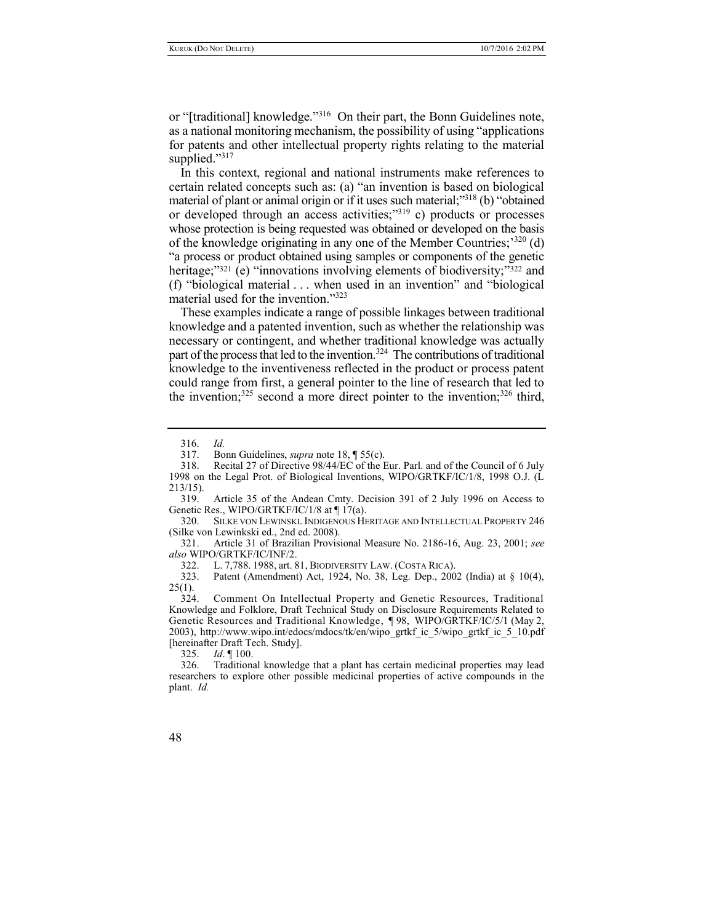or "[traditional] knowledge."<sup>316</sup> On their part, the Bonn Guidelines note, as a national monitoring mechanism, the possibility of using "applications for patents and other intellectual property rights relating to the material supplied."317

In this context, regional and national instruments make references to certain related concepts such as: (a) "an invention is based on biological material of plant or animal origin or if it uses such material;<sup>3318</sup> (b) "obtained or developed through an access activities;"<sup>319</sup> c) products or processes whose protection is being requested was obtained or developed on the basis of the knowledge originating in any one of the Member Countries;<sup>320</sup> (d) "a process or product obtained using samples or components of the genetic heritage;"<sup>321</sup> (e) "innovations involving elements of biodiversity;"<sup>322</sup> and (f) "biological material . . . when used in an invention" and "biological material used for the invention."<sup>323</sup>

These examples indicate a range of possible linkages between traditional knowledge and a patented invention, such as whether the relationship was necessary or contingent, and whether traditional knowledge was actually part of the process that led to the invention.<sup>324</sup> The contributions of traditional knowledge to the inventiveness reflected in the product or process patent could range from first, a general pointer to the line of research that led to the invention; $325$  second a more direct pointer to the invention; $326$  third,

325. *Id*. ¶ 100.

<sup>316.</sup> *Id.*

<sup>317.</sup> Bonn Guidelines, *supra* note 18, ¶ 55(c).

<sup>318.</sup> Recital 27 of Directive 98/44/EC of the Eur. Parl. and of the Council of 6 July 1998 on the Legal Prot. of Biological Inventions, WIPO/GRTKF/IC/1/8, 1998 O.J. (L 213/15).

<sup>319.</sup> Article 35 of the Andean Cmty. Decision 391 of 2 July 1996 on Access to Genetic Res., WIPO/GRTKF/IC/1/8 at ¶ 17(a).

<sup>320.</sup> SILKE VON LEWINSKI. INDIGENOUS HERITAGE AND INTELLECTUAL PROPERTY 246 (Silke von Lewinkski ed., 2nd ed. 2008).

<sup>321.</sup> Article 31 of Brazilian Provisional Measure No. 2186-16, Aug. 23, 2001; *see also* WIPO/GRTKF/IC/INF/2.

<sup>322.</sup> L. 7,788. 1988, art. 81, BIODIVERSITY LAW. (COSTA RICA).

<sup>323.</sup> Patent (Amendment) Act, 1924, No. 38, Leg. Dep., 2002 (India) at § 10(4),  $25(1)$ .

<sup>324.</sup> Comment On Intellectual Property and Genetic Resources, Traditional Knowledge and Folklore, Draft Technical Study on Disclosure Requirements Related to Genetic Resources and Traditional Knowledge, ¶ 98, WIPO/GRTKF/IC/5/1 (May 2, 2003), http://www.wipo.int/edocs/mdocs/tk/en/wipo\_grtkf\_ic\_5/wipo\_grtkf\_ic\_5\_10.pdf [hereinafter Draft Tech. Study].

<sup>326.</sup> Traditional knowledge that a plant has certain medicinal properties may lead researchers to explore other possible medicinal properties of active compounds in the plant. *Id.*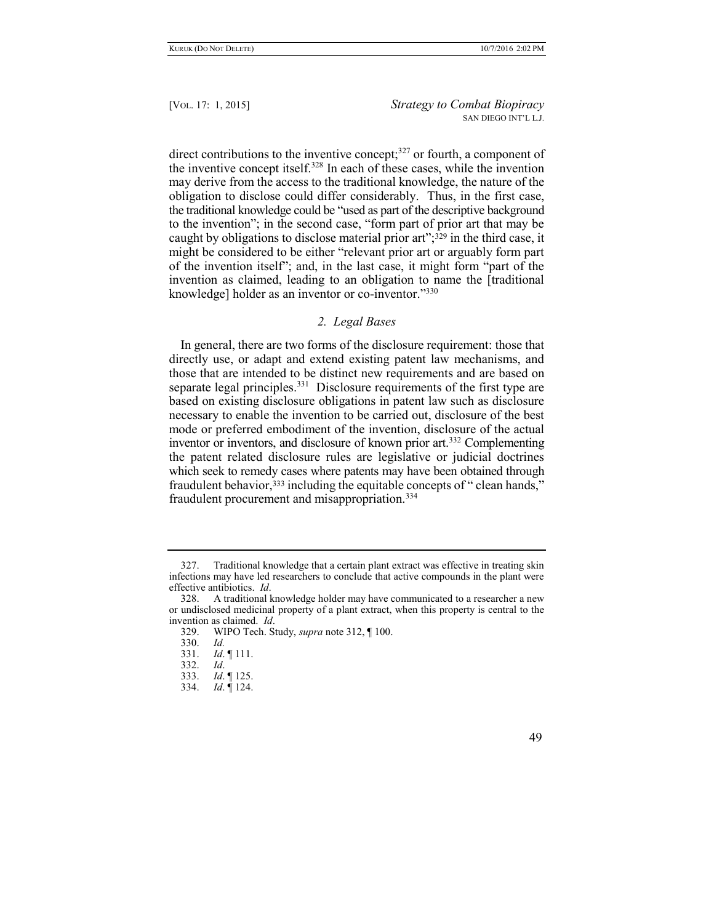direct contributions to the inventive concept;<sup>327</sup> or fourth, a component of the inventive concept itself.<sup>328</sup> In each of these cases, while the invention may derive from the access to the traditional knowledge, the nature of the obligation to disclose could differ considerably. Thus, in the first case, the traditional knowledge could be "used as part of the descriptive background to the invention"; in the second case, "form part of prior art that may be caught by obligations to disclose material prior art";<sup>329</sup> in the third case, it might be considered to be either "relevant prior art or arguably form part of the invention itself"; and, in the last case, it might form "part of the invention as claimed, leading to an obligation to name the [traditional knowledge] holder as an inventor or co-inventor."330

### *2. Legal Bases*

In general, there are two forms of the disclosure requirement: those that directly use, or adapt and extend existing patent law mechanisms, and those that are intended to be distinct new requirements and are based on separate legal principles.<sup>331</sup> Disclosure requirements of the first type are based on existing disclosure obligations in patent law such as disclosure necessary to enable the invention to be carried out, disclosure of the best mode or preferred embodiment of the invention, disclosure of the actual inventor or inventors, and disclosure of known prior art.<sup>332</sup> Complementing the patent related disclosure rules are legislative or judicial doctrines which seek to remedy cases where patents may have been obtained through fraudulent behavior,<sup>333</sup> including the equitable concepts of " clean hands," fraudulent procurement and misappropriation.<sup>334</sup>

<sup>327.</sup> Traditional knowledge that a certain plant extract was effective in treating skin infections may have led researchers to conclude that active compounds in the plant were effective antibiotics. *Id*.

<sup>328.</sup> A traditional knowledge holder may have communicated to a researcher a new or undisclosed medicinal property of a plant extract, when this property is central to the invention as claimed. *Id*.

<sup>329.</sup> WIPO Tech. Study, *supra* note 312, ¶ 100.

<sup>330.</sup> *Id.*

<sup>331.</sup> *Id*. ¶ 111.

<sup>332.</sup> *Id*.

<sup>333.</sup> *Id*. ¶ 125.

<sup>334.</sup> *Id*. ¶ 124.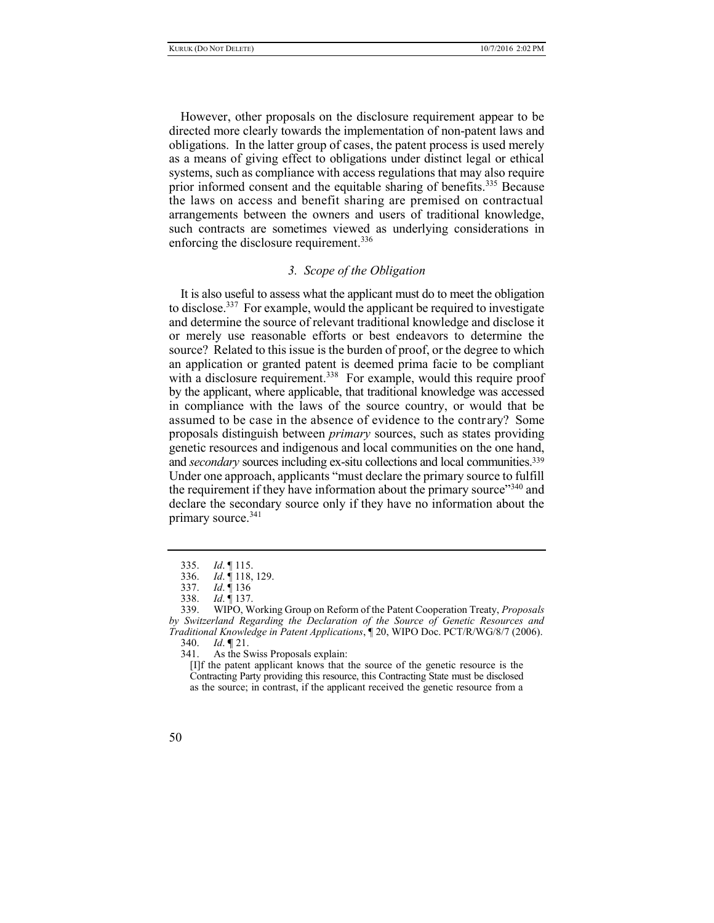However, other proposals on the disclosure requirement appear to be directed more clearly towards the implementation of non-patent laws and obligations. In the latter group of cases, the patent process is used merely as a means of giving effect to obligations under distinct legal or ethical systems, such as compliance with access regulations that may also require prior informed consent and the equitable sharing of benefits.<sup>335</sup> Because the laws on access and benefit sharing are premised on contractual arrangements between the owners and users of traditional knowledge, such contracts are sometimes viewed as underlying considerations in enforcing the disclosure requirement.<sup>336</sup>

### *3. Scope of the Obligation*

It is also useful to assess what the applicant must do to meet the obligation to disclose.<sup>337</sup> For example, would the applicant be required to investigate and determine the source of relevant traditional knowledge and disclose it or merely use reasonable efforts or best endeavors to determine the source? Related to this issue is the burden of proof, or the degree to which an application or granted patent is deemed prima facie to be compliant with a disclosure requirement.<sup>338</sup> For example, would this require proof by the applicant, where applicable, that traditional knowledge was accessed in compliance with the laws of the source country, or would that be assumed to be case in the absence of evidence to the contrary? Some proposals distinguish between *primary* sources, such as states providing genetic resources and indigenous and local communities on the one hand, and *secondary* sources including ex-situ collections and local communities.<sup>339</sup> Under one approach, applicants "must declare the primary source to fulfill the requirement if they have information about the primary source"<sup>340</sup> and declare the secondary source only if they have no information about the primary source.<sup>341</sup>

341. As the Swiss Proposals explain:

[I]f the patent applicant knows that the source of the genetic resource is the Contracting Party providing this resource, this Contracting State must be disclosed as the source; in contrast, if the applicant received the genetic resource from a

<sup>335.</sup> *Id*. ¶ 115.

<sup>336.</sup> *Id*. ¶ 118, 129.

<sup>337.</sup> *Id*. ¶ 136

<sup>338.</sup> *Id*. ¶ 137.

<sup>339.</sup> WIPO, Working Group on Reform of the Patent Cooperation Treaty, *Proposals by Switzerland Regarding the Declaration of the Source of Genetic Resources and Traditional Knowledge in Patent Applications*, ¶ 20, WIPO Doc. PCT/R/WG/8/7 (2006).

<sup>340.</sup> *Id*. **¶** 21.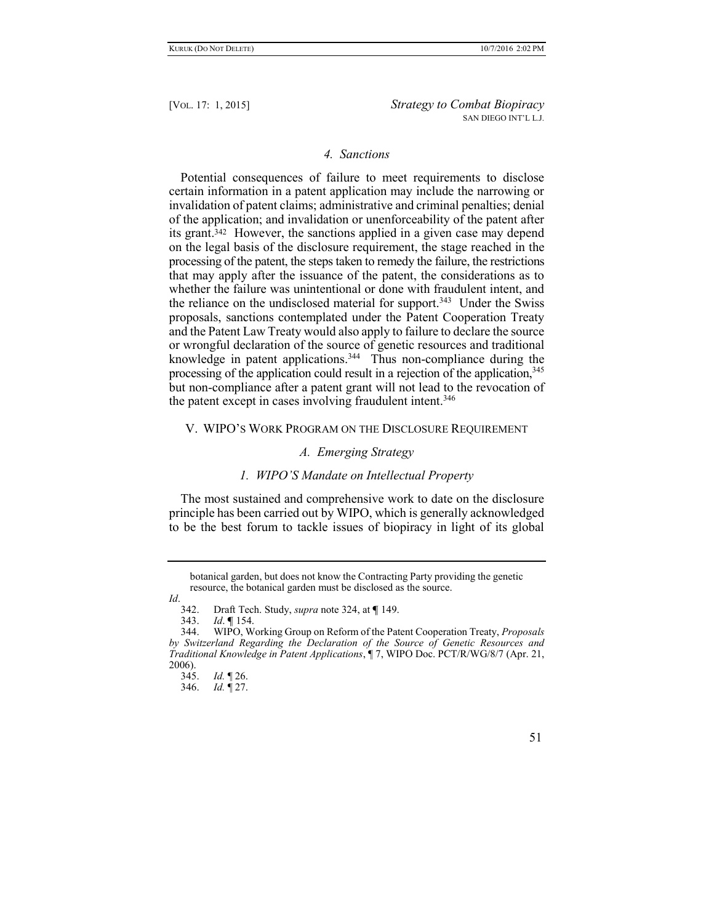### *4. Sanctions*

Potential consequences of failure to meet requirements to disclose certain information in a patent application may include the narrowing or invalidation of patent claims; administrative and criminal penalties; denial of the application; and invalidation or unenforceability of the patent after its grant.342 However, the sanctions applied in a given case may depend on the legal basis of the disclosure requirement, the stage reached in the processing of the patent, the steps taken to remedy the failure, the restrictions that may apply after the issuance of the patent, the considerations as to whether the failure was unintentional or done with fraudulent intent, and the reliance on the undisclosed material for support.<sup>343</sup> Under the Swiss proposals, sanctions contemplated under the Patent Cooperation Treaty and the Patent Law Treaty would also apply to failure to declare the source or wrongful declaration of the source of genetic resources and traditional knowledge in patent applications.<sup>344</sup> Thus non-compliance during the processing of the application could result in a rejection of the application,<sup>345</sup> but non-compliance after a patent grant will not lead to the revocation of the patent except in cases involving fraudulent intent.<sup>346</sup>

#### V. WIPO'S WORK PROGRAM ON THE DISCLOSURE REQUIREMENT

### *A. Emerging Strategy*

### *1. WIPO'S Mandate on Intellectual Property*

The most sustained and comprehensive work to date on the disclosure principle has been carried out by WIPO, which is generally acknowledged to be the best forum to tackle issues of biopiracy in light of its global

*Id*.

botanical garden, but does not know the Contracting Party providing the genetic resource, the botanical garden must be disclosed as the source.

<sup>342.</sup> Draft Tech. Study, *supra* note 324, at **¶** 149.

<sup>343.</sup> *Id*. **¶** 154.

<sup>344.</sup> WIPO, Working Group on Reform of the Patent Cooperation Treaty, *Proposals by Switzerland Regarding the Declaration of the Source of Genetic Resources and Traditional Knowledge in Patent Applications*, ¶ 7, WIPO Doc. PCT/R/WG/8/7 (Apr. 21, 2006).

<sup>345.</sup> *Id.* ¶ 26.

<sup>346.</sup> *Id.* ¶ 27.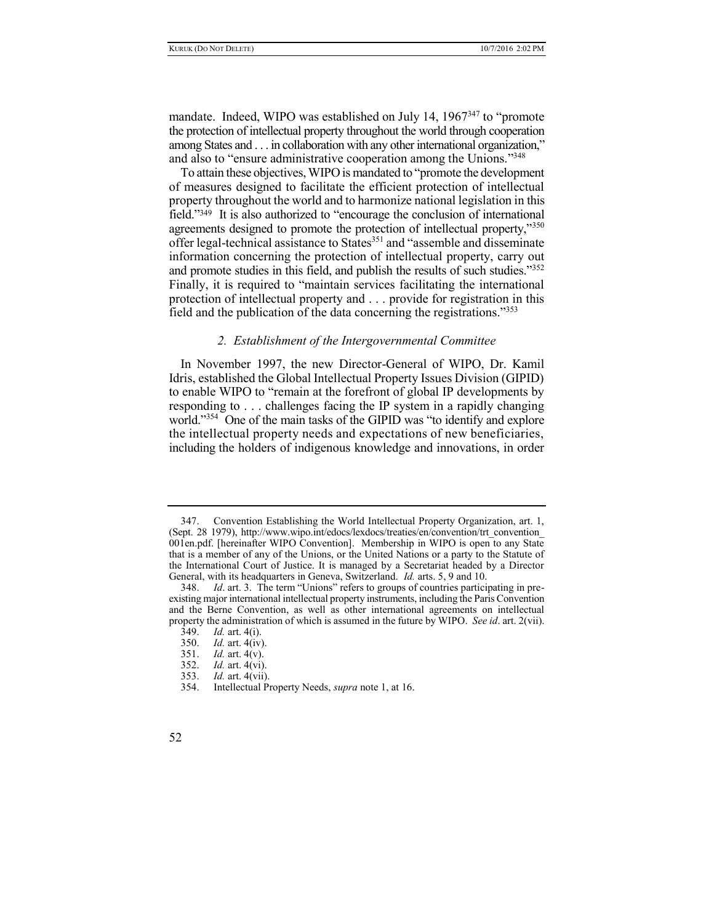mandate. Indeed, WIPO was established on July 14, 1967<sup>347</sup> to "promote" the protection of intellectual property throughout the world through cooperation among States and . . . in collaboration with any other international organization," and also to "ensure administrative cooperation among the Unions."<sup>348</sup>

To attain these objectives, WIPO is mandated to "promote the development of measures designed to facilitate the efficient protection of intellectual property throughout the world and to harmonize national legislation in this field."<sup>349</sup> It is also authorized to "encourage the conclusion of international agreements designed to promote the protection of intellectual property,"<sup>350</sup> offer legal-technical assistance to States<sup>351</sup> and "assemble and disseminate information concerning the protection of intellectual property, carry out and promote studies in this field, and publish the results of such studies."<sup>352</sup> Finally, it is required to "maintain services facilitating the international protection of intellectual property and . . . provide for registration in this field and the publication of the data concerning the registrations."<sup>353</sup>

# *2. Establishment of the Intergovernmental Committee*

In November 1997, the new Director-General of WIPO, Dr. Kamil Idris, established the Global Intellectual Property Issues Division (GIPID) to enable WIPO to "remain at the forefront of global IP developments by responding to . . . challenges facing the IP system in a rapidly changing world."<sup>354</sup> One of the main tasks of the GIPID was "to identify and explore the intellectual property needs and expectations of new beneficiaries, including the holders of indigenous knowledge and innovations, in order

<sup>347.</sup> Convention Establishing the World Intellectual Property Organization, art. 1, (Sept. 28 1979), http://www.wipo.int/edocs/lexdocs/treaties/en/convention/trt\_convention\_ 001en.pdf. [hereinafter WIPO Convention]. Membership in WIPO is open to any State that is a member of any of the Unions, or the United Nations or a party to the Statute of the International Court of Justice. It is managed by a Secretariat headed by a Director General, with its headquarters in Geneva, Switzerland. *Id.* arts. 5, 9 and 10.

<sup>348.</sup> *Id*. art. 3. The term "Unions" refers to groups of countries participating in preexisting major international intellectual property instruments, including the Paris Convention and the Berne Convention, as well as other international agreements on intellectual property the administration of which is assumed in the future by WIPO. *See id*. art. 2(vii).

<sup>349.</sup> *Id.* art. 4(i).

<sup>350.</sup> *Id.* art. 4(iv).

<sup>351.</sup> *Id.* art. 4(v).

<sup>352.</sup> *Id.* art. 4(vi).

<sup>353.</sup> *Id.* art. 4(vii).

<sup>354.</sup> Intellectual Property Needs, *supra* note 1, at 16.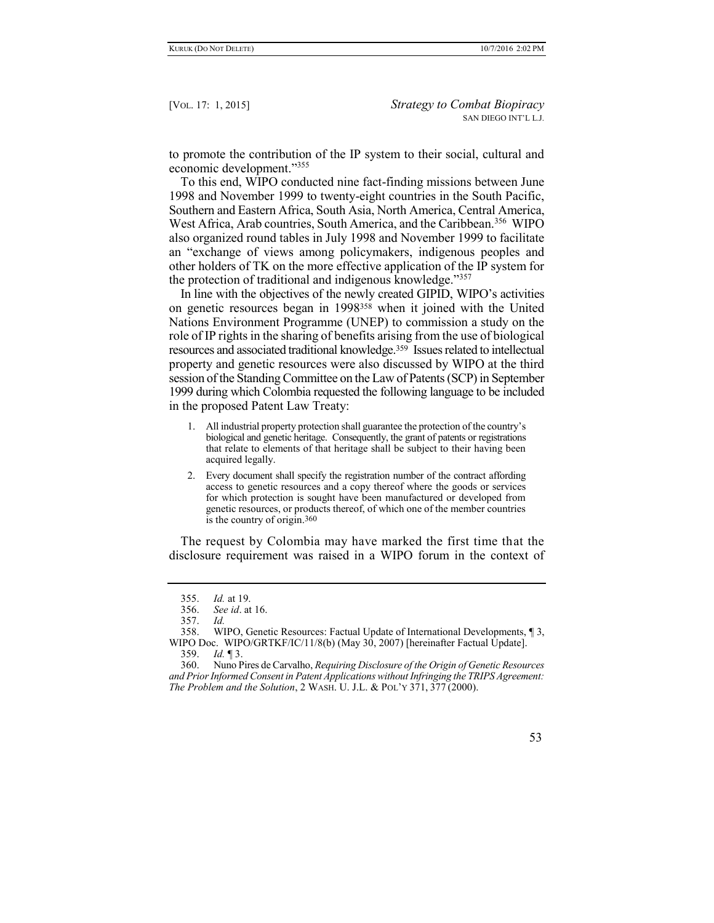to promote the contribution of the IP system to their social, cultural and economic development."<sup>355</sup>

To this end, WIPO conducted nine fact-finding missions between June 1998 and November 1999 to twenty-eight countries in the South Pacific, Southern and Eastern Africa, South Asia, North America, Central America, West Africa, Arab countries, South America, and the Caribbean.<sup>356</sup> WIPO also organized round tables in July 1998 and November 1999 to facilitate an "exchange of views among policymakers, indigenous peoples and other holders of TK on the more effective application of the IP system for the protection of traditional and indigenous knowledge."<sup>357</sup>

In line with the objectives of the newly created GIPID, WIPO's activities on genetic resources began in 1998358 when it joined with the United Nations Environment Programme (UNEP) to commission a study on the role of IP rights in the sharing of benefits arising from the use of biological resources and associated traditional knowledge.359 Issues related to intellectual property and genetic resources were also discussed by WIPO at the third session of the Standing Committee on the Law of Patents (SCP) in September 1999 during which Colombia requested the following language to be included in the proposed Patent Law Treaty:

- 1. All industrial property protection shall guarantee the protection of the country's biological and genetic heritage. Consequently, the grant of patents or registrations that relate to elements of that heritage shall be subject to their having been acquired legally.
- 2. Every document shall specify the registration number of the contract affording access to genetic resources and a copy thereof where the goods or services for which protection is sought have been manufactured or developed from genetic resources, or products thereof, of which one of the member countries is the country of origin.360

The request by Colombia may have marked the first time that the disclosure requirement was raised in a WIPO forum in the context of

<sup>355.</sup> *Id.* at 19.

<sup>356.</sup> *See id*. at 16.

<sup>357.</sup> *Id.*

WIPO Doc. WIPO/GRTKF/IC/11/8(b) (May 30, 2007) [hereinafter Factual Update]. 358 . WIPO, Genetic Resources: Factual Update of International Developments, 13,

<sup>359.</sup> *Id.* ¶ 3.

<sup>360.</sup> Nuno Pires de Carvalho, *Requiring Disclosure of the Origin of Genetic Resources and Prior Informed Consent in Patent Applications without Infringing the TRIPS Agreement: The Problem and the Solution*, 2 WASH. U. J.L. & POL'Y 371, 377 (2000).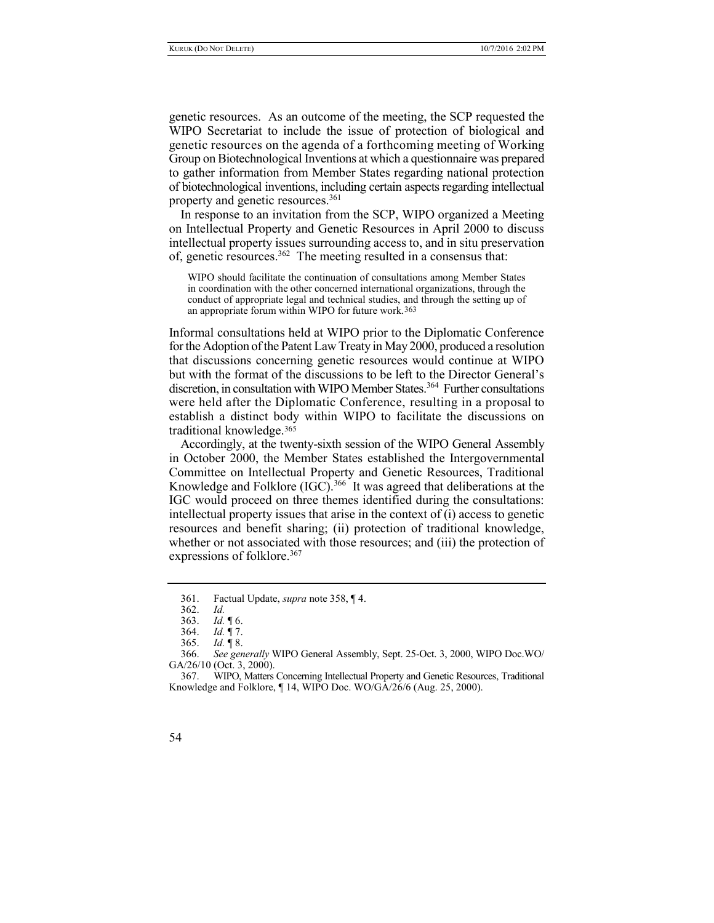genetic resources. As an outcome of the meeting, the SCP requested the WIPO Secretariat to include the issue of protection of biological and genetic resources on the agenda of a forthcoming meeting of Working Group on Biotechnological Inventions at which a questionnaire was prepared to gather information from Member States regarding national protection of biotechnological inventions, including certain aspects regarding intellectual property and genetic resources.<sup>361</sup>

In response to an invitation from the SCP, WIPO organized a Meeting on Intellectual Property and Genetic Resources in April 2000 to discuss intellectual property issues surrounding access to, and in situ preservation of, genetic resources.<sup>362</sup> The meeting resulted in a consensus that:

WIPO should facilitate the continuation of consultations among Member States in coordination with the other concerned international organizations, through the conduct of appropriate legal and technical studies, and through the setting up of an appropriate forum within WIPO for future work.363

Informal consultations held at WIPO prior to the Diplomatic Conference for the Adoption of the Patent Law Treaty in May 2000, produced a resolution that discussions concerning genetic resources would continue at WIPO but with the format of the discussions to be left to the Director General's discretion, in consultation with WIPO Member States.<sup>364</sup> Further consultations were held after the Diplomatic Conference, resulting in a proposal to establish a distinct body within WIPO to facilitate the discussions on traditional knowledge.<sup>365</sup>

Accordingly, at the twenty-sixth session of the WIPO General Assembly in October 2000, the Member States established the Intergovernmental Committee on Intellectual Property and Genetic Resources, Traditional Knowledge and Folklore  $(IGC)$ <sup>366</sup> It was agreed that deliberations at the IGC would proceed on three themes identified during the consultations: intellectual property issues that arise in the context of (i) access to genetic resources and benefit sharing; (ii) protection of traditional knowledge, whether or not associated with those resources; and (iii) the protection of expressions of folklore.<sup>367</sup>

<sup>361.</sup> Factual Update, *supra* note 358, ¶ 4.

<sup>362.</sup> *Id.*

<sup>363.</sup> *Id.* ¶ 6.

<sup>364.</sup> *Id.* ¶ 7.

<sup>365.</sup> *Id.* ¶ 8.

<sup>366.</sup> *See generally* WIPO General Assembly, Sept. 25-Oct. 3, 2000, WIPO Doc.WO/ GA/26/10 (Oct. 3, 2000).

<sup>367.</sup> WIPO, Matters Concerning Intellectual Property and Genetic Resources, Traditional Knowledge and Folklore, ¶ 14, WIPO Doc. WO/GA/26/6 (Aug. 25, 2000).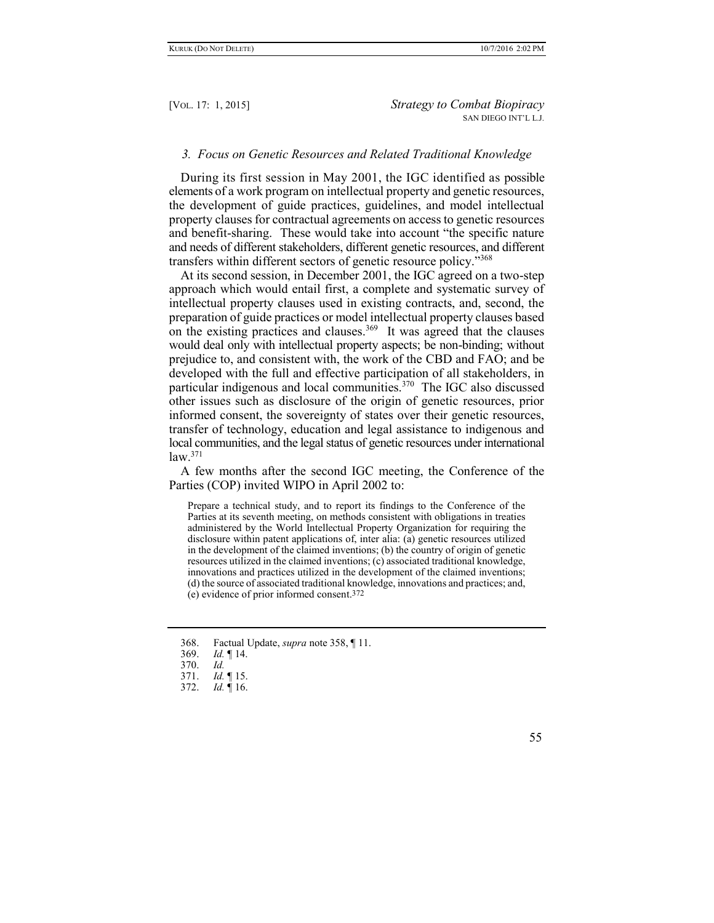#### *3. Focus on Genetic Resources and Related Traditional Knowledge*

During its first session in May 2001, the IGC identified as possible elements of a work program on intellectual property and genetic resources, the development of guide practices, guidelines, and model intellectual property clauses for contractual agreements on access to genetic resources and benefit-sharing. These would take into account "the specific nature and needs of different stakeholders, different genetic resources, and different transfers within different sectors of genetic resource policy."<sup>368</sup>

At its second session, in December 2001, the IGC agreed on a two-step approach which would entail first, a complete and systematic survey of intellectual property clauses used in existing contracts, and, second, the preparation of guide practices or model intellectual property clauses based on the existing practices and clauses.<sup>369</sup> It was agreed that the clauses would deal only with intellectual property aspects; be non-binding; without prejudice to, and consistent with, the work of the CBD and FAO; and be developed with the full and effective participation of all stakeholders, in particular indigenous and local communities.<sup>370</sup> The IGC also discussed other issues such as disclosure of the origin of genetic resources, prior informed consent, the sovereignty of states over their genetic resources, transfer of technology, education and legal assistance to indigenous and local communities, and the legal status of genetic resources under international  $law<sup>371</sup>$ 

A few months after the second IGC meeting, the Conference of the Parties (COP) invited WIPO in April 2002 to:

Prepare a technical study, and to report its findings to the Conference of the Parties at its seventh meeting, on methods consistent with obligations in treaties administered by the World Intellectual Property Organization for requiring the disclosure within patent applications of, inter alia: (a) genetic resources utilized in the development of the claimed inventions; (b) the country of origin of genetic resources utilized in the claimed inventions; (c) associated traditional knowledge, innovations and practices utilized in the development of the claimed inventions; (d) the source of associated traditional knowledge, innovations and practices; and, (e) evidence of prior informed consent.372

<sup>368.</sup> Factual Update, *supra* note 358, ¶ 11.

<sup>369.</sup> *Id.* ¶ 14.

<sup>370.</sup> *Id.*

<sup>371.</sup> *Id.* ¶ 15.

<sup>372.</sup> *Id.* ¶ 16.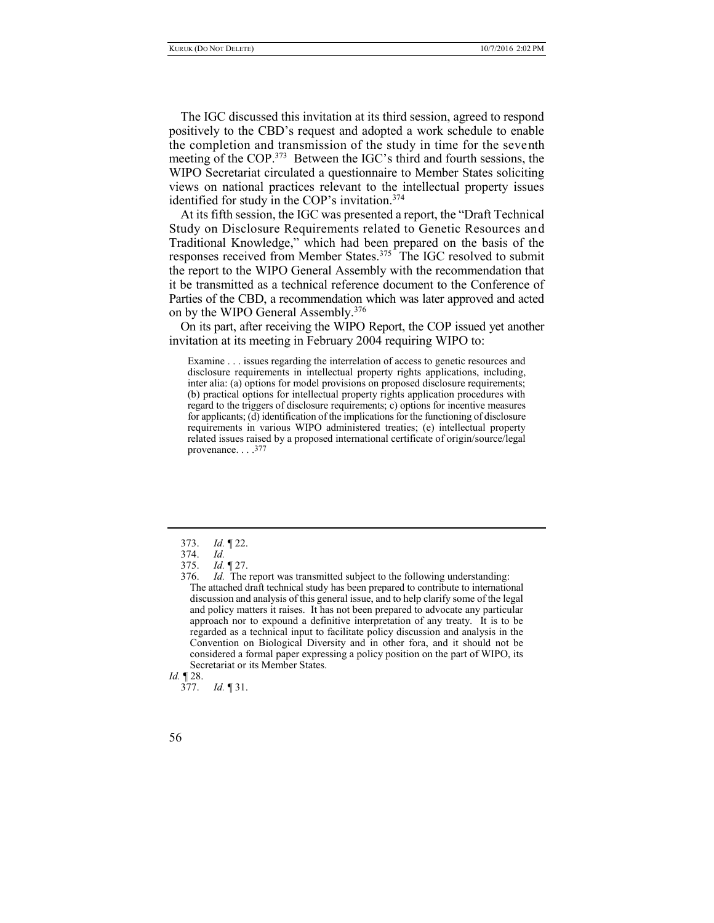The IGC discussed this invitation at its third session, agreed to respond positively to the CBD's request and adopted a work schedule to enable the completion and transmission of the study in time for the seventh meeting of the COP.<sup>373</sup> Between the IGC's third and fourth sessions, the WIPO Secretariat circulated a questionnaire to Member States soliciting views on national practices relevant to the intellectual property issues identified for study in the COP's invitation.<sup>374</sup>

At its fifth session, the IGC was presented a report, the "Draft Technical Study on Disclosure Requirements related to Genetic Resources and Traditional Knowledge," which had been prepared on the basis of the responses received from Member States.<sup>375</sup> The IGC resolved to submit the report to the WIPO General Assembly with the recommendation that it be transmitted as a technical reference document to the Conference of Parties of the CBD, a recommendation which was later approved and acted on by the WIPO General Assembly.<sup>376</sup>

On its part, after receiving the WIPO Report, the COP issued yet another invitation at its meeting in February 2004 requiring WIPO to:

Examine . . . issues regarding the interrelation of access to genetic resources and disclosure requirements in intellectual property rights applications, including, inter alia: (a) options for model provisions on proposed disclosure requirements; (b) practical options for intellectual property rights application procedures with regard to the triggers of disclosure requirements; c) options for incentive measures for applicants; (d) identification of the implications for the functioning of disclosure requirements in various WIPO administered treaties; (e) intellectual property related issues raised by a proposed international certificate of origin/source/legal provenance. . . .377

*Id.* ¶ 28.

377. *Id.* ¶ 31.

<sup>373.</sup> *Id.* ¶ 22.

<sup>374.</sup> *Id.*

<sup>375.</sup> *Id.* ¶ 27.

<sup>376.</sup> *Id.* The report was transmitted subject to the following understanding: The attached draft technical study has been prepared to contribute to international discussion and analysis of this general issue, and to help clarify some of the legal and policy matters it raises. It has not been prepared to advocate any particular approach nor to expound a definitive interpretation of any treaty. It is to be regarded as a technical input to facilitate policy discussion and analysis in the Convention on Biological Diversity and in other fora, and it should not be considered a formal paper expressing a policy position on the part of WIPO, its Secretariat or its Member States.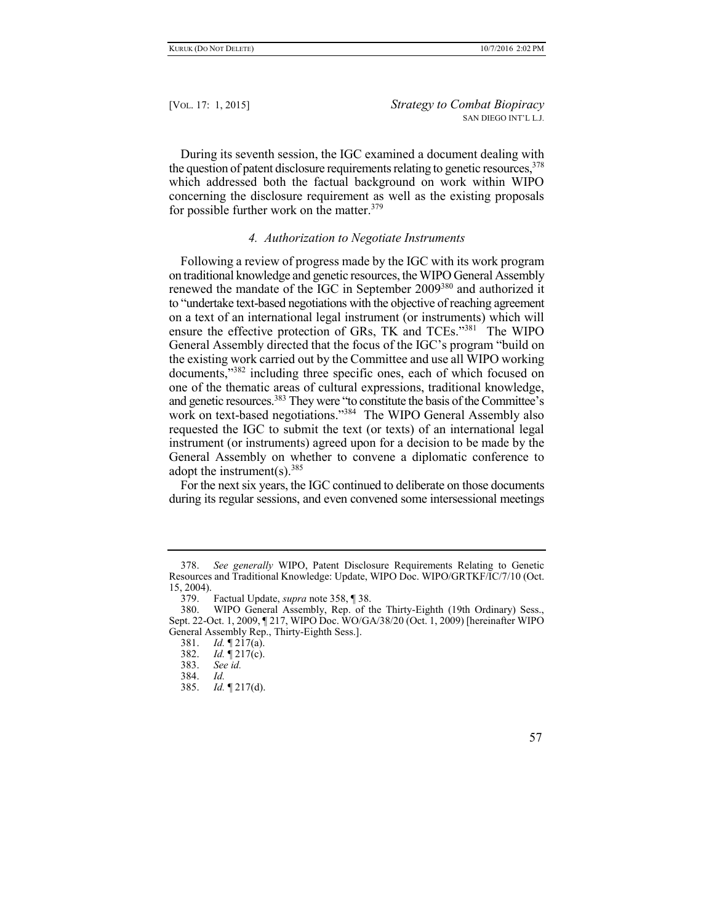During its seventh session, the IGC examined a document dealing with the question of patent disclosure requirements relating to genetic resources, <sup>378</sup> which addressed both the factual background on work within WIPO concerning the disclosure requirement as well as the existing proposals for possible further work on the matter.<sup>379</sup>

# *4. Authorization to Negotiate Instruments*

Following a review of progress made by the IGC with its work program on traditional knowledge and genetic resources, the WIPO General Assembly renewed the mandate of the IGC in September 2009<sup>380</sup> and authorized it to "undertake text-based negotiations with the objective of reaching agreement on a text of an international legal instrument (or instruments) which will ensure the effective protection of GRs, TK and TCEs."<sup>381</sup> The WIPO General Assembly directed that the focus of the IGC's program "build on the existing work carried out by the Committee and use all WIPO working documents,"<sup>382</sup> including three specific ones, each of which focused on one of the thematic areas of cultural expressions, traditional knowledge, and genetic resources.<sup>383</sup> They were "to constitute the basis of the Committee's work on text-based negotiations."<sup>384</sup> The WIPO General Assembly also requested the IGC to submit the text (or texts) of an international legal instrument (or instruments) agreed upon for a decision to be made by the General Assembly on whether to convene a diplomatic conference to adopt the instrument(s).  $385$ 

For the next six years, the IGC continued to deliberate on those documents during its regular sessions, and even convened some intersessional meetings

<sup>378.</sup> *See generally* WIPO, Patent Disclosure Requirements Relating to Genetic Resources and Traditional Knowledge: Update, WIPO Doc. WIPO/GRTKF/IC/7/10 (Oct. 15, 2004).

<sup>379.</sup> Factual Update, *supra* note 358, ¶ 38.

<sup>380.</sup> WIPO General Assembly, Rep. of the Thirty-Eighth (19th Ordinary) Sess., Sept. 22-Oct. 1, 2009, ¶ 217, WIPO Doc. WO/GA/38/20 (Oct. 1, 2009) [hereinafter WIPO General Assembly Rep., Thirty-Eighth Sess.].

<sup>381.</sup> *Id.* ¶ 217(a).

<sup>382.</sup> *Id.* ¶ 217(c).

<sup>383.</sup> *See id.*

<sup>384.</sup> *Id.*

<sup>385.</sup> *Id.* ¶ 217(d).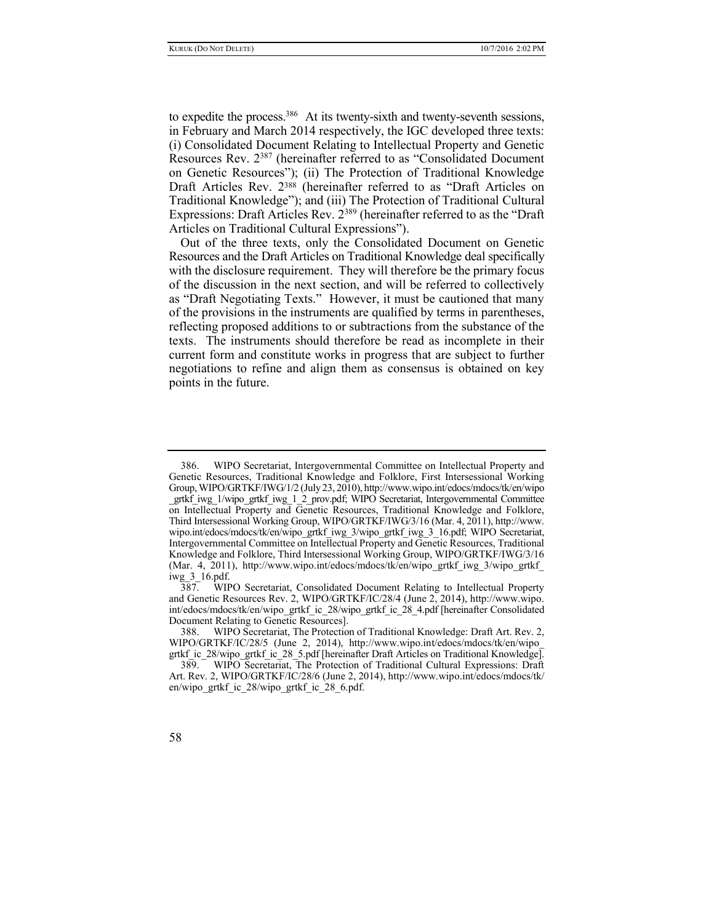to expedite the process.<sup>386</sup> At its twenty-sixth and twenty-seventh sessions, in February and March 2014 respectively, the IGC developed three texts: (i) Consolidated Document Relating to Intellectual Property and Genetic Resources Rev. 2<sup>387</sup> (hereinafter referred to as "Consolidated Document on Genetic Resources"); (ii) The Protection of Traditional Knowledge Draft Articles Rev. 2<sup>388</sup> (hereinafter referred to as "Draft Articles on Traditional Knowledge"); and (iii) The Protection of Traditional Cultural Expressions: Draft Articles Rev.  $2^{389}$  (hereinafter referred to as the "Draft" Articles on Traditional Cultural Expressions").

Out of the three texts, only the Consolidated Document on Genetic Resources and the Draft Articles on Traditional Knowledge deal specifically with the disclosure requirement. They will therefore be the primary focus of the discussion in the next section, and will be referred to collectively as "Draft Negotiating Texts." However, it must be cautioned that many of the provisions in the instruments are qualified by terms in parentheses, reflecting proposed additions to or subtractions from the substance of the texts. The instruments should therefore be read as incomplete in their current form and constitute works in progress that are subject to further negotiations to refine and align them as consensus is obtained on key points in the future.

<sup>386.</sup> WIPO Secretariat, Intergovernmental Committee on Intellectual Property and Genetic Resources, Traditional Knowledge and Folklore, First Intersessional Working Group, WIPO/GRTKF/IWG/1/2 (July 23, 2010), http://www.wipo.int/edocs/mdocs/tk/en/wipo \_grtkf\_iwg\_1/wipo\_grtkf\_iwg\_1\_2\_prov.pdf; WIPO Secretariat, Intergovernmental Committee on Intellectual Property and Genetic Resources, Traditional Knowledge and Folklore, Third Intersessional Working Group, WIPO/GRTKF/IWG/3/16 (Mar. 4, 2011), http://www. wipo.int/edocs/mdocs/tk/en/wipo\_grtkf\_iwg\_3/wipo\_grtkf\_iwg\_3\_16.pdf; WIPO Secretariat, Intergovernmental Committee on Intellectual Property and Genetic Resources, Traditional Knowledge and Folklore, Third Intersessional Working Group, WIPO/GRTKF/IWG/3/16 (Mar. 4, 2011), http://www.wipo.int/edocs/mdocs/tk/en/wipo\_grtkf\_iwg\_3/wipo\_grtkf\_  $\frac{3.16 \text{.pdf}}{387}$ . WIF

<sup>387.</sup> WIPO Secretariat, Consolidated Document Relating to Intellectual Property and Genetic Resources Rev. 2, WIPO/GRTKF/IC/28/4 (June 2, 2014), http://www.wipo. int/edocs/mdocs/tk/en/wipo\_grtkf\_ic\_28/wipo\_grtkf\_ic\_28\_4.pdf [hereinafter Consolidated Document Relating to Genetic Resources].

<sup>388.</sup> WIPO Secretariat, The Protection of Traditional Knowledge: Draft Art. Rev. 2, WIPO/GRTKF/IC/28/5 (June 2, 2014), http://www.wipo.int/edocs/mdocs/tk/en/wipo\_ grtkf\_ic\_28/wipo\_grtkf\_ic\_28\_5.pdf [hereinafter Draft Articles on Traditional Knowledge].

<sup>389.</sup> WIPO Secretariat, The Protection of Traditional Cultural Expressions: Draft Art. Rev. 2, WIPO/GRTKF/IC/28/6 (June 2, 2014), http://www.wipo.int/edocs/mdocs/tk/ en/wipo\_grtkf\_ic\_28/wipo\_grtkf\_ic\_28\_6.pdf.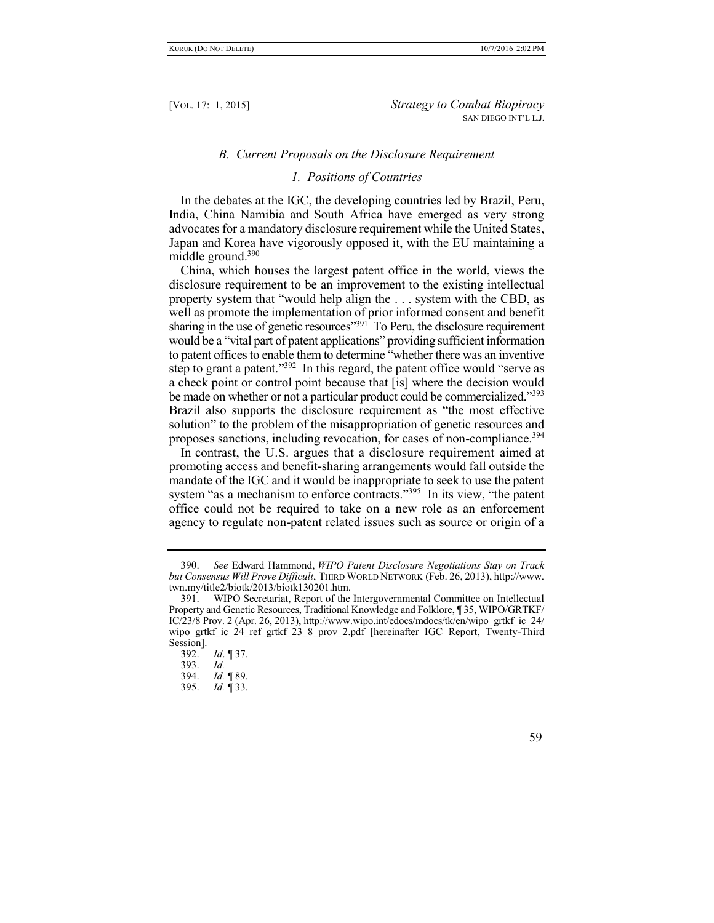### *B. Current Proposals on the Disclosure Requirement*

### *1. Positions of Countries*

In the debates at the IGC, the developing countries led by Brazil, Peru, India, China Namibia and South Africa have emerged as very strong advocates for a mandatory disclosure requirement while the United States, Japan and Korea have vigorously opposed it, with the EU maintaining a middle ground. $390$ 

China, which houses the largest patent office in the world, views the disclosure requirement to be an improvement to the existing intellectual property system that "would help align the . . . system with the CBD, as well as promote the implementation of prior informed consent and benefit sharing in the use of genetic resources<sup>"391</sup> To Peru, the disclosure requirement would be a "vital part of patent applications" providing sufficient information to patent offices to enable them to determine "whether there was an inventive step to grant a patent."<sup>392</sup> In this regard, the patent office would "serve as a check point or control point because that [is] where the decision would be made on whether or not a particular product could be commercialized."393 Brazil also supports the disclosure requirement as "the most effective solution" to the problem of the misappropriation of genetic resources and proposes sanctions, including revocation, for cases of non-compliance.<sup>394</sup>

In contrast, the U.S. argues that a disclosure requirement aimed at promoting access and benefit-sharing arrangements would fall outside the mandate of the IGC and it would be inappropriate to seek to use the patent system "as a mechanism to enforce contracts."<sup>395</sup> In its view, "the patent office could not be required to take on a new role as an enforcement agency to regulate non-patent related issues such as source or origin of a

<sup>390.</sup> *See* Edward Hammond, *WIPO Patent Disclosure Negotiations Stay on Track but Consensus Will Prove Difficult*, THIRD WORLD NETWORK (Feb. 26, 2013), http://www. twn.my/title2/biotk/2013/biotk130201.htm.

<sup>391.</sup> WIPO Secretariat, Report of the Intergovernmental Committee on Intellectual Property and Genetic Resources, Traditional Knowledge and Folklore, ¶ 35, WIPO/GRTKF/ IC/23/8 Prov. 2 (Apr. 26, 2013), http://www.wipo.int/edocs/mdocs/tk/en/wipo\_grtkf\_ic\_24/ wipo\_grtkf\_ic\_24\_ref\_grtkf\_23\_8\_prov\_2.pdf [hereinafter IGC\_Report, Twenty-Third Session].

<sup>392.</sup> *Id*. ¶ 37.

<sup>393.</sup> *Id.*

<sup>394.</sup> *Id.* ¶ 89.

<sup>395.</sup> *Id.* ¶ 33.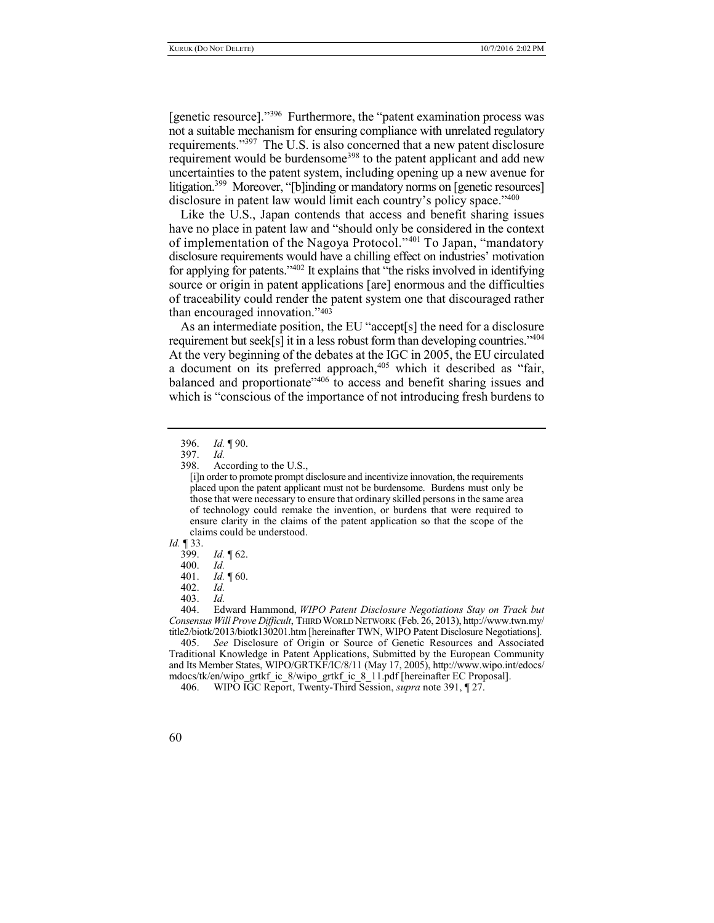[genetic resource]."<sup>396</sup> Furthermore, the "patent examination process was not a suitable mechanism for ensuring compliance with unrelated regulatory requirements."<sup>397</sup> The U.S. is also concerned that a new patent disclosure requirement would be burdensome<sup>398</sup> to the patent applicant and add new uncertainties to the patent system, including opening up a new avenue for litigation.<sup>399</sup> Moreover, "[b]inding or mandatory norms on [genetic resources] disclosure in patent law would limit each country's policy space."<sup>400</sup>

Like the U.S., Japan contends that access and benefit sharing issues have no place in patent law and "should only be considered in the context of implementation of the Nagoya Protocol."<sup>401</sup> To Japan, "mandatory disclosure requirements would have a chilling effect on industries' motivation for applying for patents."<sup>402</sup> It explains that "the risks involved in identifying source or origin in patent applications [are] enormous and the difficulties of traceability could render the patent system one that discouraged rather than encouraged innovation."<sup>403</sup>

As an intermediate position, the EU "accept[s] the need for a disclosure requirement but seek[s] it in a less robust form than developing countries." $404$ At the very beginning of the debates at the IGC in 2005, the EU circulated a document on its preferred approach,<sup>405</sup> which it described as "fair, balanced and proportionate"<sup>406</sup> to access and benefit sharing issues and which is "conscious of the importance of not introducing fresh burdens to

*Id.* 133.

405. *See* Disclosure of Origin or Source of Genetic Resources and Associated Traditional Knowledge in Patent Applications, Submitted by the European Community and Its Member States, WIPO/GRTKF/IC/8/11 (May 17, 2005), http://www.wipo.int/edocs/ mdocs/tk/en/wipo\_grtkf\_ic\_8/wipo\_grtkf\_ic\_8\_11.pdf [hereinafter EC Proposal].

<sup>396.</sup> *Id.* ¶ 90.

<sup>397.</sup> *Id.*

<sup>398.</sup> According to the U.S.,

<sup>[</sup>i]n order to promote prompt disclosure and incentivize innovation, the requirements placed upon the patent applicant must not be burdensome. Burdens must only be those that were necessary to ensure that ordinary skilled persons in the same area of technology could remake the invention, or burdens that were required to ensure clarity in the claims of the patent application so that the scope of the claims could be understood.

<sup>399.</sup> *Id.* ¶ 62.

<sup>400.</sup> *Id.*

<sup>401.</sup> *Id.* ¶ 60.

<sup>402.</sup> *Id.*

<sup>403.</sup> *Id.*

<sup>404.</sup> Edward Hammond, *WIPO Patent Disclosure Negotiations Stay on Track but Consensus Will Prove Difficult*, THIRD WORLD NETWORK (Feb. 26, 2013), http://www.twn.my/ title2/biotk/2013/biotk130201.htm [hereinafter TWN, WIPO Patent Disclosure Negotiations].

<sup>406.</sup> WIPO IGC Report, Twenty-Third Session, *supra* note 391, ¶ 27.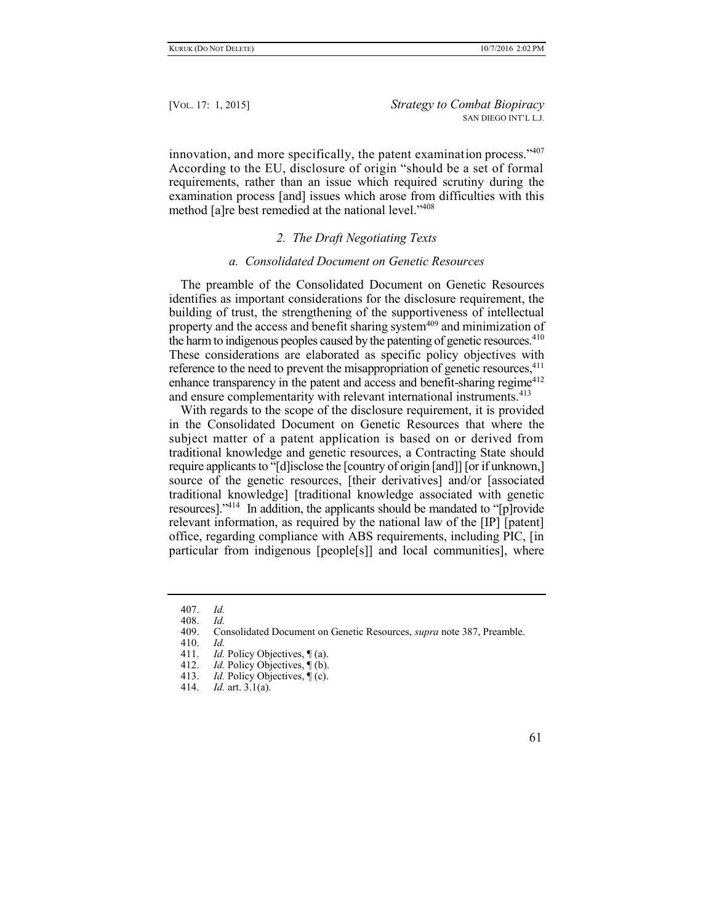innovation, and more specifically, the patent examination process."407 According to the EU, disclosure of origin "should be a set of formal requirements, rather than an issue which required scrutiny during the examination process [and] issues which arose from difficulties with this method [a]re best remedied at the national level."<sup>408</sup>

# *2. The Draft Negotiating Texts*

### *a. Consolidated Document on Genetic Resources*

The preamble of the Consolidated Document on Genetic Resources identifies as important considerations for the disclosure requirement, the building of trust, the strengthening of the supportiveness of intellectual property and the access and benefit sharing system<sup>409</sup> and minimization of the harm to indigenous peoples caused by the patenting of genetic resources.<sup>410</sup> These considerations are elaborated as specific policy objectives with reference to the need to prevent the misappropriation of genetic resources,<sup>411</sup> enhance transparency in the patent and access and benefit-sharing regime<sup>412</sup> and ensure complementarity with relevant international instruments.<sup>413</sup>

With regards to the scope of the disclosure requirement, it is provided in the Consolidated Document on Genetic Resources that where the subject matter of a patent application is based on or derived from traditional knowledge and genetic resources, a Contracting State should require applicants to "[d]isclose the [country of origin [and]] [or if unknown,] source of the genetic resources, [their derivatives] and/or [associated traditional knowledge] [traditional knowledge associated with genetic resources]."<sup>414</sup> In addition, the applicants should be mandated to "[p]rovide relevant information, as required by the national law of the [IP] [patent] office, regarding compliance with ABS requirements, including PIC, [in particular from indigenous [people[s]] and local communities], where

<sup>407.</sup> *Id.*

<sup>408.</sup> *Id.*

<sup>409.</sup> Consolidated Document on Genetic Resources, *supra* note 387, Preamble.

<sup>410.</sup> *Id.*

<sup>411.</sup> *Id.* Policy Objectives, ¶ (a).

<sup>412.</sup> *Id.* Policy Objectives, ¶ (b).

<sup>413.</sup> *Id.* Policy Objectives, ¶ (c).

<sup>414.</sup> *Id.* art. 3.1(a).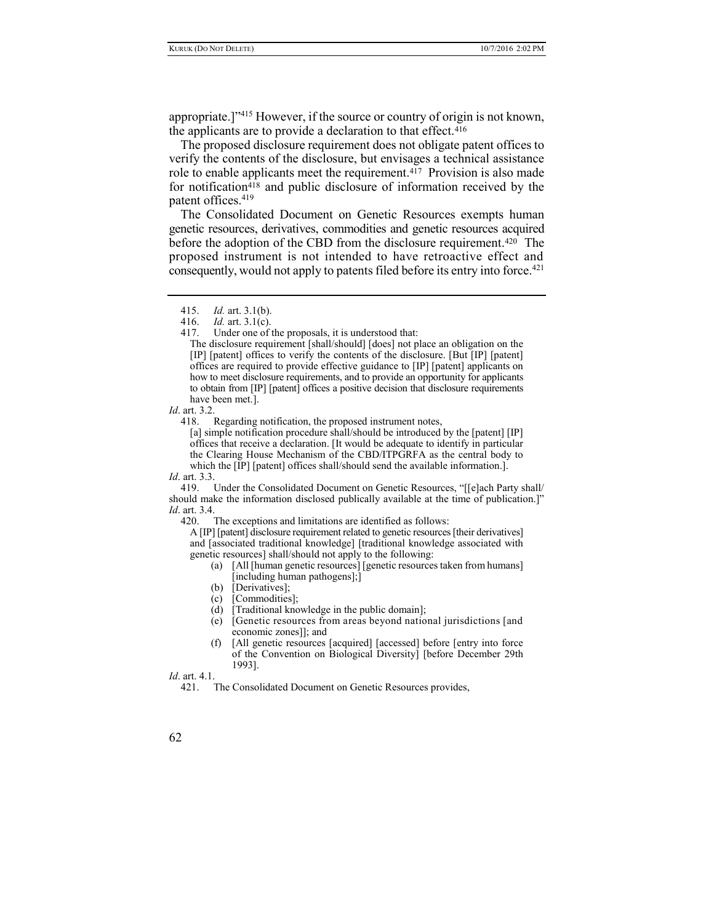appropriate.]"<sup>415</sup> However, if the source or country of origin is not known, the applicants are to provide a declaration to that effect.<sup>416</sup>

The proposed disclosure requirement does not obligate patent offices to verify the contents of the disclosure, but envisages a technical assistance role to enable applicants meet the requirement.<sup>417</sup> Provision is also made for notification<sup>418</sup> and public disclosure of information received by the patent offices.<sup>419</sup>

The Consolidated Document on Genetic Resources exempts human genetic resources, derivatives, commodities and genetic resources acquired before the adoption of the CBD from the disclosure requirement.<sup>420</sup> The proposed instrument is not intended to have retroactive effect and consequently, would not apply to patents filed before its entry into force.<sup>421</sup>

417. Under one of the proposals, it is understood that:

*Id*. art. 3.2.

418. Regarding notification, the proposed instrument notes,

[a] simple notification procedure shall/should be introduced by the [patent] [IP] offices that receive a declaration. [It would be adequate to identify in particular the Clearing House Mechanism of the CBD/ITPGRFA as the central body to which the [IP] [patent] offices shall/should send the available information.].

#### *Id*. art. 3.3.

419. Under the Consolidated Document on Genetic Resources, "[[e]ach Party shall/ should make the information disclosed publically available at the time of publication.]" *Id.* art. 3.4.<br>420.

The exceptions and limitations are identified as follows:

A [IP] [patent] disclosure requirement related to genetic resources [their derivatives] and [associated traditional knowledge] [traditional knowledge associated with genetic resources] shall/should not apply to the following:

- (a) [All [human genetic resources] [genetic resources taken from humans] [including human pathogens];]
- (b) [Derivatives];
- (c) [Commodities];
- (d) [Traditional knowledge in the public domain];
- (e) [Genetic resources from areas beyond national jurisdictions [and economic zones]]; and
- (f) [All genetic resources [acquired] [accessed] before [entry into force of the Convention on Biological Diversity] [before December 29th 1993].

<sup>415.</sup> *Id.* art. 3.1(b).

*Id.* art. 3.1(c).

The disclosure requirement [shall/should] [does] not place an obligation on the [IP] [patent] offices to verify the contents of the disclosure. [But [IP] [patent] offices are required to provide effective guidance to [IP] [patent] applicants on how to meet disclosure requirements, and to provide an opportunity for applicants to obtain from [IP] [patent] offices a positive decision that disclosure requirements have been met.].

*Id*. art. 4.1.

<sup>421.</sup> The Consolidated Document on Genetic Resources provides,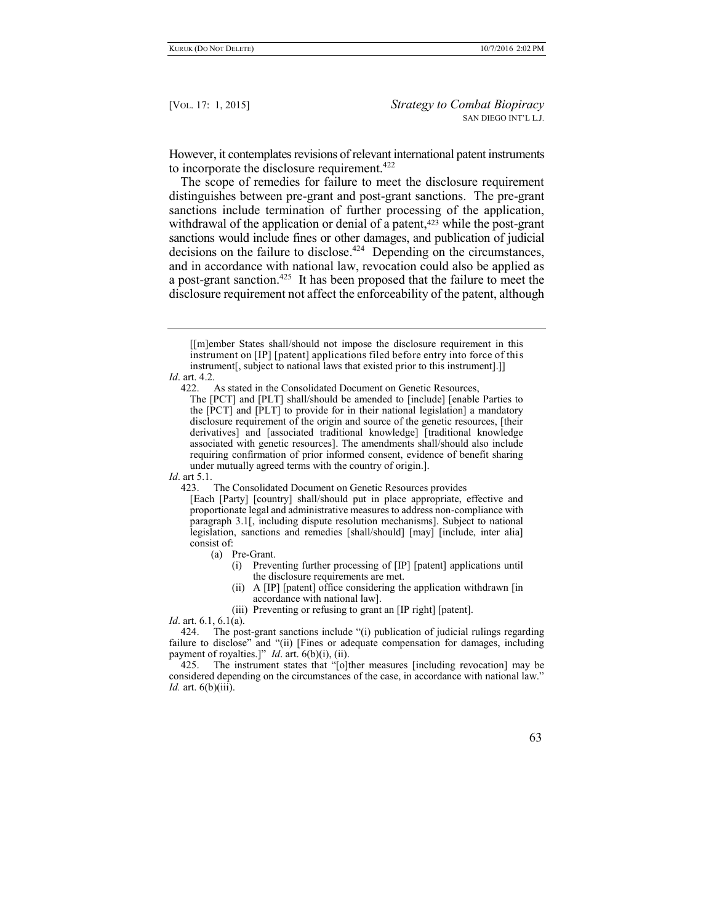However, it contemplates revisions of relevant international patent instruments to incorporate the disclosure requirement.<sup>422</sup>

The scope of remedies for failure to meet the disclosure requirement distinguishes between pre-grant and post-grant sanctions. The pre-grant sanctions include termination of further processing of the application, withdrawal of the application or denial of a patent,<sup>423</sup> while the post-grant sanctions would include fines or other damages, and publication of judicial decisions on the failure to disclose.<sup>424</sup> Depending on the circumstances, and in accordance with national law, revocation could also be applied as a post-grant sanction.<sup>425</sup> It has been proposed that the failure to meet the disclosure requirement not affect the enforceability of the patent, although

#### *Id*. art 5.1.

(a) Pre-Grant.

- (i) Preventing further processing of [IP] [patent] applications until the disclosure requirements are met.
- (ii) A [IP] [patent] office considering the application withdrawn [in accordance with national law].

(iii) Preventing or refusing to grant an [IP right] [patent].

*Id.* art. 6.1, 6.1(a).

failure to disclose" and "(ii) [Fines or adequate compensation for damages, including payment of royalties.]" *Id.* art.  $6(b)(i)$ , (ii). 424 . The post-grant sanctions include "(i) publication of judicial rulings regarding

425. The instrument states that "[o]ther measures [including revocation] may be considered depending on the circumstances of the case, in accordance with national law." *Id.* art. 6(b)(iii).

<sup>[[</sup>m]ember States shall/should not impose the disclosure requirement in this instrument on [IP] [patent] applications filed before entry into force of this instrument[, subject to national laws that existed prior to this instrument].]]

*Id.* art. 4.2.<br>422.

As stated in the Consolidated Document on Genetic Resources,

The [PCT] and [PLT] shall/should be amended to [include] [enable Parties to the [PCT] and [PLT] to provide for in their national legislation] a mandatory disclosure requirement of the origin and source of the genetic resources, [their derivatives] and [associated traditional knowledge] [traditional knowledge associated with genetic resources]. The amendments shall/should also include requiring confirmation of prior informed consent, evidence of benefit sharing under mutually agreed terms with the country of origin.].

<sup>423</sup> . The Consolidated Document on Genetic Resources provides

<sup>[</sup>Each [Party] [country] shall/should put in place appropriate, effective and proportionate legal and administrative measures to address non-compliance with paragraph 3.1[, including dispute resolution mechanisms]. Subject to national legislation, sanctions and remedies [shall/should] [may] [include, inter alia] consist of: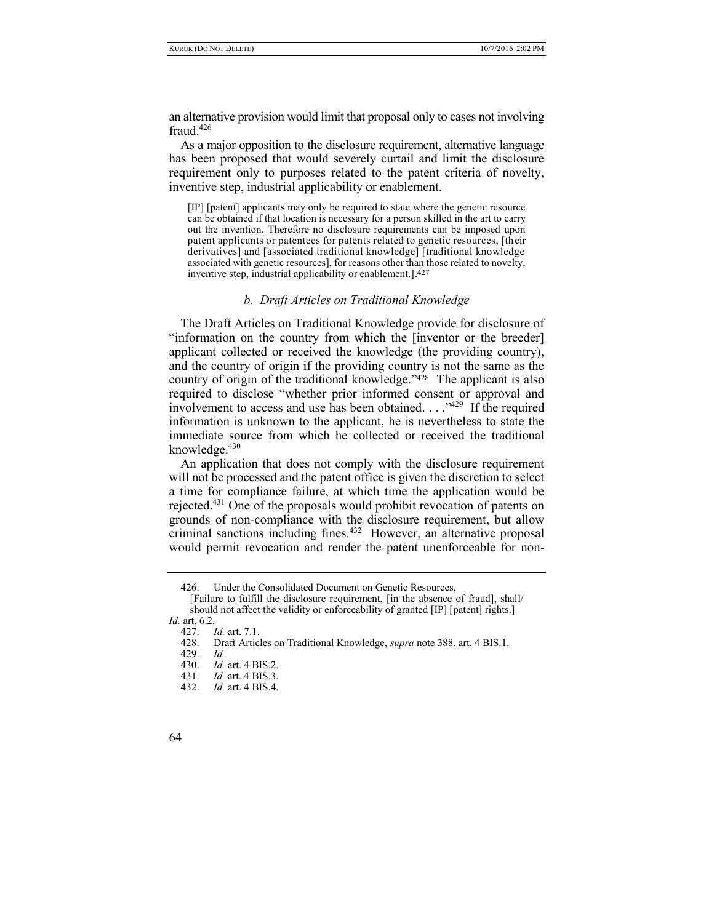an alternative provision would limit that proposal only to cases not involving fraud. $426$ 

As a major opposition to the disclosure requirement, alternative language has been proposed that would severely curtail and limit the disclosure requirement only to purposes related to the patent criteria of novelty, inventive step, industrial applicability or enablement.

[IP] [patent] applicants may only be required to state where the genetic resource can be obtained if that location is necessary for a person skilled in the art to carry out the invention. Therefore no disclosure requirements can be imposed upon patent applicants or patentees for patents related to genetic resources, [their derivatives] and [associated traditional knowledge] [traditional knowledge associated with genetic resources], for reasons other than those related to novelty, inventive step, industrial applicability or enablement.].427

### *b. Draft Articles on Traditional Knowledge*

The Draft Articles on Traditional Knowledge provide for disclosure of "information on the country from which the [inventor or the breeder] applicant collected or received the knowledge (the providing country), and the country of origin if the providing country is not the same as the country of origin of the traditional knowledge."428 The applicant is also required to disclose "whether prior informed consent or approval and involvement to access and use has been obtained. . . .<sup>2429</sup> If the required information is unknown to the applicant, he is nevertheless to state the immediate source from which he collected or received the traditional knowledge.<sup>430</sup>

An application that does not comply with the disclosure requirement will not be processed and the patent office is given the discretion to select a time for compliance failure, at which time the application would be rejected.<sup>431</sup> One of the proposals would prohibit revocation of patents on grounds of non-compliance with the disclosure requirement, but allow criminal sanctions including fines.<sup>432</sup> However, an alternative proposal would permit revocation and render the patent unenforceable for non-

<sup>426.</sup> Under the Consolidated Document on Genetic Resources,

<sup>[</sup>Failure to fulfill the disclosure requirement, [in the absence of fraud], shall/ should not affect the validity or enforceability of granted [IP] [patent] rights.] *Id.* art. 6.2.

<sup>427.</sup> *Id.* art. 7.1.

<sup>428.</sup> Draft Articles on Traditional Knowledge, *supra* note 388, art. 4 BIS.1.

<sup>429.</sup> *Id.*

<sup>430.</sup> *Id.* art. 4 BIS.2.

<sup>431.</sup> *Id.* art. 4 BIS.3.

<sup>432.</sup> *Id.* art. 4 BIS.4.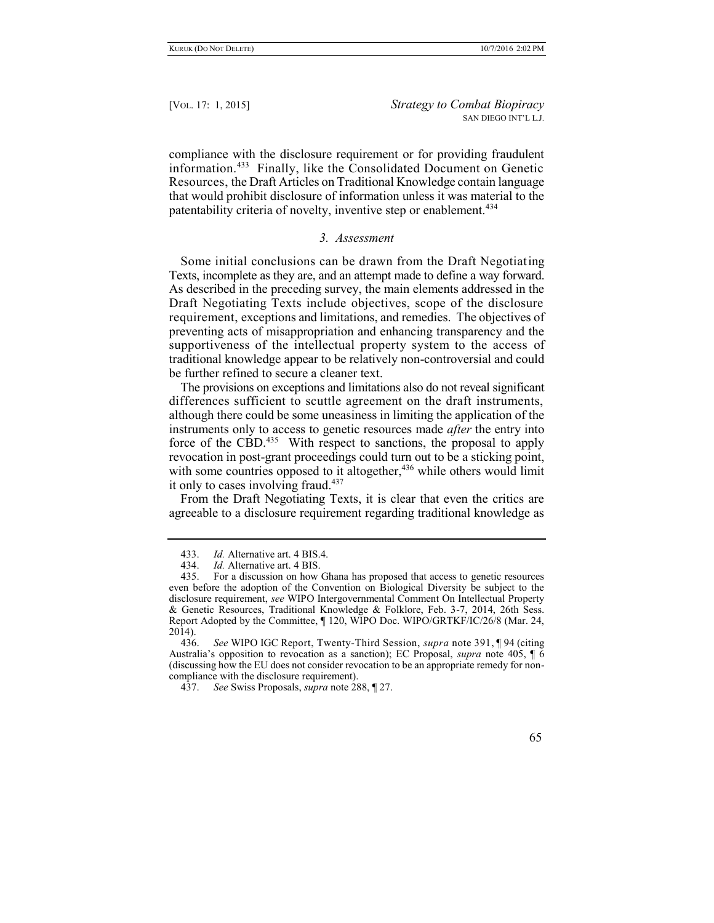compliance with the disclosure requirement or for providing fraudulent information.<sup>433</sup> Finally, like the Consolidated Document on Genetic Resources, the Draft Articles on Traditional Knowledge contain language that would prohibit disclosure of information unless it was material to the patentability criteria of novelty, inventive step or enablement.<sup>434</sup>

### *3. Assessment*

Some initial conclusions can be drawn from the Draft Negotiating Texts, incomplete as they are, and an attempt made to define a way forward. As described in the preceding survey, the main elements addressed in the Draft Negotiating Texts include objectives, scope of the disclosure requirement, exceptions and limitations, and remedies. The objectives of preventing acts of misappropriation and enhancing transparency and the supportiveness of the intellectual property system to the access of traditional knowledge appear to be relatively non-controversial and could be further refined to secure a cleaner text.

The provisions on exceptions and limitations also do not reveal significant differences sufficient to scuttle agreement on the draft instruments, although there could be some uneasiness in limiting the application of the instruments only to access to genetic resources made *after* the entry into force of the CBD.<sup>435</sup> With respect to sanctions, the proposal to apply revocation in post-grant proceedings could turn out to be a sticking point, with some countries opposed to it altogether, $436$  while others would limit it only to cases involving fraud.<sup>437</sup>

From the Draft Negotiating Texts, it is clear that even the critics are agreeable to a disclosure requirement regarding traditional knowledge as

<sup>433.</sup> *Id.* Alternative art. 4 BIS.4.

<sup>434.</sup> *Id.* Alternative art. 4 BIS.

<sup>435.</sup> For a discussion on how Ghana has proposed that access to genetic resources even before the adoption of the Convention on Biological Diversity be subject to the disclosure requirement, *see* WIPO Intergovernmental Comment On Intellectual Property & Genetic Resources, Traditional Knowledge & Folklore, Feb. 3-7, 2014, 26th Sess. Report Adopted by the Committee, ¶ 120, WIPO Doc. WIPO/GRTKF/IC/26/8 (Mar. 24,  $20\bar{1}4$ ).

Australia's opposition to revocation as a sanction); EC Proposal, *supra* note 405, 1 6 (discussing how the EU does not consider revocation to be an appropriate remedy for noncompliance with the disclosure requirement). 436 . See WIPO IGC Report, Twenty-Third Session, *supra* note 391, 194 (citing

<sup>437.</sup> *See* Swiss Proposals, *supra* note 288, ¶ 27.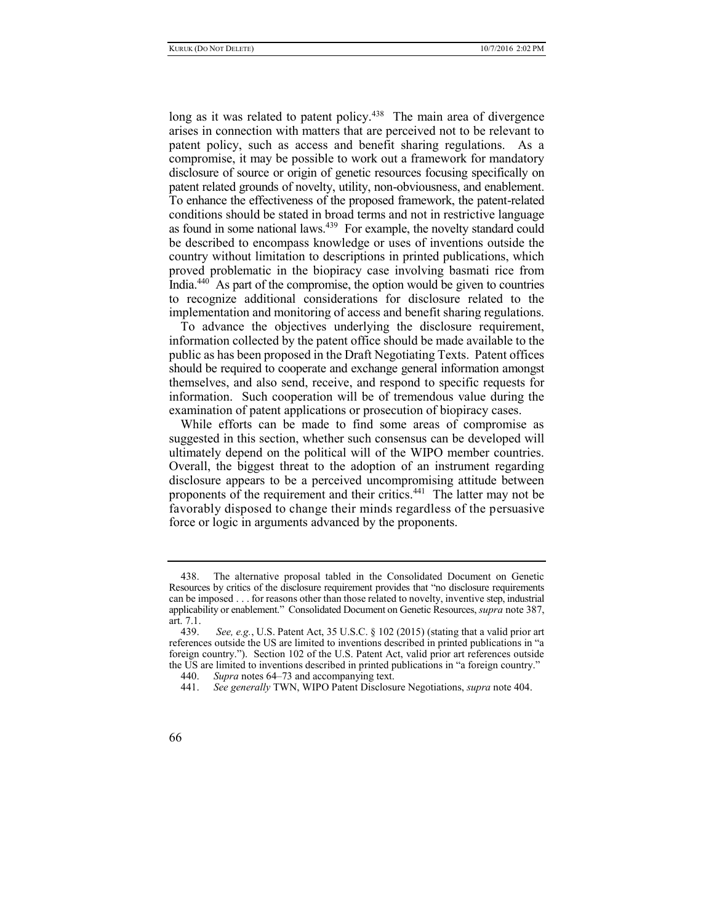long as it was related to patent policy.<sup>438</sup> The main area of divergence arises in connection with matters that are perceived not to be relevant to patent policy, such as access and benefit sharing regulations. As a compromise, it may be possible to work out a framework for mandatory disclosure of source or origin of genetic resources focusing specifically on patent related grounds of novelty, utility, non-obviousness, and enablement. To enhance the effectiveness of the proposed framework, the patent-related conditions should be stated in broad terms and not in restrictive language as found in some national laws.<sup>439</sup> For example, the novelty standard could be described to encompass knowledge or uses of inventions outside the country without limitation to descriptions in printed publications, which proved problematic in the biopiracy case involving basmati rice from India.<sup>440</sup> As part of the compromise, the option would be given to countries to recognize additional considerations for disclosure related to the implementation and monitoring of access and benefit sharing regulations.

To advance the objectives underlying the disclosure requirement, information collected by the patent office should be made available to the public as has been proposed in the Draft Negotiating Texts. Patent offices should be required to cooperate and exchange general information amongst themselves, and also send, receive, and respond to specific requests for information. Such cooperation will be of tremendous value during the examination of patent applications or prosecution of biopiracy cases.

While efforts can be made to find some areas of compromise as suggested in this section, whether such consensus can be developed will ultimately depend on the political will of the WIPO member countries. Overall, the biggest threat to the adoption of an instrument regarding disclosure appears to be a perceived uncompromising attitude between proponents of the requirement and their critics.<sup>441</sup> The latter may not be favorably disposed to change their minds regardless of the persuasive force or logic in arguments advanced by the proponents.

<sup>438.</sup> The alternative proposal tabled in the Consolidated Document on Genetic Resources by critics of the disclosure requirement provides that "no disclosure requirements can be imposed . . . for reasons other than those related to novelty, inventive step, industrial applicability or enablement." Consolidated Document on Genetic Resources, *supra* note 387, art. 7.1.

<sup>439.</sup> *See, e.g.*, U.S. Patent Act, 35 U.S.C. § 102 (2015) (stating that a valid prior art references outside the US are limited to inventions described in printed publications in "a foreign country."). Section 102 of the U.S. Patent Act, valid prior art references outside the US are limited to inventions described in printed publications in "a foreign country."

<sup>440.</sup> *Supra* notes 64–73 and accompanying text.

<sup>441.</sup> *See generally* TWN, WIPO Patent Disclosure Negotiations, *supra* note 404.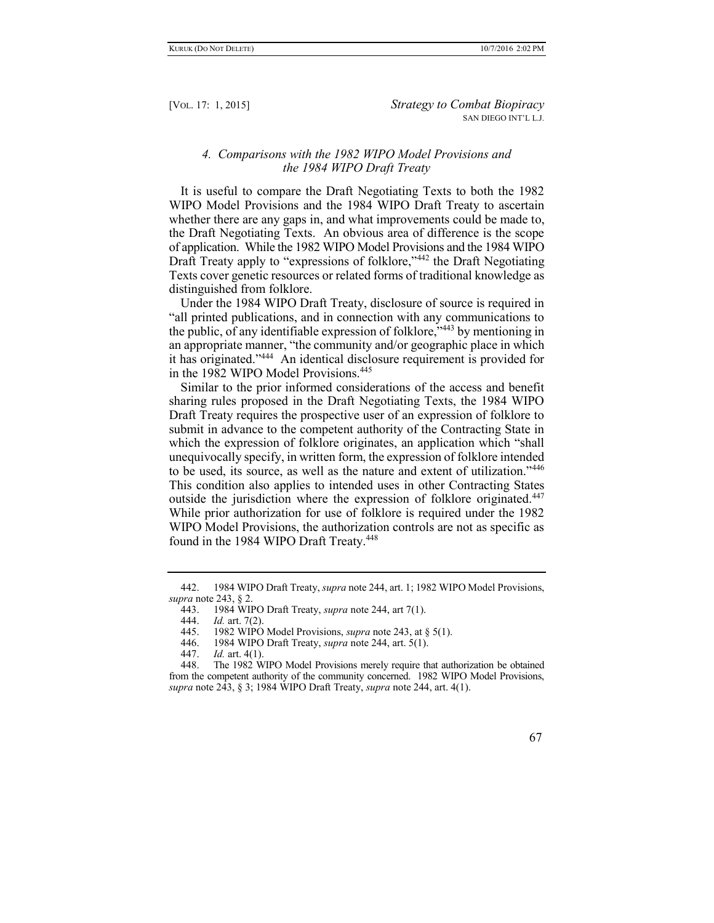# *4. Comparisons with the 1982 WIPO Model Provisions and the 1984 WIPO Draft Treaty*

It is useful to compare the Draft Negotiating Texts to both the 1982 WIPO Model Provisions and the 1984 WIPO Draft Treaty to ascertain whether there are any gaps in, and what improvements could be made to, the Draft Negotiating Texts. An obvious area of difference is the scope of application. While the 1982 WIPO Model Provisions and the 1984 WIPO Draft Treaty apply to "expressions of folklore,"<sup>442</sup> the Draft Negotiating Texts cover genetic resources or related forms of traditional knowledge as distinguished from folklore.

Under the 1984 WIPO Draft Treaty, disclosure of source is required in "all printed publications, and in connection with any communications to the public, of any identifiable expression of folklore,"<sup>443</sup> by mentioning in an appropriate manner, "the community and/or geographic place in which it has originated."<sup>444</sup> An identical disclosure requirement is provided for in the 1982 WIPO Model Provisions.<sup>445</sup>

Similar to the prior informed considerations of the access and benefit sharing rules proposed in the Draft Negotiating Texts, the 1984 WIPO Draft Treaty requires the prospective user of an expression of folklore to submit in advance to the competent authority of the Contracting State in which the expression of folklore originates, an application which "shall unequivocally specify, in written form, the expression of folklore intended to be used, its source, as well as the nature and extent of utilization."<sup>446</sup> This condition also applies to intended uses in other Contracting States outside the jurisdiction where the expression of folklore originated.<sup>447</sup> While prior authorization for use of folklore is required under the 1982 WIPO Model Provisions, the authorization controls are not as specific as found in the 1984 WIPO Draft Treaty.<sup>448</sup>

<sup>442. 1984</sup> WIPO Draft Treaty, *supra* note 244, art. 1; 1982 WIPO Model Provisions, *supra* note 243, § 2.

<sup>443. 1984</sup> WIPO Draft Treaty, *supra* note 244, art 7(1).

<sup>444.</sup> *Id.* art. 7(2).

<sup>445. 1982</sup> WIPO Model Provisions, *supra* note 243, at § 5(1).

<sup>446. 1984</sup> WIPO Draft Treaty, *supra* note 244, art. 5(1).

<sup>447.</sup> *Id.* art. 4(1).

<sup>448.</sup> The 1982 WIPO Model Provisions merely require that authorization be obtained from the competent authority of the community concerned. 1982 WIPO Model Provisions, *supra* note 243, § 3; 1984 WIPO Draft Treaty, *supra* note 244, art. 4(1).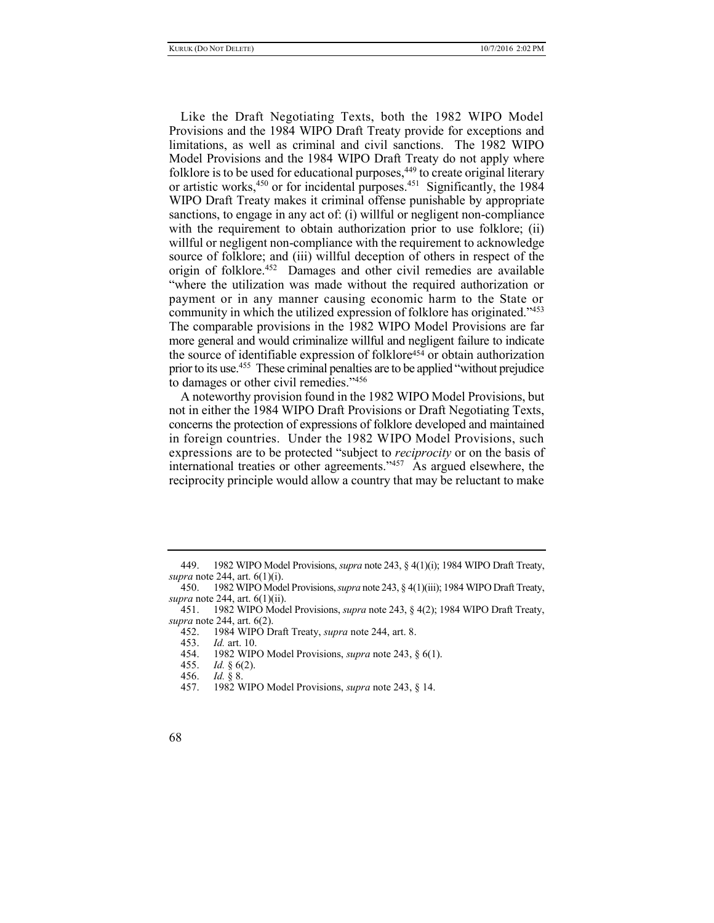Like the Draft Negotiating Texts, both the 1982 WIPO Model Provisions and the 1984 WIPO Draft Treaty provide for exceptions and limitations, as well as criminal and civil sanctions. The 1982 WIPO Model Provisions and the 1984 WIPO Draft Treaty do not apply where folklore is to be used for educational purposes,<sup>449</sup> to create original literary or artistic works,<sup>450</sup> or for incidental purposes.<sup>451</sup> Significantly, the 1984 WIPO Draft Treaty makes it criminal offense punishable by appropriate sanctions, to engage in any act of: (i) willful or negligent non-compliance with the requirement to obtain authorization prior to use folklore; (ii) willful or negligent non-compliance with the requirement to acknowledge source of folklore; and (iii) willful deception of others in respect of the origin of folklore.<sup>452</sup> Damages and other civil remedies are available "where the utilization was made without the required authorization or payment or in any manner causing economic harm to the State or community in which the utilized expression of folklore has originated."<sup>453</sup> The comparable provisions in the 1982 WIPO Model Provisions are far more general and would criminalize willful and negligent failure to indicate the source of identifiable expression of folklore<sup>454</sup> or obtain authorization prior to its use.<sup>455</sup> These criminal penalties are to be applied "without prejudice to damages or other civil remedies."<sup>456</sup>

A noteworthy provision found in the 1982 WIPO Model Provisions, but not in either the 1984 WIPO Draft Provisions or Draft Negotiating Texts, concerns the protection of expressions of folklore developed and maintained in foreign countries. Under the 1982 WIPO Model Provisions, such expressions are to be protected "subject to *reciprocity* or on the basis of international treaties or other agreements."<sup>457</sup> As argued elsewhere, the reciprocity principle would allow a country that may be reluctant to make

*supra* note 244, art. 6(1)(i). 449 . 19 8 2 W I P O M od el Provisions, *supra* note 243, § 4(1)(i); 1984 WIPO Draft Treaty,

*supra* note 244, art. 6(1)(ii). 450 . 19 8 2 W I P O M od e l Provisions, *supra* note 243, § 4(1)(iii); 1984 WIPO Draft Treaty,

*supra* note 244, art. 6(2). 451 . 19 8 2 W I P O M odel Provisions, *supra* note 243, § 4(2); 1984 WIPO Draft Treaty,

<sup>452. 1984</sup> WIPO Draft Treaty, *supra* note 244, art. 8.

*Id.* art. 10.

<sup>454. 1982</sup> WIPO Model Provisions, *supra* note 243, § 6(1).

<sup>455.</sup> *Id.* § 6(2).

<sup>456.</sup> *Id.* § 8.

<sup>457. 1982</sup> WIPO Model Provisions, *supra* note 243, § 14.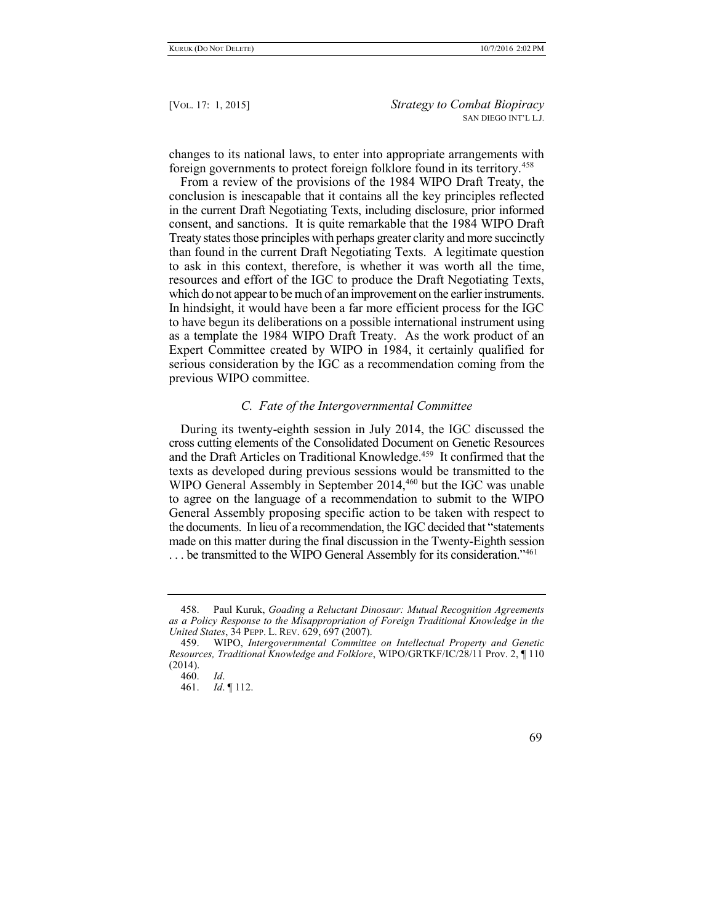changes to its national laws, to enter into appropriate arrangements with foreign governments to protect foreign folklore found in its territory.<sup>458</sup>

From a review of the provisions of the 1984 WIPO Draft Treaty, the conclusion is inescapable that it contains all the key principles reflected in the current Draft Negotiating Texts, including disclosure, prior informed consent, and sanctions. It is quite remarkable that the 1984 WIPO Draft Treaty states those principles with perhaps greater clarity and more succinctly than found in the current Draft Negotiating Texts. A legitimate question to ask in this context, therefore, is whether it was worth all the time, resources and effort of the IGC to produce the Draft Negotiating Texts, which do not appear to be much of an improvement on the earlier instruments. In hindsight, it would have been a far more efficient process for the IGC to have begun its deliberations on a possible international instrument using as a template the 1984 WIPO Draft Treaty. As the work product of an Expert Committee created by WIPO in 1984, it certainly qualified for serious consideration by the IGC as a recommendation coming from the previous WIPO committee.

### *C. Fate of the Intergovernmental Committee*

During its twenty-eighth session in July 2014, the IGC discussed the cross cutting elements of the Consolidated Document on Genetic Resources and the Draft Articles on Traditional Knowledge.<sup>459</sup> It confirmed that the texts as developed during previous sessions would be transmitted to the WIPO General Assembly in September 2014,<sup>460</sup> but the IGC was unable to agree on the language of a recommendation to submit to the WIPO General Assembly proposing specific action to be taken with respect to the documents. In lieu of a recommendation, the IGC decided that "statements made on this matter during the final discussion in the Twenty-Eighth session ... be transmitted to the WIPO General Assembly for its consideration."<sup>461</sup>

<sup>458.</sup> Paul Kuruk, *Goading a Reluctant Dinosaur: Mutual Recognition Agreements as a Policy Response to the Misappropriation of Foreign Traditional Knowledge in the United States*, 34 PEPP. L. REV. 629, 697 (2007).

<sup>459.</sup> WIPO, *Intergovernmental Committee on Intellectual Property and Genetic Resources, Traditional Knowledge and Folklore*, WIPO/GRTKF/IC/28/11 Prov. 2, ¶ 110 (2014).

<sup>460.</sup> *Id*.

<sup>461.</sup> *Id*. ¶ 112.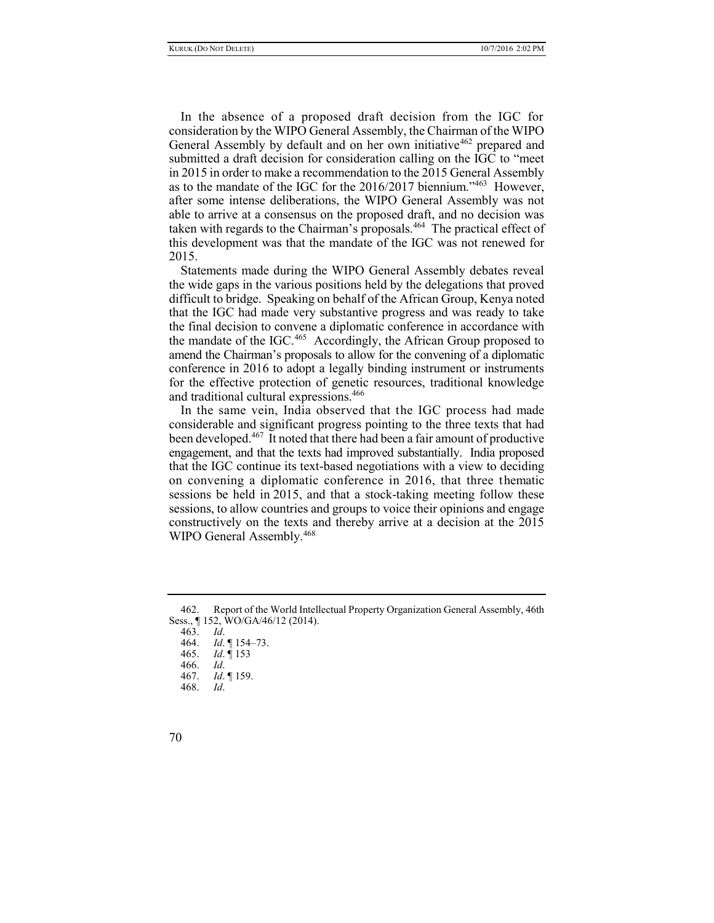In the absence of a proposed draft decision from the IGC for consideration by the WIPO General Assembly, the Chairman of the WIPO General Assembly by default and on her own initiative<sup>462</sup> prepared and submitted a draft decision for consideration calling on the IGC to "meet in 2015 in order to make a recommendation to the 2015 General Assembly as to the mandate of the IGC for the 2016/2017 biennium."<sup>463</sup> However, after some intense deliberations, the WIPO General Assembly was not able to arrive at a consensus on the proposed draft, and no decision was taken with regards to the Chairman's proposals.<sup>464</sup> The practical effect of this development was that the mandate of the IGC was not renewed for 2015.

Statements made during the WIPO General Assembly debates reveal the wide gaps in the various positions held by the delegations that proved difficult to bridge. Speaking on behalf of the African Group, Kenya noted that the IGC had made very substantive progress and was ready to take the final decision to convene a diplomatic conference in accordance with the mandate of the IGC.<sup>465</sup> Accordingly, the African Group proposed to amend the Chairman's proposals to allow for the convening of a diplomatic conference in 2016 to adopt a legally binding instrument or instruments for the effective protection of genetic resources, traditional knowledge and traditional cultural expressions.<sup>466</sup>

In the same vein, India observed that the IGC process had made considerable and significant progress pointing to the three texts that had been developed.<sup>467</sup> It noted that there had been a fair amount of productive engagement, and that the texts had improved substantially. India proposed that the IGC continue its text-based negotiations with a view to deciding on convening a diplomatic conference in 2016, that three thematic sessions be held in 2015, and that a stock-taking meeting follow these sessions, to allow countries and groups to voice their opinions and engage constructively on the texts and thereby arrive at a decision at the 2015 WIPO General Assembly.<sup>468</sup>

<sup>462.</sup> Report of the World Intellectual Property Organization General Assembly, 46th Sess., ¶ 152, WO/GA/46/12 (2014).

<sup>463.</sup> *Id*.

<sup>464.</sup> *Id*. ¶ 154–73.

*Id.* ¶ 153

<sup>466.</sup> *Id*.

<sup>467.</sup> *Id*. ¶ 159.

<sup>468.</sup> *Id*.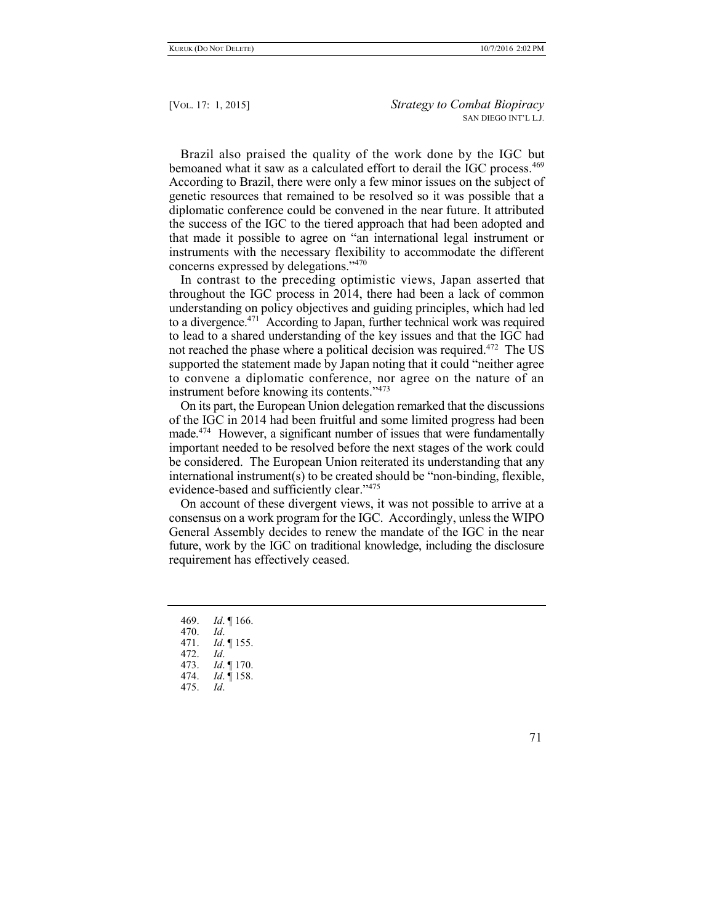Brazil also praised the quality of the work done by the IGC but bemoaned what it saw as a calculated effort to derail the IGC process.<sup>469</sup> According to Brazil, there were only a few minor issues on the subject of genetic resources that remained to be resolved so it was possible that a diplomatic conference could be convened in the near future. It attributed the success of the IGC to the tiered approach that had been adopted and that made it possible to agree on "an international legal instrument or instruments with the necessary flexibility to accommodate the different concerns expressed by delegations."<sup>470</sup>

In contrast to the preceding optimistic views, Japan asserted that throughout the IGC process in 2014, there had been a lack of common understanding on policy objectives and guiding principles, which had led to a divergence.<sup>471</sup> According to Japan, further technical work was required to lead to a shared understanding of the key issues and that the IGC had not reached the phase where a political decision was required.<sup>472</sup> The US supported the statement made by Japan noting that it could "neither agree to convene a diplomatic conference, nor agree on the nature of an instrument before knowing its contents."<sup>473</sup>

On its part, the European Union delegation remarked that the discussions of the IGC in 2014 had been fruitful and some limited progress had been made.<sup>474</sup> However, a significant number of issues that were fundamentally important needed to be resolved before the next stages of the work could be considered. The European Union reiterated its understanding that any international instrument(s) to be created should be "non-binding, flexible, evidence-based and sufficiently clear."<sup>475</sup>

On account of these divergent views, it was not possible to arrive at a consensus on a work program for the IGC. Accordingly, unless the WIPO General Assembly decides to renew the mandate of the IGC in the near future, work by the IGC on traditional knowledge, including the disclosure requirement has effectively ceased.

- 469. *Id*. ¶ 166.
- 470. *Id*.
- 471. *Id*. ¶ 155.
- 472. *Id*.
- 473. *Id*. ¶ 170.
- 474. *Id*. ¶ 158.
- 475. *Id*.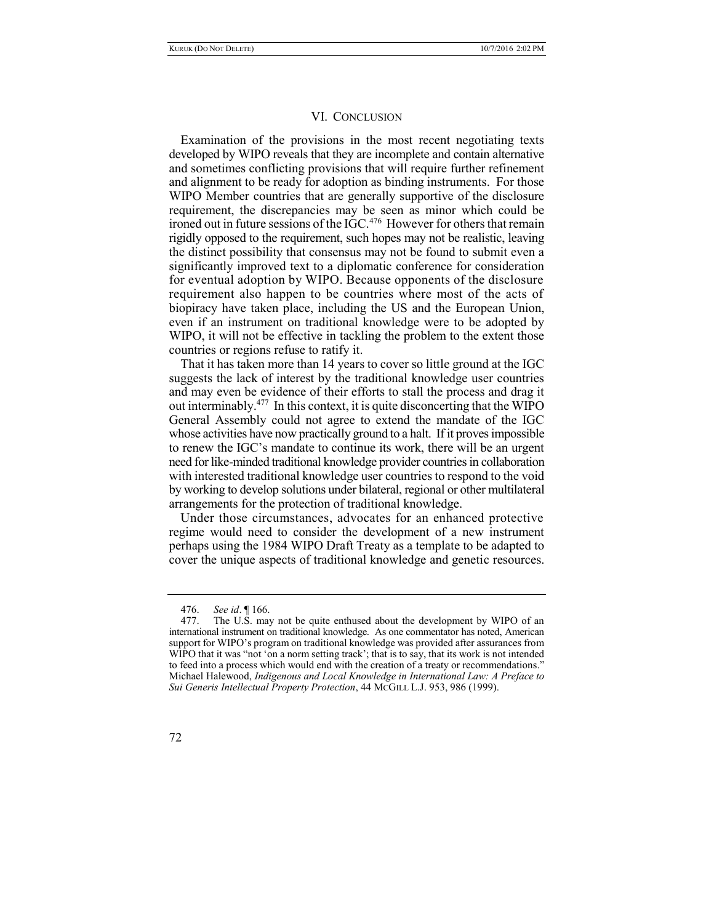#### VI. CONCLUSION

Examination of the provisions in the most recent negotiating texts developed by WIPO reveals that they are incomplete and contain alternative and sometimes conflicting provisions that will require further refinement and alignment to be ready for adoption as binding instruments. For those WIPO Member countries that are generally supportive of the disclosure requirement, the discrepancies may be seen as minor which could be ironed out in future sessions of the IGC.<sup>476</sup> However for others that remain rigidly opposed to the requirement, such hopes may not be realistic, leaving the distinct possibility that consensus may not be found to submit even a significantly improved text to a diplomatic conference for consideration for eventual adoption by WIPO. Because opponents of the disclosure requirement also happen to be countries where most of the acts of biopiracy have taken place, including the US and the European Union, even if an instrument on traditional knowledge were to be adopted by WIPO, it will not be effective in tackling the problem to the extent those countries or regions refuse to ratify it.

That it has taken more than 14 years to cover so little ground at the IGC suggests the lack of interest by the traditional knowledge user countries and may even be evidence of their efforts to stall the process and drag it out interminably.<sup>477</sup> In this context, it is quite disconcerting that the WIPO General Assembly could not agree to extend the mandate of the IGC whose activities have now practically ground to a halt. If it proves impossible to renew the IGC's mandate to continue its work, there will be an urgent need for like-minded traditional knowledge provider countries in collaboration with interested traditional knowledge user countries to respond to the void by working to develop solutions under bilateral, regional or other multilateral arrangements for the protection of traditional knowledge.

Under those circumstances, advocates for an enhanced protective regime would need to consider the development of a new instrument perhaps using the 1984 WIPO Draft Treaty as a template to be adapted to cover the unique aspects of traditional knowledge and genetic resources.

<sup>476.</sup> *See id*. ¶ 166.

<sup>477.</sup> The U.S. may not be quite enthused about the development by WIPO of an international instrument on traditional knowledge. As one commentator has noted, American support for WIPO's program on traditional knowledge was provided after assurances from WIPO that it was "not 'on a norm setting track'; that is to say, that its work is not intended to feed into a process which would end with the creation of a treaty or recommendations." Michael Halewood, *Indigenous and Local Knowledge in International Law: A Preface to Sui Generis Intellectual Property Protection*, 44 MCGILL L.J. 953, 986 (1999).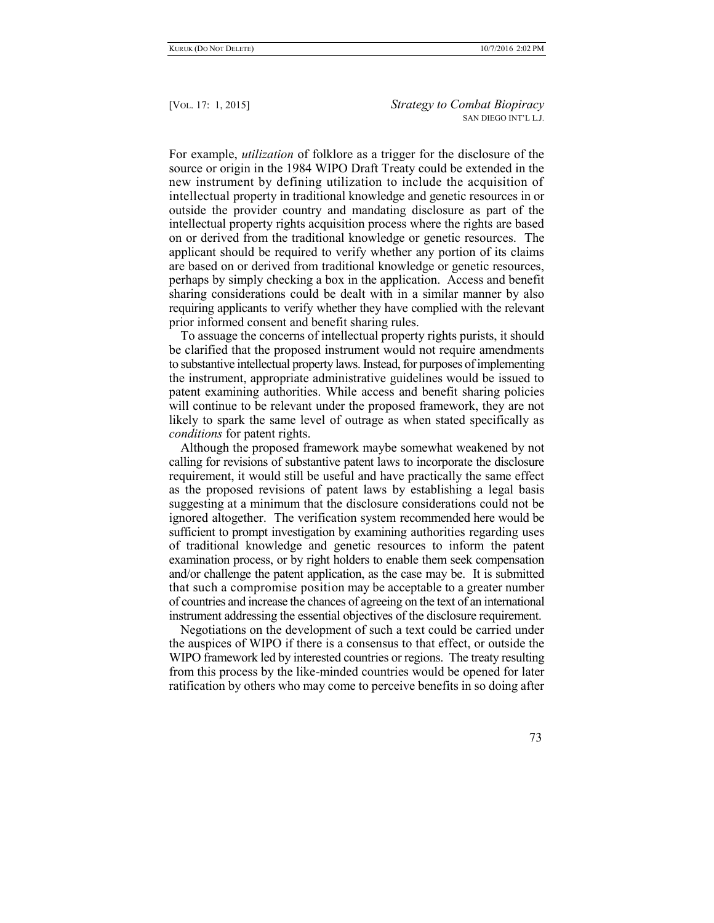For example, *utilization* of folklore as a trigger for the disclosure of the source or origin in the 1984 WIPO Draft Treaty could be extended in the new instrument by defining utilization to include the acquisition of intellectual property in traditional knowledge and genetic resources in or outside the provider country and mandating disclosure as part of the intellectual property rights acquisition process where the rights are based on or derived from the traditional knowledge or genetic resources. The applicant should be required to verify whether any portion of its claims are based on or derived from traditional knowledge or genetic resources, perhaps by simply checking a box in the application. Access and benefit sharing considerations could be dealt with in a similar manner by also requiring applicants to verify whether they have complied with the relevant prior informed consent and benefit sharing rules.

To assuage the concerns of intellectual property rights purists, it should be clarified that the proposed instrument would not require amendments to substantive intellectual property laws. Instead, for purposes of implementing the instrument, appropriate administrative guidelines would be issued to patent examining authorities. While access and benefit sharing policies will continue to be relevant under the proposed framework, they are not likely to spark the same level of outrage as when stated specifically as *conditions* for patent rights.

Although the proposed framework maybe somewhat weakened by not calling for revisions of substantive patent laws to incorporate the disclosure requirement, it would still be useful and have practically the same effect as the proposed revisions of patent laws by establishing a legal basis suggesting at a minimum that the disclosure considerations could not be ignored altogether. The verification system recommended here would be sufficient to prompt investigation by examining authorities regarding uses of traditional knowledge and genetic resources to inform the patent examination process, or by right holders to enable them seek compensation and/or challenge the patent application, as the case may be. It is submitted that such a compromise position may be acceptable to a greater number of countries and increase the chances of agreeing on the text of an international instrument addressing the essential objectives of the disclosure requirement.

Negotiations on the development of such a text could be carried under the auspices of WIPO if there is a consensus to that effect, or outside the WIPO framework led by interested countries or regions. The treaty resulting from this process by the like-minded countries would be opened for later ratification by others who may come to perceive benefits in so doing after